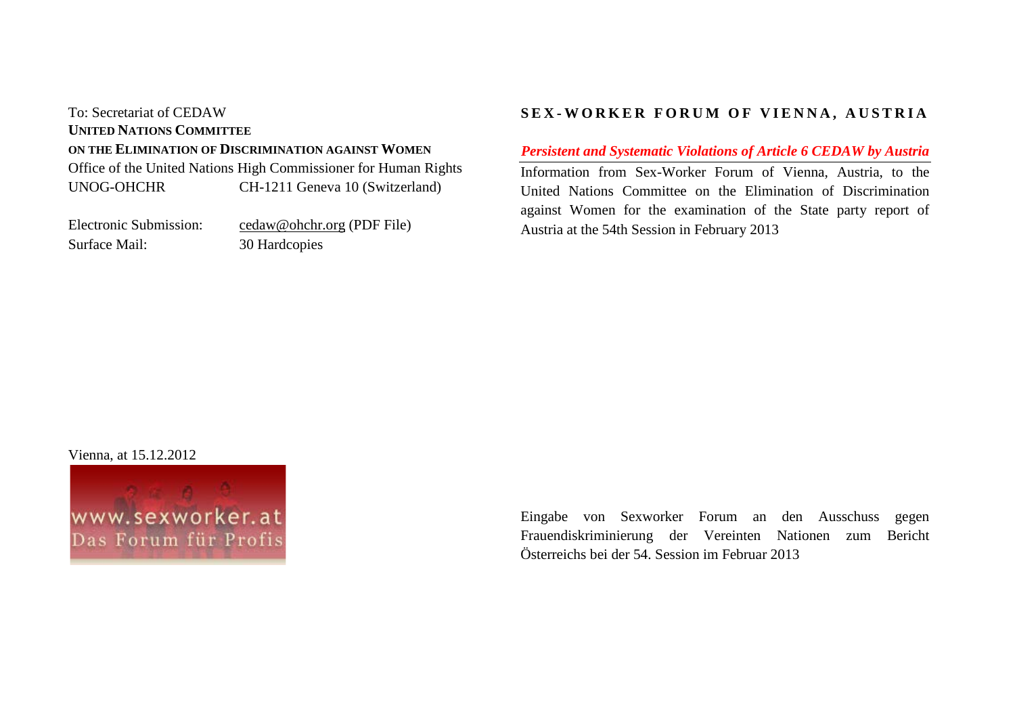# To: Secretariat of CEDAW **UNITED NATIONS COMMITTEE ON THE ELIMINATION OF DISCRIMINATION AGAINST WOMEN** Office of the United Nations High Commissioner for Human Rights UNOG-OHCHR CH-1211 Geneva 10 (Switzerland)

Electronic Submission: cedaw@ohchr.org (PDF File) Surface Mail: 30 Hardcopies

# **SEX - WORKER FORUM OF VIENNA, AUSTRIA**

*Persistent and Systematic Violations of Article 6 CEDAW by Austria*

Information from Sex-Worker Forum of Vienna, Austria, to the United Nations Committee on the Elimination of Discrimination against Women for the examination of the State party report of Austria at the 54th Session in February 2013

Vienna, at 15.12.2012



Eingabe von Sexworker Forum an den Ausschuss gegen Frauendiskriminierung der Vereinten Nationen zum Bericht Österreichs bei der 54. Session im Februar 2013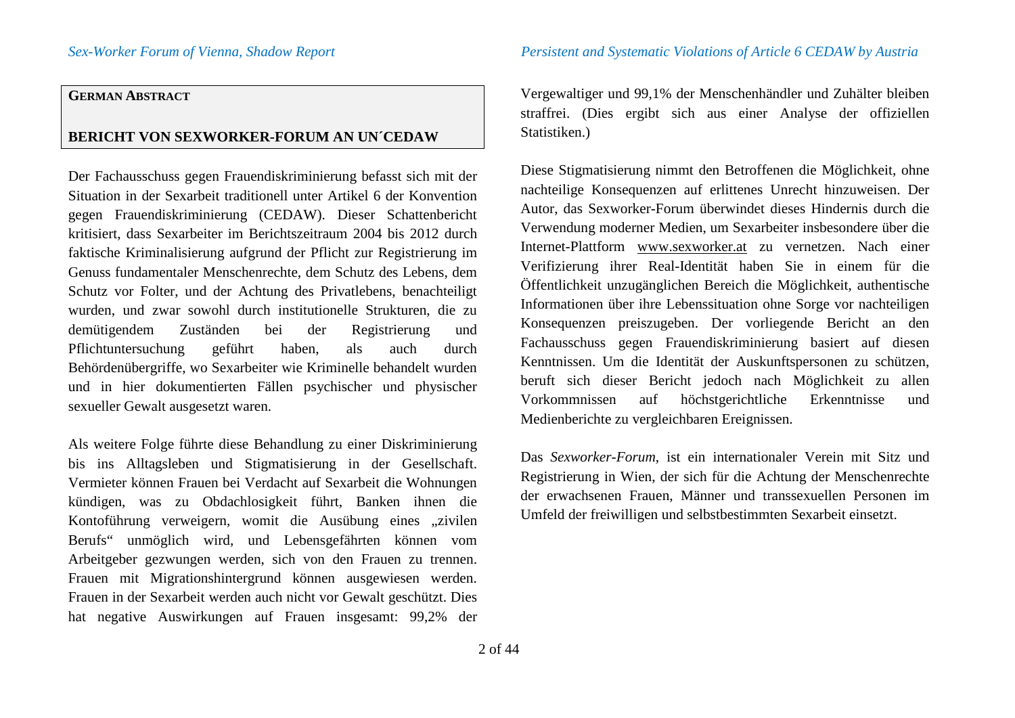### **GERMAN ABSTRACT**

# **BERICHT VON SEXWORKER-FORUM AN UN´CEDAW**

Der Fachausschuss gegen Frauendiskriminierung befasst sich mit der Situation in der Sexarbeit traditionell unter Artikel 6 der Konvention gegen Frauendiskriminierung (CEDAW). Dieser Schattenbericht kritisiert, dass Sexarbeiter im Berichtszeitraum 2004 bis 2012 durch faktische Kriminalisierung aufgrund der Pflicht zur Registrierung im Genuss fundamentaler Menschenrechte, dem Schutz des Lebens, dem Schutz vor Folter, und der Achtung des Privatlebens, benachteiligt wurden, und zwar sowohl durch institutionelle Strukturen, die zu demütigendem Zuständen bei der Registrierung und Pflichtuntersuchung geführt haben, als auch durch Behördenübergriffe, wo Sexarbeiter wie Kriminelle behandelt wurden und in hier dokumentierten Fällen psychischer und physischer sexueller Gewalt ausgesetzt waren.

Als weitere Folge führte diese Behandlung zu einer Diskriminierung bis ins Alltagsleben und Stigmatisierung in der Gesellschaft. Vermieter können Frauen bei Verdacht auf Sexarbeit die Wohnungen kündigen, was zu Obdachlosigkeit führt, Banken ihnen die Kontoführung verweigern, womit die Ausübung eines "zivilen Berufs" unmöglich wird, und Lebensgefährten können vom Arbeitgeber gezwungen werden, sich von den Frauen zu trennen. Frauen mit Migrationshintergrund können ausgewiesen werden. Frauen in der Sexarbeit werden auch nicht vor Gewalt geschützt. Dies hat negative Auswirkungen auf Frauen insgesamt: 99,2% der Vergewaltiger und 99,1% der Menschenhändler und Zuhälter bleiben straffrei. (Dies ergibt sich aus einer Analyse der offiziellen Statistiken.)

Diese Stigmatisierung nimmt den Betroffenen die Möglichkeit, ohne nachteilige Konsequenzen auf erlittenes Unrecht hinzuweisen. Der Autor, das Sexworker-Forum überwindet dieses Hindernis durch die Verwendung moderner Medien, um Sexarbeiter insbesondere über die Internet-Plattform www.sexworker.at zu vernetzen. Nach einer Verifizierung ihrer Real-Identität haben Sie in einem für die Öffentlichkeit unzugänglichen Bereich die Möglichkeit, authentische Informationen über ihre Lebenssituation ohne Sorge vor nachteiligen Konsequenzen preiszugeben. Der vorliegende Bericht an den Fachausschuss gegen Frauendiskriminierung basiert auf diesen Kenntnissen. Um die Identität der Auskunftspersonen zu schützen, beruft sich dieser Bericht jedoch nach Möglichkeit zu allen Vorkommnissen auf höchstgerichtliche Erkenntnisse und Medienberichte zu vergleichbaren Ereignissen.

Das *Sexworker-Forum*, ist ein internationaler Verein mit Sitz und Registrierung in Wien, der sich für die Achtung der Menschenrechte der erwachsenen Frauen, Männer und transsexuellen Personen im Umfeld der freiwilligen und selbstbestimmten Sexarbeit einsetzt.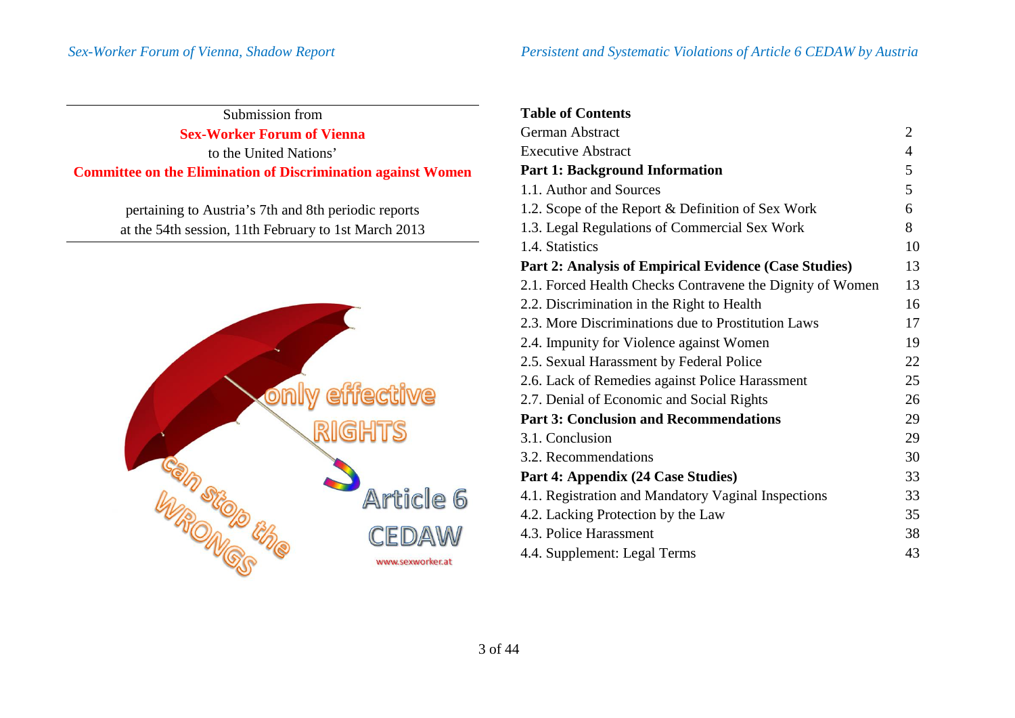$\mathbf{r}$ 

| Submission from                                                     |
|---------------------------------------------------------------------|
| <b>Sex-Worker Forum of Vienna</b>                                   |
| to the United Nations'                                              |
| <b>Committee on the Elimination of Discrimination against Women</b> |

pertaining to Austria's 7th and 8th periodic reports at the 54th session, 11th February to 1st March 2013



| <b>Table of Contents</b>                                  |                |
|-----------------------------------------------------------|----------------|
| <b>German Abstract</b>                                    | $\overline{2}$ |
| <b>Executive Abstract</b>                                 | $\overline{4}$ |
| <b>Part 1: Background Information</b>                     | 5              |
| 1.1. Author and Sources                                   | 5              |
| 1.2. Scope of the Report & Definition of Sex Work         | 6              |
| 1.3. Legal Regulations of Commercial Sex Work             | 8              |
| 1.4. Statistics                                           | 10             |
| Part 2: Analysis of Empirical Evidence (Case Studies)     | 13             |
| 2.1. Forced Health Checks Contravene the Dignity of Women | 13             |
| 2.2. Discrimination in the Right to Health                | 16             |
| 2.3. More Discriminations due to Prostitution Laws        | 17             |
| 2.4. Impunity for Violence against Women                  | 19             |
| 2.5. Sexual Harassment by Federal Police                  | 22             |
| 2.6. Lack of Remedies against Police Harassment           | 25             |
| 2.7. Denial of Economic and Social Rights                 | 26             |
| <b>Part 3: Conclusion and Recommendations</b>             | 29             |
| 3.1. Conclusion                                           | 29             |
| 3.2. Recommendations                                      | 30             |
| Part 4: Appendix (24 Case Studies)                        | 33             |
| 4.1. Registration and Mandatory Vaginal Inspections       | 33             |
| 4.2. Lacking Protection by the Law                        | 35             |
| 4.3. Police Harassment                                    | 38             |
| 4.4. Supplement: Legal Terms                              | 43             |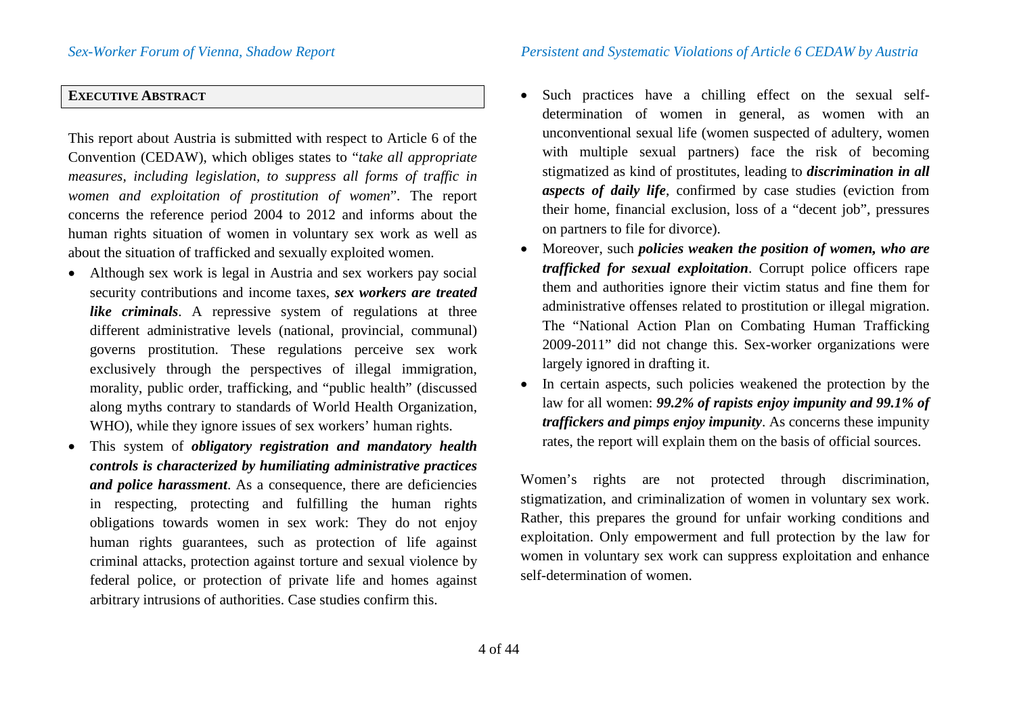# **EXECUTIVE ABSTRACT**

This report about Austria is submitted with respect to Article 6 of the Convention (CEDAW), which obliges states to "*take all appropriate measures, including legislation, to suppress all forms of traffic in women and exploitation of prostitution of women*". The report concerns the reference period 2004 to 2012 and informs about the human rights situation of women in voluntary sex work as well as about the situation of trafficked and sexually exploited women.

- Although sex work is legal in Austria and sex workers pay social security contributions and income taxes, *sex workers are treated like criminals*. A repressive system of regulations at three different administrative levels (national, provincial, communal) governs prostitution. These regulations perceive sex work exclusively through the perspectives of illegal immigration, morality, public order, trafficking, and "public health" (discussed along myths contrary to standards of World Health Organization, WHO), while they ignore issues of sex workers' human rights.
- This system of *obligatory registration and mandatory health controls is characterized by humiliating administrative practices and police harassment*. As a consequence, there are deficiencies in respecting, protecting and fulfilling the human rights obligations towards women in sex work: They do not enjoy human rights guarantees, such as protection of life against criminal attacks, protection against torture and sexual violence by federal police, or protection of private life and homes against arbitrary intrusions of authorities. Case studies confirm this.
- Such practices have a chilling effect on the sexual selfdetermination of women in general, as women with an unconventional sexual life (women suspected of adultery, women with multiple sexual partners) face the risk of becoming stigmatized as kind of prostitutes, leading to *discrimination in all aspects of daily life*, confirmed by case studies (eviction from their home, financial exclusion, loss of a "decent job", pressures on partners to file for divorce).
- Moreover, such *policies weaken the position of women, who are trafficked for sexual exploitation*. Corrupt police officers rape them and authorities ignore their victim status and fine them for administrative offenses related to prostitution or illegal migration. The "National Action Plan on Combating Human Trafficking 2009-2011" did not change this. Sex-worker organizations were largely ignored in drafting it.
- In certain aspects, such policies weakened the protection by the law for all women: *99.2% of rapists enjoy impunity and 99.1% of traffickers and pimps enjoy impunity*. As concerns these impunity rates, the report will explain them on the basis of official sources.

Women's rights are not protected through discrimination, stigmatization, and criminalization of women in voluntary sex work. Rather, this prepares the ground for unfair working conditions and exploitation. Only empowerment and full protection by the law for women in voluntary sex work can suppress exploitation and enhance self-determination of women.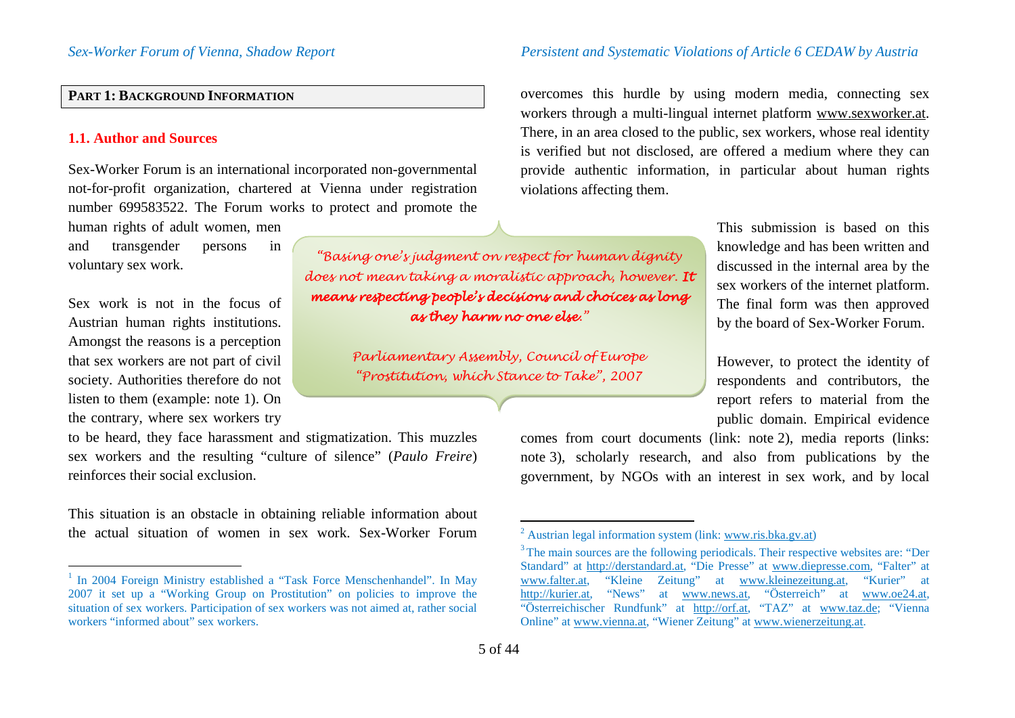## **PART 1: BACKGROUND INFORMATION**

### **1.1. Author and Sources**

Sex-Worker Forum is an international incorporated non-governmental not-for-profit organization, chartered at Vienna under registration number 699583522. The Forum works to protect and promote the

human rights of adult women, men and transgender persons in voluntary sex work.

Sex work is not in the focus of Austrian human rights institutions. Amongst the reasons is a perception that sex workers are not part of civil society. Authorities therefore do not listen to them (example: note [1](#page-4-0)). On the contrary, where sex workers try

to be heard, they face harassment and stigmatization. This muzzles sex workers and the resulting "culture of silence" (*Paulo Freire*) reinforces their social exclusion.

This situation is an obstacle in obtaining reliable information about the actual situation of women in sex work. Sex-Worker Forum

### *Sex-Worker Forum of Vienna, Shadow Report Persistent and Systematic Violations of Article 6 CEDAW by Austria*

<span id="page-4-2"></span><span id="page-4-1"></span><span id="page-4-0"></span>overcomes this hurdle by using modern media, connecting sex workers through a multi-lingual internet platform www.sexworker.at. There, in an area closed to the public, sex workers, whose real identity is verified but not disclosed, are offered a medium where they can provide authentic information, in particular about human rights violations affecting them.

> This submission is based on this knowledge and has been written and discussed in the internal area by the sex workers of the internet platform. The final form was then approved by the board of Sex-Worker Forum.

> However, to protect the identity of respondents and contributors, the report refers to material from the public domain. Empirical evidence

<span id="page-4-3"></span>comes from court documents (link: note [2](#page-4-1)), media reports (links: note [3\)](#page-4-2), scholarly research, and also from publications by the government, by NGOs with an interest in sex work, and by local

*"Basing one's judgment on respect for human dignity does not mean taking a moralistic approach, however. It means respecting people's decisions and choices as long as they harm no one else."*

> <span id="page-4-4"></span>*Parliamentary Assembly, Council of Europe "Prostitution, which Stance to Take", 2007*

<sup>&</sup>lt;sup>1</sup> In 2004 Foreign Ministry established a "Task Force Menschenhandel". In May 2007 it set up a "Working Group on Prostitution" on policies to improve the situation of sex workers. Participation of sex workers was not aimed at, rather social workers "informed about" sex workers.

<sup>&</sup>lt;sup>2</sup> Austrian legal information system (link: www.ris.bka.gv.at)<br><sup>3</sup> The main sources are the following periodicals. Their respective websites are: "Der Standard" at http://derstandard.at, "Die Presse" at www.diepresse.com, "Falter" at "Kleine Zeitung" at www.kleinezeitung.at, "Kurier" at http://kurier.at, "News" at www.news.at, "Österreich" at www.oe24.at, "Österreichischer Rundfunk" at http://orf.at, "TAZ" at www.taz.de; "Vienna Online" at www.vienna.at, "Wiener Zeitung" at www.wienerzeitung.at.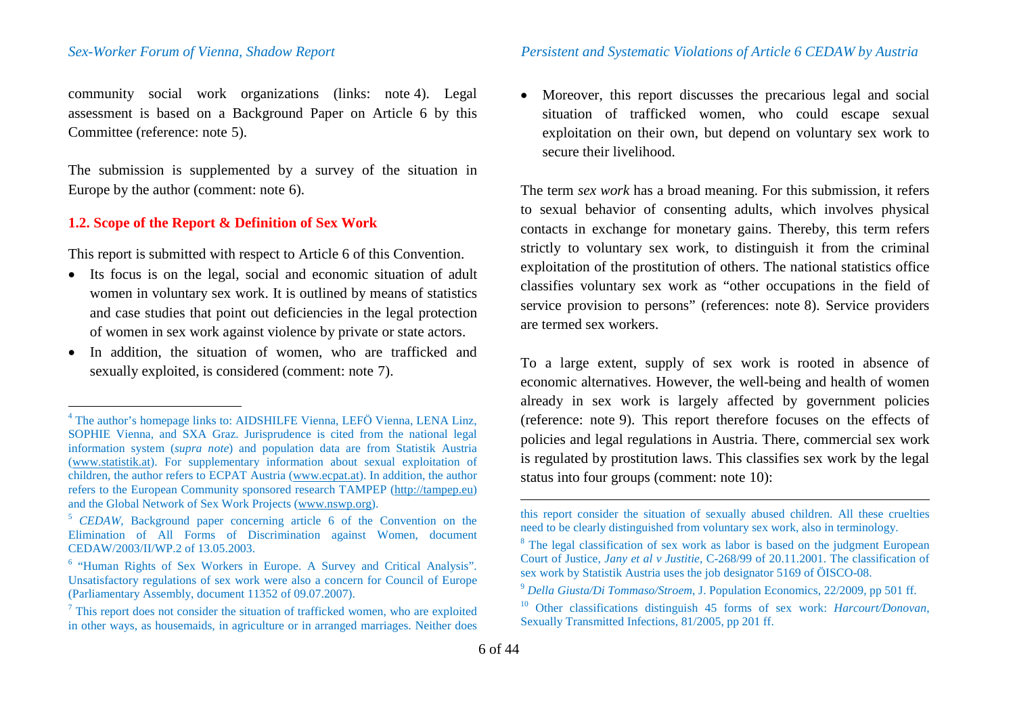<span id="page-5-8"></span>community social work organizations (links: note [4](#page-5-0)). Legal assessment is based on a Background Paper on Article 6 by this Committee (reference: note [5](#page-5-1)).

<span id="page-5-9"></span>The submission is supplemented by a survey of the situation in Europe by the author (comment: note [6\)](#page-5-2).

### **1.2. Scope of the Report & Definition of Sex Work**

This report is submitted with respect to Article 6 of this Convention.

- Its focus is on the legal, social and economic situation of adult women in voluntary sex work. It is outlined by means of statistics and case studies that point out deficiencies in the legal protection of women in sex work against violence by private or state actors.
- In addition, the situation of women, who are trafficked and sexually exploited, is considered (comment: note [7](#page-5-3)).

<span id="page-5-7"></span><span id="page-5-6"></span><span id="page-5-5"></span><span id="page-5-4"></span><span id="page-5-3"></span><span id="page-5-2"></span><span id="page-5-1"></span><span id="page-5-0"></span>• Moreover, this report discusses the precarious legal and social situation of trafficked women, who could escape sexual exploitation on their own, but depend on voluntary sex work to secure their livelihood.

The term *sex work* has a broad meaning. For this submission, it refers to sexual behavior of consenting adults, which involves physical contacts in exchange for monetary gains. Thereby, this term refers strictly to voluntary sex work, to distinguish it from the criminal exploitation of the prostitution of others. The national statistics office classifies voluntary sex work as "other occupations in the field of service provision to persons" (references: note [8](#page-5-4)). Service providers are termed sex workers.

To a large extent, supply of sex work is rooted in absence of economic alternatives. However, the well-being and health of women already in sex work is largely affected by government policies (reference: note [9\)](#page-5-5). This report therefore focuses on the effects of policies and legal regulations in Austria. There, commercial sex work is regulated by prostitution laws. This classifies sex work by the legal status into four groups (comment: note [10\)](#page-5-6):

 $\overline{a}$ 

 <sup>4</sup> The author's homepage links to: AIDSHILFE Vienna, LEFÖ Vienna, LENA Linz, SOPHIE Vienna, and SXA Graz. Jurisprudence is cited from the national legal information system (*supra note*) and population data are from Statistik Austria (www.statistik.at). For supplementary information about sexual exploitation of children, the author refers to ECPAT Austria (www.ecpat.at). In addition, the author refers to the European Community sponsored research TAMPEP (http://tampep.eu) and the Global Network of Sex Work Projects (www.nswp.org).

<sup>&</sup>lt;sup>5</sup> *CEDAW*, Background paper concerning article 6 of the Convention on the Elimination of All Forms of Discrimination against Women, document CEDAW/2003/II/WP.2 of 13.05.2003.

<sup>6</sup> "Human Rights of Sex Workers in Europe. A Survey and Critical Analysis". Unsatisfactory regulations of sex work were also a concern for Council of Europe (Parliamentary Assembly, document 11352 of 09.07.2007).

<sup>7</sup> This report does not consider the situation of trafficked women, who are exploited in other ways, as housemaids, in agriculture or in arranged marriages. Neither does

this report consider the situation of sexually abused children. All these cruelties need to be clearly distinguished from voluntary sex work, also in terminology.

<sup>&</sup>lt;sup>8</sup> The legal classification of sex work as labor is based on the judgment European Court of Justice, *Jany et al v Justitie*, C-268/99 of 20.11.2001. The classification of

<sup>&</sup>lt;sup>9</sup> Della Giusta/Di Tommaso/Stroem, J. Population Economics, 22/2009, pp 501 ff.

<sup>10</sup> Other classifications distinguish 45 forms of sex work: *Harcourt/Donovan*, Sexually Transmitted Infections, 81/2005, pp 201 ff.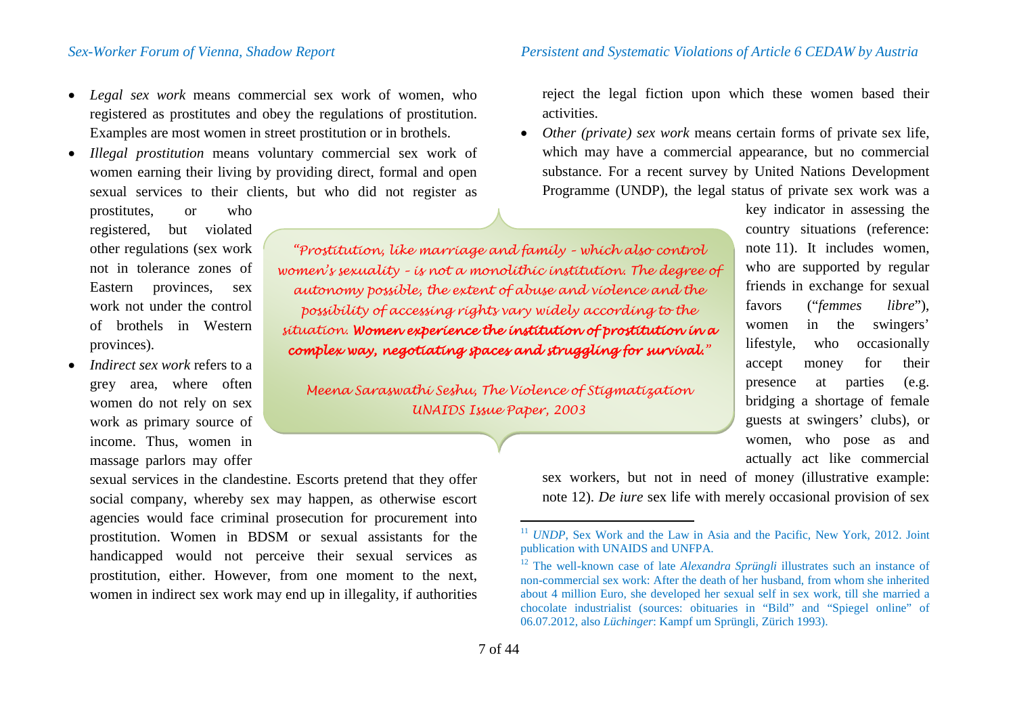- *Legal sex work* means commercial sex work of women, who registered as prostitutes and obey the regulations of prostitution. Examples are most women in street prostitution or in brothels.
- *Illegal prostitution* means voluntary commercial sex work of women earning their living by providing direct, formal and open sexual services to their clients, but who did not register as

prostitutes, or who registered, but violated other regulations (sex work not in tolerance zones of Eastern provinces, sex work not under the control of brothels in Western provinces).

• *Indirect sex work* refers to a grey area, where often women do not rely on sex work as primary source of income. Thus, women in massage parlors may offer

> sexual services in the clandestine. Escorts pretend that they offer social company, whereby sex may happen, as otherwise escort agencies would face criminal prosecution for procurement into prostitution. Women in BDSM or sexual assistants for the handicapped would not perceive their sexual services as prostitution, either. However, from one moment to the next, women in indirect sex work may end up in illegality, if authorities

<span id="page-6-1"></span><span id="page-6-0"></span>reject the legal fiction upon which these women based their activities.

• *Other (private) sex work* means certain forms of private sex life, which may have a commercial appearance, but no commercial substance. For a recent survey by United Nations Development Programme (UNDP), the legal status of private sex work was a

*"Prostitution, like marriage and family – which also control women's sexuality – is not a monolithic institution. The degree of autonomy possible, the extent of abuse and violence and the possibility of accessing rights vary widely according to the situation. Women experience the institution of prostitution in a complex way, negotiating spaces and struggling for survival."*

*Meena Saraswathi Seshu, The Violence of Stigmatization UNAIDS Issue Paper, 2003*

<span id="page-6-2"></span>key indicator in assessing the country situations (reference: note [11\)](#page-6-0). It includes women, who are supported by regular friends in exchange for sexual favors ("*femmes libre*"), women in the swingers' lifestyle, who occasionally accept money for their presence at parties (e.g. bridging a shortage of female guests at swingers' clubs), or women, who pose as and actually act like commercial

sex workers, but not in need of money (illustrative example: note [12](#page-6-1)). *De iure* sex life with merely occasional provision of sex

<sup>&</sup>lt;sup>11</sup> *UNDP*, Sex Work and the Law in Asia and the Pacific, New York, 2012. Joint publication with UNAIDS and UNFPA.

<sup>12</sup> The well-known case of late *Alexandra Sprüngli* illustrates such an instance of non-commercial sex work: After the death of her husband, from whom she inherited about 4 million Euro, she developed her sexual self in sex work, till she married a chocolate industrialist (sources: obituaries in "Bild" and "Spiegel online" of 06.07.2012, also *Lüchinger*: Kampf um Sprüngli, Zürich 1993).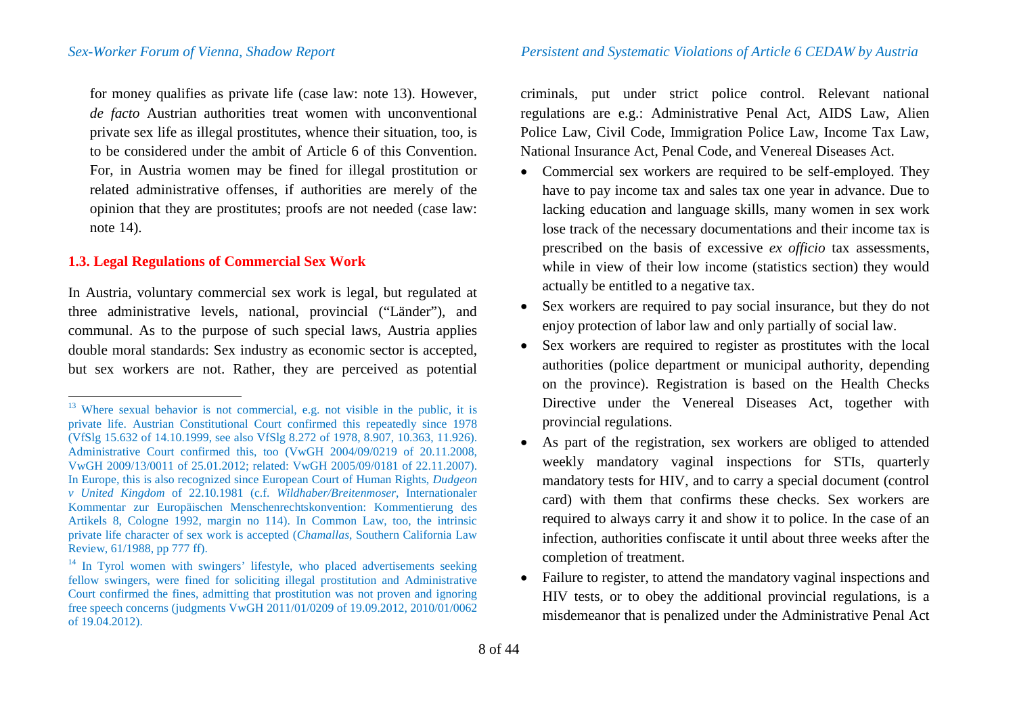for money qualifies as private life (case law: note [13\)](#page-7-0). However, *de facto* Austrian authorities treat women with unconventional private sex life as illegal prostitutes, whence their situation, too, is to be considered under the ambit of Article 6 of this Convention. For, in Austria women may be fined for illegal prostitution or related administrative offenses, if authorities are merely of the opinion that they are prostitutes; proofs are not needed (case law: note [14\)](#page-7-1).

# **1.3. Legal Regulations of Commercial Sex Work**

In Austria, voluntary commercial sex work is legal, but regulated at three administrative levels, national, provincial ("Länder"), and communal. As to the purpose of such special laws, Austria applies double moral standards: Sex industry as economic sector is accepted, but sex workers are not. Rather, they are perceived as potential

<span id="page-7-1"></span><span id="page-7-0"></span>criminals, put under strict police control. Relevant national regulations are e.g.: Administrative Penal Act, AIDS Law, Alien Police Law, Civil Code, Immigration Police Law, Income Tax Law, National Insurance Act, Penal Code, and Venereal Diseases Act.

- Commercial sex workers are required to be self-employed. They have to pay income tax and sales tax one year in advance. Due to lacking education and language skills, many women in sex work lose track of the necessary documentations and their income tax is prescribed on the basis of excessive *ex officio* tax assessments, while in view of their low income (statistics section) they would actually be entitled to a negative tax.
- Sex workers are required to pay social insurance, but they do not enjoy protection of labor law and only partially of social law.
- Sex workers are required to register as prostitutes with the local authorities (police department or municipal authority, depending on the province). Registration is based on the Health Checks Directive under the Venereal Diseases Act, together with provincial regulations.
- As part of the registration, sex workers are obliged to attended weekly mandatory vaginal inspections for STIs, quarterly mandatory tests for HIV, and to carry a special document (control card) with them that confirms these checks. Sex workers are required to always carry it and show it to police. In the case of an infection, authorities confiscate it until about three weeks after the completion of treatment.
- Failure to register, to attend the mandatory vaginal inspections and HIV tests, or to obey the additional provincial regulations, is a misdemeanor that is penalized under the Administrative Penal Act

 $13$  Where sexual behavior is not commercial, e.g. not visible in the public, it is private life. Austrian Constitutional Court confirmed this repeatedly since 1978 (VfSlg 15.632 of 14.10.1999, see also VfSlg 8.272 of 1978, 8.907, 10.363, 11.926). Administrative Court confirmed this, too (VwGH 2004/09/0219 of 20.11.2008, VwGH 2009/13/0011 of 25.01.2012; related: VwGH 2005/09/0181 of 22.11.2007). In Europe, this is also recognized since European Court of Human Rights, *Dudgeon v United Kingdom* of 22.10.1981 (c.f. *Wildhaber/Breitenmoser*, Internationaler Kommentar zur Europäischen Menschenrechtskonvention: Kommentierung des Artikels 8, Cologne 1992, margin no 114). In Common Law, too, the intrinsic private life character of sex work is accepted (*Chamallas*, Southern California Law Review, 61/1988, pp 777 ff).

<sup>&</sup>lt;sup>14</sup> In Tyrol women with swingers' lifestyle, who placed advertisements seeking fellow swingers, were fined for soliciting illegal prostitution and Administrative Court confirmed the fines, admitting that prostitution was not proven and ignoring free speech concerns (judgments VwGH 2011/01/0209 of 19.09.2012, 2010/01/0062 of 19.04.2012).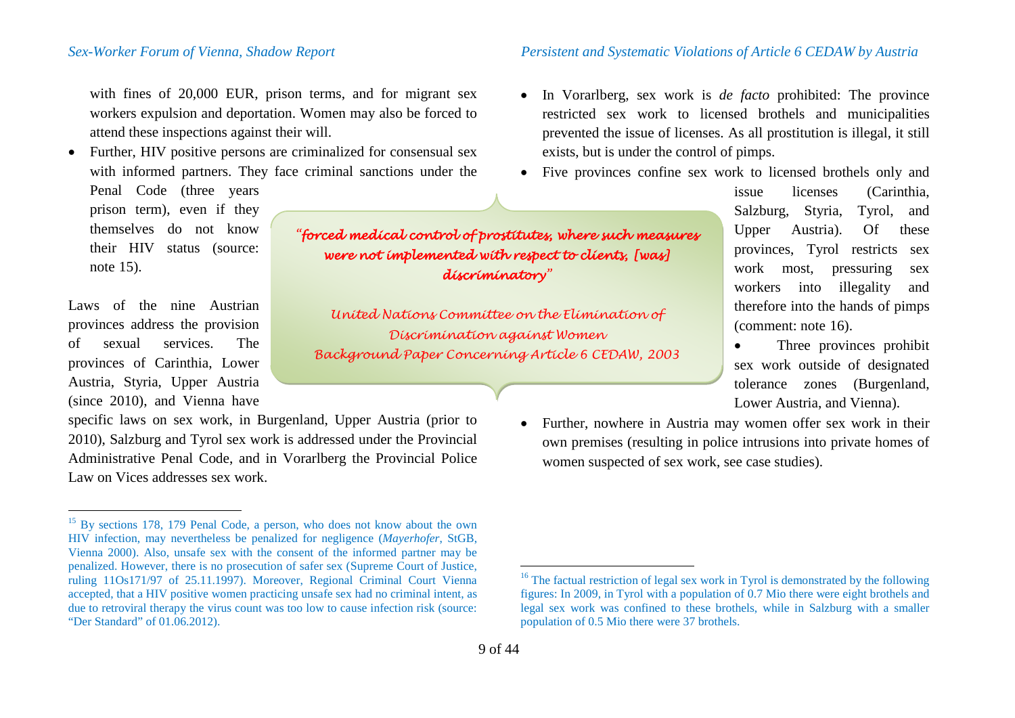with fines of 20,000 EUR, prison terms, and for migrant sex workers expulsion and deportation. Women may also be forced to attend these inspections against their will.

• Further, HIV positive persons are criminalized for consensual sex with informed partners. They face criminal sanctions under the Penal Code (three years prison term), even if they

themselves do not know their HIV status (source: note [15\)](#page-8-0).

Laws of the nine Austrian provinces address the provision of sexual services. The provinces of Carinthia, Lower Austria, Styria, Upper Austria (since 2010), and Vienna have

specific laws on sex work, in Burgenland, Upper Austria (prior to 2010), Salzburg and Tyrol sex work is addressed under the Provincial Administrative Penal Code, and in Vorarlberg the Provincial Police Law on Vices addresses sex work.

### *Sex-Worker Forum of Vienna, Shadow Report Persistent and Systematic Violations of Article 6 CEDAW by Austria*

- <span id="page-8-1"></span><span id="page-8-0"></span>• In Vorarlberg, sex work is *de facto* prohibited: The province restricted sex work to licensed brothels and municipalities prevented the issue of licenses. As all prostitution is illegal, it still exists, but is under the control of pimps.
- Five provinces confine sex work to licensed brothels only and

*"forced medical control of prostitutes, where such measures were not implemented with respect to clients, [was] discriminatory"*

*United Nations Committee on the Elimination of Discrimination against Women Background Paper Concerning Article 6 CEDAW, 2003*

issue licenses (Carinthia, Salzburg, Styria, Tyrol, and Upper Austria). Of these provinces, Tyrol restricts sex work most, pressuring sex workers into illegality and therefore into the hands of pimps (comment: note [16](#page-8-1)).

• Three provinces prohibit sex work outside of designated tolerance zones (Burgenland, Lower Austria, and Vienna).

• Further, nowhere in Austria may women offer sex work in their own premises (resulting in police intrusions into private homes of women suspected of sex work, see case studies).

<sup>&</sup>lt;sup>15</sup> By sections 178, 179 Penal Code, a person, who does not know about the own HIV infection, may nevertheless be penalized for negligence (*Mayerhofer*, StGB, Vienna 2000). Also, unsafe sex with the consent of the informed partner may be penalized. However, there is no prosecution of safer sex (Supreme Court of Justice, ruling 11Os171/97 of 25.11.1997). Moreover, Regional Criminal Court Vienna accepted, that a HIV positive women practicing unsafe sex had no criminal intent, as due to retroviral therapy the virus count was too low to cause infection risk (source: "Der Standard" of 01.06.2012).

<sup>&</sup>lt;sup>16</sup> The factual restriction of legal sex work in Tyrol is demonstrated by the following figures: In 2009, in Tyrol with a population of 0.7 Mio there were eight brothels and legal sex work was confined to these brothels, while in Salzburg with a smaller population of 0.5 Mio there were 37 brothels.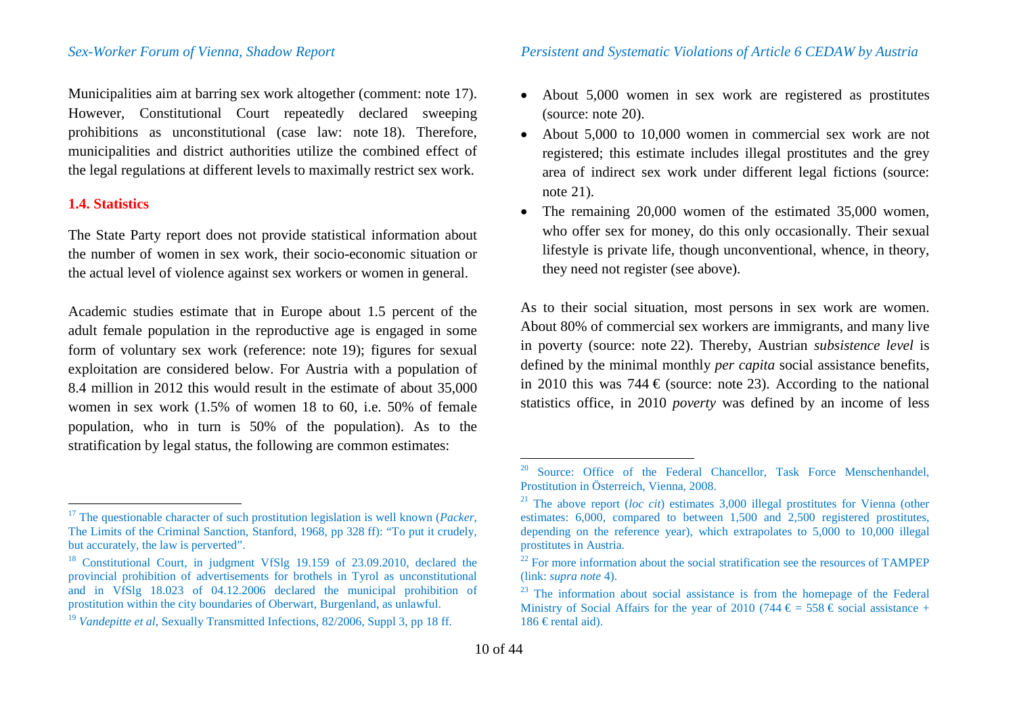Municipalities aim at barring sex work altogether (comment: note [17\)](#page-9-0). However, Constitutional Court repeatedly declared sweeping prohibitions as unconstitutional (case law: note [18](#page-9-1)). Therefore, municipalities and district authorities utilize the combined effect of the legal regulations at different levels to maximally restrict sex work.

### **1.4. Statistics**

The State Party report does not provide statistical information about the number of women in sex work, their socio-economic situation or the actual level of violence against sex workers or women in general.

Academic studies estimate that in Europe about 1.5 percent of the adult female population in the reproductive age is engaged in some form of voluntary sex work (reference: note [19](#page-9-2)); figures for sexual exploitation are considered below. For Austria with a population of 8.4 million in 2012 this would result in the estimate of about 35,000 women in sex work (1.5% of women 18 to 60, i.e. 50% of female population, who in turn is 50% of the population). As to the stratification by legal status, the following are common estimates:

- <span id="page-9-5"></span><span id="page-9-4"></span><span id="page-9-3"></span><span id="page-9-2"></span><span id="page-9-1"></span><span id="page-9-0"></span>• About 5,000 women in sex work are registered as prostitutes (source: note [20\)](#page-9-3).
- About 5,000 to 10,000 women in commercial sex work are not registered; this estimate includes illegal prostitutes and the grey area of indirect sex work under different legal fictions (source: note [21\)](#page-9-4).
- The remaining 20,000 women of the estimated 35,000 women, who offer sex for money, do this only occasionally. Their sexual lifestyle is private life, though unconventional, whence, in theory, they need not register (see above).

As to their social situation, most persons in sex work are women. About 80% of commercial sex workers are immigrants, and many live in poverty (source: note [22](#page-9-1)). Thereby, Austrian *subsistence level* is defined by the minimal monthly *per capita* social assistance benefits, in 2010 this was 744  $\epsilon$  (source: note [23\)](#page-9-5). According to the national statistics office, in 2010 *poverty* was defined by an income of less

 <sup>17</sup> The questionable character of such prostitution legislation is well known (*Packer*, The Limits of the Criminal Sanction, Stanford, 1968, pp 328 ff): "To put it crudely, but accurately, the law is perverted".<br><sup>18</sup> Constitutional Court, in judgment VfSlg 19.159 of 23.09.2010, declared the

provincial prohibition of advertisements for brothels in Tyrol as unconstitutional and in VfSlg 18.023 of 04.12.2006 declared the municipal prohibition of prostitution within the city boundaries of Oberwart, Burgenland, as unlawful.

<sup>19</sup> *Vandepitte et al*, Sexually Transmitted Infections, 82/2006, Suppl 3, pp 18 ff.

Source: Office of the Federal Chancellor, Task Force Menschenhandel, Prostitution in Österreich, Vienna, 2008.

<sup>21</sup> The above report (*loc cit*) estimates 3,000 illegal prostitutes for Vienna (other estimates: 6,000, compared to between 1,500 and 2,500 registered prostitutes, depending on the reference year), which extrapolates to 5,000 to 10,000 illegal prostitutes in Austria.

<sup>&</sup>lt;sup>22</sup> For more information about the social stratification see the resources of TAMPEP (link: *supra note* 4).

<sup>&</sup>lt;sup>23</sup> The information about social assistance is from the homepage of the Federal Ministry of Social Affairs for the year of 2010 (744  $\epsilon = 558 \epsilon$  social assistance + 186 € rental aid).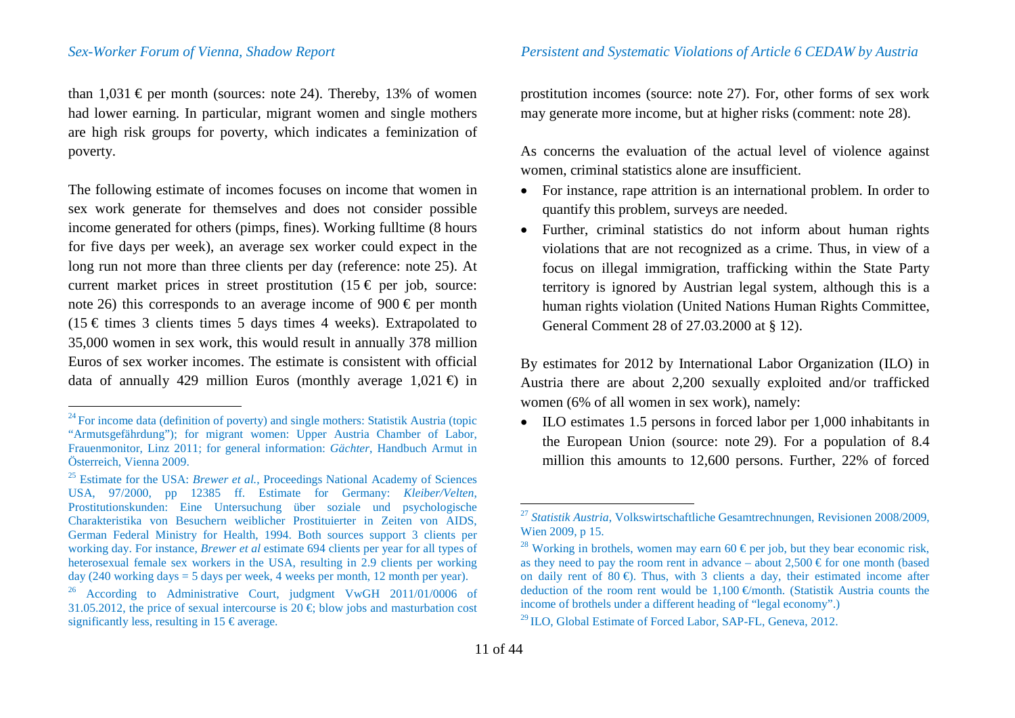than  $1,031 \in$  per month (sources: note [24\)](#page-10-0). Thereby, 13% of women had lower earning. In particular, migrant women and single mothers are high risk groups for poverty, which indicates a feminization of poverty.

The following estimate of incomes focuses on income that women in sex work generate for themselves and does not consider possible income generated for others (pimps, fines). Working fulltime (8 hours for five days per week), an average sex worker could expect in the long run not more than three clients per day (reference: note [25\)](#page-10-1). At current market prices in street prostitution  $(15 \in per$  job, source: note [26\)](#page-10-2) this corresponds to an average income of 900  $\in$  per month  $(15 \in \text{times} 3 \text{ clients times } 5 \text{ days times } 4 \text{ weeks}).$  Extrapolated to 35,000 women in sex work, this would result in annually 378 million Euros of sex worker incomes. The estimate is consistent with official data of annually 429 million Euros (monthly average  $1,021 \oplus \text{in}$ )

<span id="page-10-6"></span><span id="page-10-5"></span><span id="page-10-4"></span><span id="page-10-3"></span><span id="page-10-2"></span><span id="page-10-1"></span><span id="page-10-0"></span>prostitution incomes (source: note [27](#page-10-3)). For, other forms of sex work may generate more income, but at higher risks (comment: note [28\)](#page-10-4).

As concerns the evaluation of the actual level of violence against women, criminal statistics alone are insufficient.

- For instance, rape attrition is an international problem. In order to quantify this problem, surveys are needed.
- Further, criminal statistics do not inform about human rights violations that are not recognized as a crime. Thus, in view of a focus on illegal immigration, trafficking within the State Party territory is ignored by Austrian legal system, although this is a human rights violation (United Nations Human Rights Committee, General Comment 28 of 27.03.2000 at § 12).

By estimates for 2012 by International Labor Organization (ILO) in Austria there are about 2,200 sexually exploited and/or trafficked women (6% of all women in sex work), namely:

• ILO estimates 1.5 persons in forced labor per 1,000 inhabitants in the European Union (source: note [29\)](#page-10-5). For a population of 8.4 million this amounts to 12,600 persons. Further, 22% of forced

 $24$  For income data (definition of poverty) and single mothers: Statistik Austria (topic "Armutsgefährdung"); for migrant women: Upper Austria Chamber of Labor, Frauenmonitor, Linz 2011; for general information: *Gächter*, Handbuch Armut in

<sup>&</sup>lt;sup>25</sup> Estimate for the USA: *Brewer et al.*, Proceedings National Academy of Sciences USA, 97/2000, pp 12385 ff. Estimate for Germany: *Kleiber/Velten*, Prostitutionskunden: Eine Untersuchung über soziale und psychologische Charakteristika von Besuchern weiblicher Prostituierter in Zeiten von AIDS, German Federal Ministry for Health, 1994. Both sources support 3 clients per working day. For instance, *Brewer et al* estimate 694 clients per year for all types of heterosexual female sex workers in the USA, resulting in 2.9 clients per working day (240 working days = 5 days per week, 4 weeks per month, 12 month per year).

<sup>26</sup> According to Administrative Court, judgment VwGH 2011/01/0006 of 31.05.2012, the price of sexual intercourse is  $20 \text{ } \in \text{blow}$  jobs and masturbation cost significantly less, resulting in 15  $\epsilon$  average.

<sup>&</sup>lt;sup>27</sup> *Statistik Austria*, Volkswirtschaftliche Gesamtrechnungen, Revisionen 2008/2009, Wien 2009, p 15.

<sup>&</sup>lt;sup>28</sup> Working in brothels, women may earn 60 € per job, but they bear economic risk, as they need to pay the room rent in advance – about  $2.500 \text{ } \infty$  for one month (based on daily rent of 80  $\oplus$ . Thus, with 3 clients a day, their estimated income after deduction of the room rent would be 1,100  $\oplus$  month. (Statistik Austria counts the income of brothels under a different heading of "legal economy".)

<sup>&</sup>lt;sup>29</sup> ILO, Global Estimate of Forced Labor, SAP-FL, Geneva, 2012.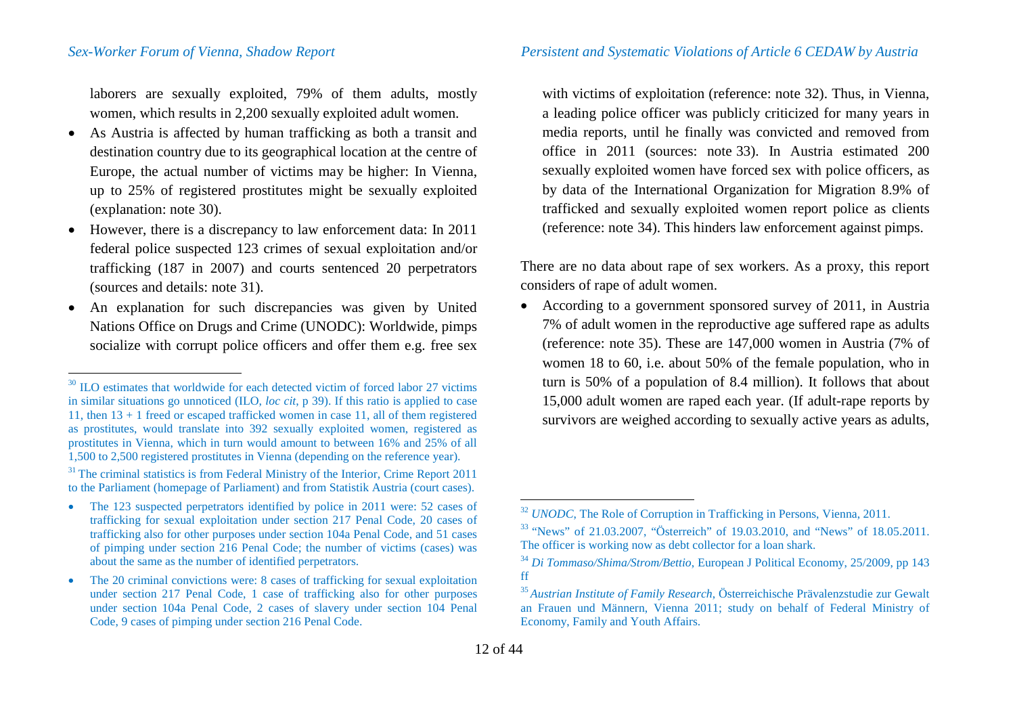*Sex-Worker Forum of Vienna, Shadow Report Persistent and Systematic Violations of Article 6 CEDAW by Austria*

laborers are sexually exploited, 79% of them adults, mostly women, which results in 2,200 sexually exploited adult women.

- As Austria is affected by human trafficking as both a transit and destination country due to its geographical location at the centre of Europe, the actual number of victims may be higher: In Vienna, up to 25% of registered prostitutes might be sexually exploited (explanation: note [30](#page-11-0)).
- However, there is a discrepancy to law enforcement data: In 2011 federal police suspected 123 crimes of sexual exploitation and/or trafficking (187 in 2007) and courts sentenced 20 perpetrators (sources and details: note [31\)](#page-11-1).
- An explanation for such discrepancies was given by United Nations Office on Drugs and Crime (UNODC): Worldwide, pimps socialize with corrupt police officers and offer them e.g. free sex

<span id="page-11-5"></span><span id="page-11-4"></span><span id="page-11-3"></span><span id="page-11-2"></span><span id="page-11-1"></span><span id="page-11-0"></span>with victims of exploitation (reference: note [32\)](#page-11-2). Thus, in Vienna, a leading police officer was publicly criticized for many years in media reports, until he finally was convicted and removed from office in 2011 (sources: note [33\)](#page-11-3). In Austria estimated 200 sexually exploited women have forced sex with police officers, as by data of the International Organization for Migration 8.9% of trafficked and sexually exploited women report police as clients (reference: note [34\)](#page-11-4). This hinders law enforcement against pimps.

There are no data about rape of sex workers. As a proxy, this report considers of rape of adult women.

• According to a government sponsored survey of 2011, in Austria 7% of adult women in the reproductive age suffered rape as adults (reference: note [35\)](#page-11-5). These are 147,000 women in Austria (7% of women 18 to 60, i.e. about 50% of the female population, who in turn is 50% of a population of 8.4 million). It follows that about 15,000 adult women are raped each year. (If adult-rape reports by survivors are weighed according to sexually active years as adults,

 $30$  ILO estimates that worldwide for each detected victim of forced labor 27 victims in similar situations go unnoticed (ILO, *loc cit*, p 39). If this ratio is applied to case 11, then 13 + 1 freed or escaped trafficked women in case 11, all of them registered as prostitutes, would translate into 392 sexually exploited women, registered as prostitutes in Vienna, which in turn would amount to between 16% and 25% of all 1,500 to 2,500 registered prostitutes in Vienna (depending on the reference year).

 $1,50$  The criminal statistics is from Federal Ministry of the Interior, Crime Report 2011 to the Parliament (homepage of Parliament) and from Statistik Austria (court cases).

<sup>•</sup> The 123 suspected perpetrators identified by police in 2011 were: 52 cases of trafficking for sexual exploitation under section 217 Penal Code, 20 cases of trafficking also for other purposes under section 104a Penal Code, and 51 cases of pimping under section 216 Penal Code; the number of victims (cases) was about the same as the number of identified perpetrators.

<sup>•</sup> The 20 criminal convictions were: 8 cases of trafficking for sexual exploitation under section 217 Penal Code, 1 case of trafficking also for other purposes under section 104a Penal Code, 2 cases of slavery under section 104 Penal Code, 9 cases of pimping under section 216 Penal Code.

<sup>&</sup>lt;sup>32</sup> *UNODC*, The Role of Corruption in Trafficking in Persons, Vienna, 2011.<br><sup>33</sup> "News" of 21.03.2007, "Österreich" of 19.03.2010, and "News" of 18.05.2011.<br>The officer is working now as debt collector for a loan shark.

<sup>&</sup>lt;sup>34</sup> Di Tommaso/Shima/Strom/Bettio, European J Political Economy, 25/2009, pp 143 ff

<sup>35</sup> *Austrian Institute of Family Research*, Österreichische Prävalenzstudie zur Gewalt an Frauen und Männern, Vienna 2011; study on behalf of Federal Ministry of Economy, Family and Youth Affairs.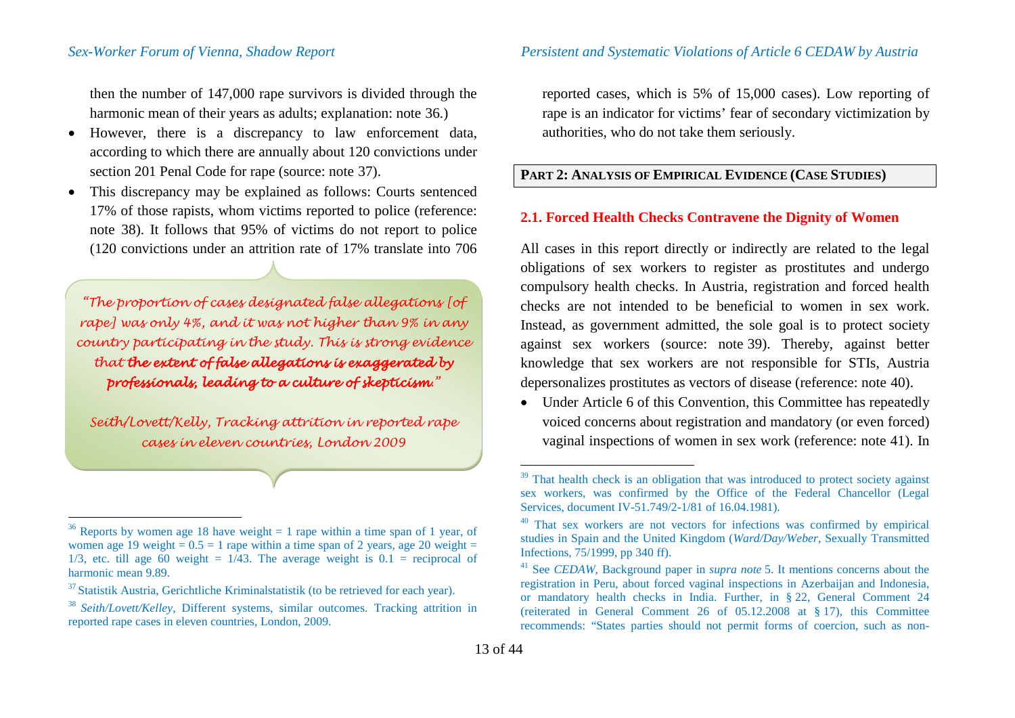then the number of 147,000 rape survivors is divided through the harmonic mean of their years as adults; explanation: note [36.](#page-12-0))

- However, there is a discrepancy to law enforcement data, according to which there are annually about 120 convictions under section 201 Penal Code for rape (source: note [37](#page-12-1)).
- This discrepancy may be explained as follows: Courts sentenced 17% of those rapists, whom victims reported to police (reference: note [38\)](#page-12-2). It follows that 95% of victims do not report to police (120 convictions under an attrition rate of 17% translate into 706

*"The proportion of cases designated false allegations [of rape] was only 4%, and it was not higher than 9% in any country participating in the study. This is strong evidence that the extent of false allegations is exaggerated by professionals, leading to a culture of skepticism."*

*Seith/Lovett/Kelly, Tracking attrition in reported rape cases in eleven countries, London 2009*

<span id="page-12-5"></span><span id="page-12-4"></span><span id="page-12-3"></span><span id="page-12-2"></span><span id="page-12-1"></span><span id="page-12-0"></span>reported cases, which is 5% of 15,000 cases). Low reporting of rape is an indicator for victims' fear of secondary victimization by authorities, who do not take them seriously.

# **PART 2: ANALYSIS OF EMPIRICAL EVIDENCE (CASE STUDIES)**

## **2.1. Forced Health Checks Contravene the Dignity of Women**

All cases in this report directly or indirectly are related to the legal obligations of sex workers to register as prostitutes and undergo compulsory health checks. In Austria, registration and forced health checks are not intended to be beneficial to women in sex work. Instead, as government admitted, the sole goal is to protect society against sex workers (source: note [39](#page-12-3)). Thereby, against better knowledge that sex workers are not responsible for STIs, Austria depersonalizes prostitutes as vectors of disease (reference: note [40\)](#page-12-4).

<span id="page-12-6"></span>• Under Article 6 of this Convention, this Committee has repeatedly voiced concerns about registration and mandatory (or even forced) vaginal inspections of women in sex work (reference: note [41\)](#page-12-5). In

<sup>&</sup>lt;sup>36</sup> Reports by women age 18 have weight  $= 1$  rape within a time span of 1 year, of women age 19 weight =  $0.5 = 1$  rape within a time span of 2 years, age 20 weight = 1/3, etc. till age 60 weight =  $1/43$ . The average weight is  $0.1$  = reciprocal of harmonic mean 9.89.

 $37$  Statistik Austria, Gerichtliche Kriminalstatistik (to be retrieved for each year).

<sup>38</sup> *Seith/Lovett/Kelley*, Different systems, similar outcomes. Tracking attrition in reported rape cases in eleven countries, London, 2009.

 $39$  That health check is an obligation that was introduced to protect society against sex workers, was confirmed by the Office of the Federal Chancellor (Legal Services, document IV-51.749/2-1/81 of 16.04.1981).<br><sup>40</sup> That sex workers are not vectors for infections was confirmed by empirical

studies in Spain and the United Kingdom (*Ward/Day/Weber*, Sexually Transmitted

<sup>&</sup>lt;sup>41</sup> See *CEDAW*, Background paper in *supra note* [5.](#page-5-8) It mentions concerns about the registration in Peru, about forced vaginal inspections in Azerbaijan and Indonesia, or mandatory health checks in India. Further, in § 22, General Comment 24 (reiterated in General Comment 26 of 05.12.2008 at § 17), this Committee recommends: "States parties should not permit forms of coercion, such as non-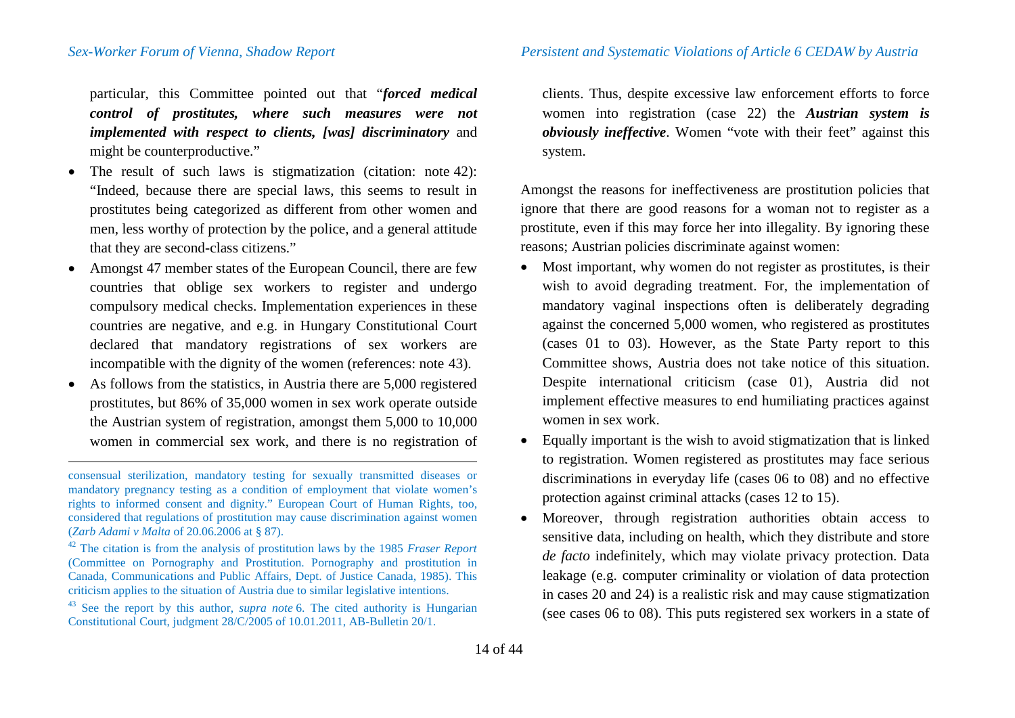particular, this Committee pointed out that "*forced medical control of prostitutes, where such measures were not implemented with respect to clients, [was] discriminatory* and might be counterproductive."

- The result of such laws is stigmatization (citation: note [42](#page-13-0)): "Indeed, because there are special laws, this seems to result in prostitutes being categorized as different from other women and men, less worthy of protection by the police, and a general attitude that they are second-class citizens."
- Amongst 47 member states of the European Council, there are few countries that oblige sex workers to register and undergo compulsory medical checks. Implementation experiences in these countries are negative, and e.g. in Hungary Constitutional Court declared that mandatory registrations of sex workers are incompatible with the dignity of the women (references: note [43](#page-13-1)).
- As follows from the statistics, in Austria there are 5,000 registered prostitutes, but 86% of 35,000 women in sex work operate outside the Austrian system of registration, amongst them 5,000 to 10,000 women in commercial sex work, and there is no registration of

<span id="page-13-1"></span><span id="page-13-0"></span>clients. Thus, despite excessive law enforcement efforts to force women into registration (case 22) the *Austrian system is obviously ineffective*. Women "vote with their feet" against this system.

Amongst the reasons for ineffectiveness are prostitution policies that ignore that there are good reasons for a woman not to register as a prostitute, even if this may force her into illegality. By ignoring these reasons; Austrian policies discriminate against women:

- Most important, why women do not register as prostitutes, is their wish to avoid degrading treatment. For, the implementation of mandatory vaginal inspections often is deliberately degrading against the concerned 5,000 women, who registered as prostitutes (cases 01 to 03). However, as the State Party report to this Committee shows, Austria does not take notice of this situation. Despite international criticism (case 01), Austria did not implement effective measures to end humiliating practices against women in sex work.
- Equally important is the wish to avoid stigmatization that is linked to registration. Women registered as prostitutes may face serious discriminations in everyday life (cases 06 to 08) and no effective protection against criminal attacks (cases 12 to 15).
- Moreover, through registration authorities obtain access to sensitive data, including on health, which they distribute and store *de facto* indefinitely, which may violate privacy protection. Data leakage (e.g. computer criminality or violation of data protection in cases 20 and 24) is a realistic risk and may cause stigmatization (see cases 06 to 08). This puts registered sex workers in a state of

consensual sterilization, mandatory testing for sexually transmitted diseases or mandatory pregnancy testing as a condition of employment that violate women's rights to informed consent and dignity." European Court of Human Rights, too, considered that regulations of prostitution may cause discrimination against women (*Zarb Adami v Malta* of 20.06.2006 at § 87).

<sup>42</sup> The citation is from the analysis of prostitution laws by the 1985 *Fraser Report* (Committee on Pornography and Prostitution. Pornography and prostitution in Canada, Communications and Public Affairs, Dept. of Justice Canada, 1985). This

<sup>&</sup>lt;sup>43</sup> See the report by this author, *supra note* [6.](#page-5-9) The cited authority is Hungarian Constitutional Court, judgment 28/C/2005 of 10.01.2011, AB-Bulletin 20/1.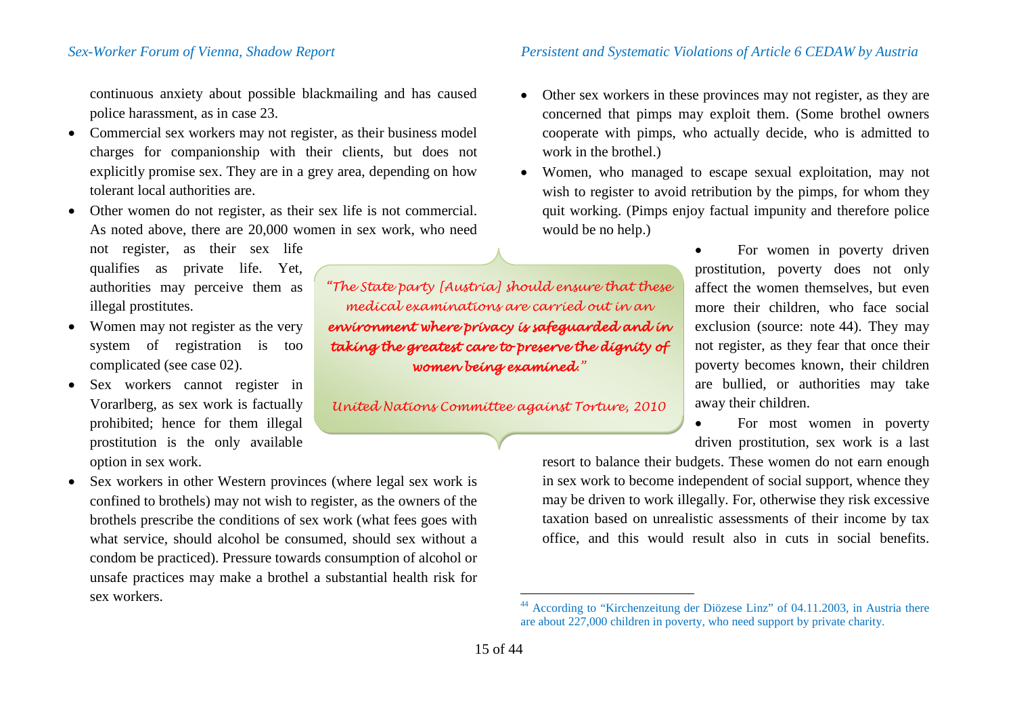continuous anxiety about possible blackmailing and has caused police harassment, as in case 23.

- Commercial sex workers may not register, as their business model charges for companionship with their clients, but does not explicitly promise sex. They are in a grey area, depending on how tolerant local authorities are.
- Other women do not register, as their sex life is not commercial. As noted above, there are 20,000 women in sex work, who need
	- not register, as their sex life qualifies as private life. Yet, authorities may perceive them as illegal prostitutes.
- Women may not register as the very system of registration is too complicated (see case 02).
- Sex workers cannot register in Vorarlberg, as sex work is factually prohibited; hence for them illegal prostitution is the only available option in sex work.
- Sex workers in other Western provinces (where legal sex work is confined to brothels) may not wish to register, as the owners of the brothels prescribe the conditions of sex work (what fees goes with what service, should alcohol be consumed, should sex without a condom be practiced). Pressure towards consumption of alcohol or unsafe practices may make a brothel a substantial health risk for sex workers.

<span id="page-14-0"></span>• Other sex workers in these provinces may not register, as they are concerned that pimps may exploit them. (Some brothel owners cooperate with pimps, who actually decide, who is admitted to work in the brothel.)

• Women, who managed to escape sexual exploitation, may not wish to register to avoid retribution by the pimps, for whom they quit working. (Pimps enjoy factual impunity and therefore police would be no help.)

> For women in poverty driven prostitution, poverty does not only affect the women themselves, but even more their children, who face social exclusion (source: note [44](#page-14-0)). They may not register, as they fear that once their poverty becomes known, their children are bullied, or authorities may take away their children.

For most women in poverty driven prostitution, sex work is a last

resort to balance their budgets. These women do not earn enough in sex work to become independent of social support, whence they may be driven to work illegally. For, otherwise they risk excessive taxation based on unrealistic assessments of their income by tax office, and this would result also in cuts in social benefits.

*"The State party [Austria] should ensure that these medical examinations are carried out in an environment where privacy is safeguarded and in taking the greatest care to preserve the dignity of women being examined."*

*United Nations Committee against Torture, 2010*

According to "Kirchenzeitung der Diözese Linz" of 04.11.2003, in Austria there are about 227,000 children in poverty, who need support by private charity.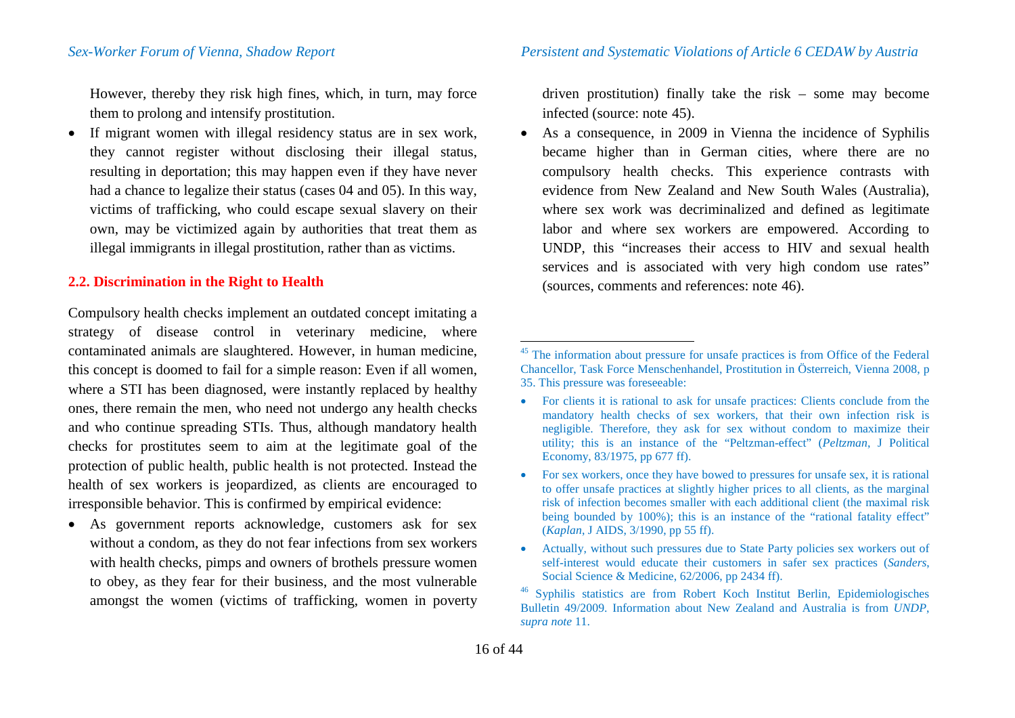However, thereby they risk high fines, which, in turn, may force them to prolong and intensify prostitution.

• If migrant women with illegal residency status are in sex work, they cannot register without disclosing their illegal status, resulting in deportation; this may happen even if they have never had a chance to legalize their status (cases 04 and 05). In this way, victims of trafficking, who could escape sexual slavery on their own, may be victimized again by authorities that treat them as illegal immigrants in illegal prostitution, rather than as victims.

### **2.2. Discrimination in the Right to Health**

Compulsory health checks implement an outdated concept imitating a strategy of disease control in veterinary medicine, where contaminated animals are slaughtered. However, in human medicine, this concept is doomed to fail for a simple reason: Even if all women, where a STI has been diagnosed, were instantly replaced by healthy ones, there remain the men, who need not undergo any health checks and who continue spreading STIs. Thus, although mandatory health checks for prostitutes seem to aim at the legitimate goal of the protection of public health, public health is not protected. Instead the health of sex workers is jeopardized, as clients are encouraged to irresponsible behavior. This is confirmed by empirical evidence:

• As government reports acknowledge, customers ask for sex without a condom, as they do not fear infections from sex workers with health checks, pimps and owners of brothels pressure women to obey, as they fear for their business, and the most vulnerable amongst the women (victims of trafficking, women in poverty

<span id="page-15-1"></span><span id="page-15-0"></span>driven prostitution) finally take the risk – some may become infected (source: note [45](#page-15-0)).

• As a consequence, in 2009 in Vienna the incidence of Syphilis became higher than in German cities, where there are no compulsory health checks. This experience contrasts with evidence from New Zealand and New South Wales (Australia), where sex work was decriminalized and defined as legitimate labor and where sex workers are empowered. According to UNDP, this "increases their access to HIV and sexual health services and is associated with very high condom use rates" (sources, comments and references: note [46](#page-15-1)).

- For sex workers, once they have bowed to pressures for unsafe sex, it is rational to offer unsafe practices at slightly higher prices to all clients, as the marginal risk of infection becomes smaller with each additional client (the maximal risk being bounded by 100%); this is an instance of the "rational fatality effect" (*Kaplan*, J AIDS, 3/1990, pp 55 ff).
- Actually, without such pressures due to State Party policies sex workers out of self-interest would educate their customers in safer sex practices (*Sanders*,

<sup>&</sup>lt;sup>45</sup> The information about pressure for unsafe practices is from Office of the Federal Chancellor, Task Force Menschenhandel, Prostitution in Österreich, Vienna 2008, p 35. This pressure was foreseeable:

<sup>•</sup> For clients it is rational to ask for unsafe practices: Clients conclude from the mandatory health checks of sex workers, that their own infection risk is negligible. Therefore, they ask for sex without condom to maximize their utility; this is an instance of the "Peltzman-effect" (*Peltzman*, J Political Economy, 83/1975, pp 677 ff).

<sup>&</sup>lt;sup>46</sup> Syphilis statistics are from Robert Koch Institut Berlin, Epidemiologisches Bulletin 49/2009. Information about New Zealand and Australia is from *UNDP*, *supra note* [11.](#page-6-2)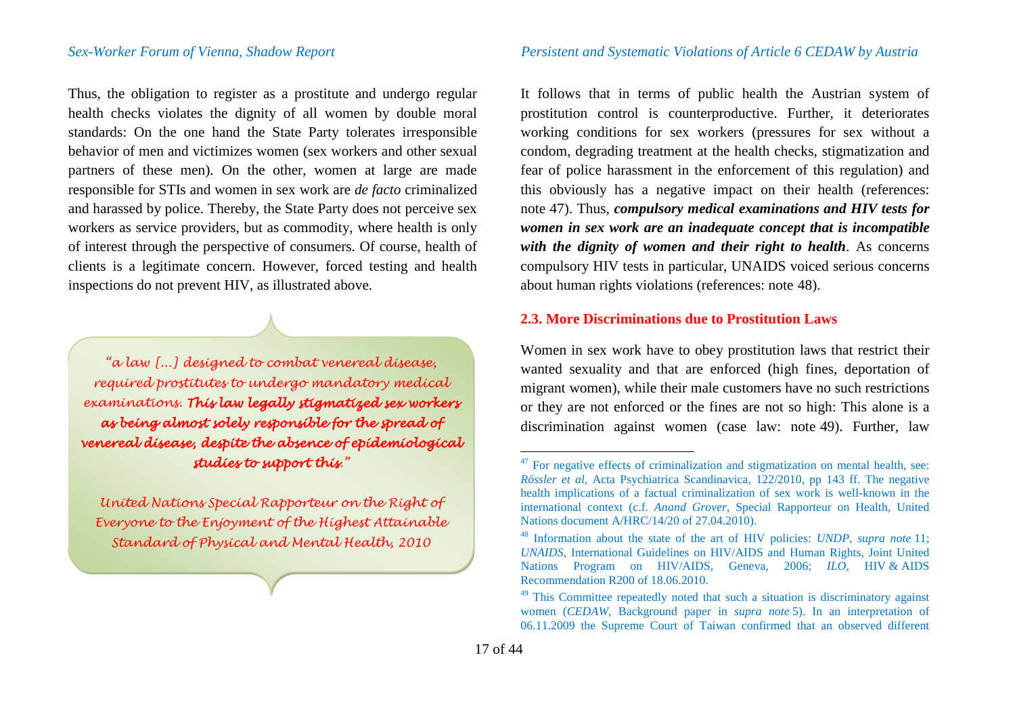Thus, the obligation to register as a prostitute and undergo regular health checks violates the dignity of all women by double moral standards: On the one hand the State Party tolerates irresponsible behavior of men and victimizes women (sex workers and other sexual partners of these men). On the other, women at large are made responsible for STIs and women in sex work are *de facto* criminalized and harassed by police. Thereby, the State Party does not perceive sex workers as service providers, but as commodity, where health is only of interest through the perspective of consumers. Of course, health of clients is a legitimate concern. However, forced testing and health inspections do not prevent HIV, as illustrated above.

*"a law [...] designed to combat venereal disease, required prostitutes to undergo mandatory medical examinations. This law legally stigmatized sex workers as being almost solely responsible for the spread of venereal disease, despite the absence of epidemiological studies to support this."*

*United Nations Special Rapporteur on the Right of Everyone to the Enjoyment of the Highest Attainable Standard of Physical and Mental Health, 2010*

<span id="page-16-2"></span><span id="page-16-1"></span><span id="page-16-0"></span>It follows that in terms of public health the Austrian system of prostitution control is counterproductive. Further, it deteriorates working conditions for sex workers (pressures for sex without a condom, degrading treatment at the health checks, stigmatization and fear of police harassment in the enforcement of this regulation) and this obviously has a negative impact on their health (references: note [47](#page-16-0)). Thus, *compulsory medical examinations and HIV tests for women in sex work are an inadequate concept that is incompatible with the dignity of women and their right to health*. As concerns compulsory HIV tests in particular, UNAIDS voiced serious concerns about human rights violations (references: note [48\)](#page-16-1).

# **2.3. More Discriminations due to Prostitution Laws**

Women in sex work have to obey prostitution laws that restrict their wanted sexuality and that are enforced (high fines, deportation of migrant women), while their male customers have no such restrictions or they are not enforced or the fines are not so high: This alone is a discrimination against women (case law: note [49](#page-16-2)). Further, law

 $47$  For negative effects of criminalization and stigmatization on mental health, see: *Rössler et al*, Acta Psychiatrica Scandinavica, 122/2010, pp 143 ff. The negative health implications of a factual criminalization of sex work is well-known in the international context (c.f. *Anand Grover*, Special Rapporteur on Health, United Nations document A/HRC/14/20 of 27.04.2010).

<sup>48</sup> Information about the state of the art of HIV policies: *UNDP*, *supra note* [11;](#page-6-2) *UNAIDS*, International Guidelines on HIV/AIDS and Human Rights, Joint United Nations Program on HIV/AIDS, Geneva, 2006; *ILO*, HIV & AIDS Recommendation R200 of 18.06.2010.

<sup>&</sup>lt;sup>49</sup> This Committee repeatedly noted that such a situation is discriminatory against women (*CEDAW*, Background paper in *supra note* [5\)](#page-5-8). In an interpretation of 06.11.2009 the Supreme Court of Taiwan confirmed that an observed different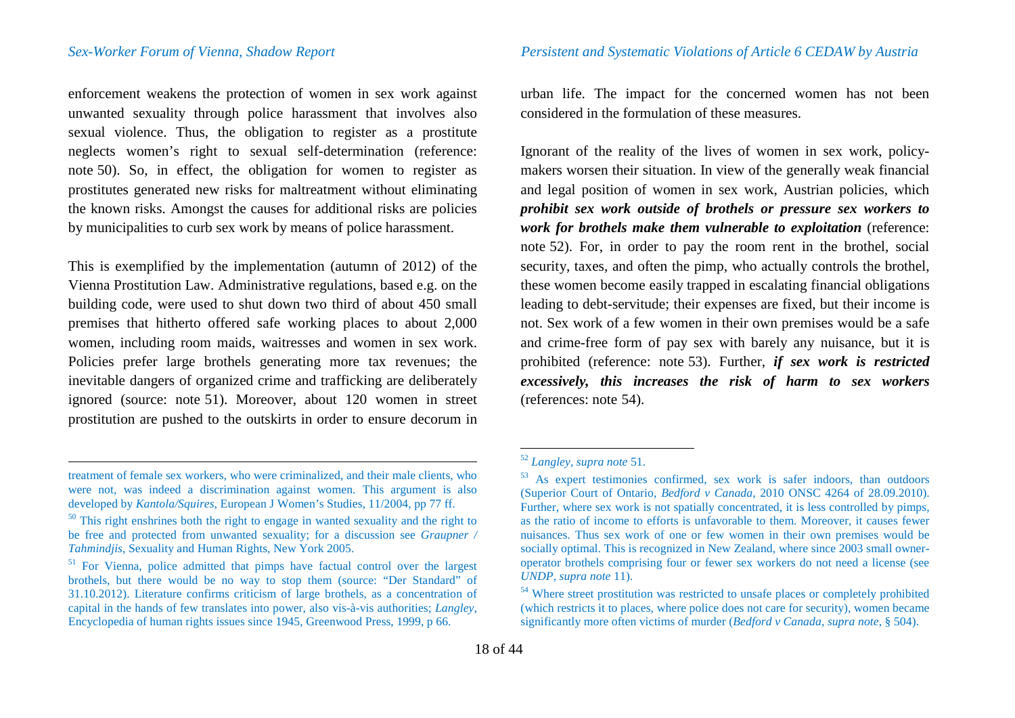enforcement weakens the protection of women in sex work against unwanted sexuality through police harassment that involves also sexual violence. Thus, the obligation to register as a prostitute neglects women's right to sexual self-determination (reference: note [50\)](#page-17-1). So, in effect, the obligation for women to register as prostitutes generated new risks for maltreatment without eliminating the known risks. Amongst the causes for additional risks are policies by municipalities to curb sex work by means of police harassment.

This is exemplified by the implementation (autumn of 2012) of the Vienna Prostitution Law. Administrative regulations, based e.g. on the building code, were used to shut down two third of about 450 small premises that hitherto offered safe working places to about 2,000 women, including room maids, waitresses and women in sex work. Policies prefer large brothels generating more tax revenues; the inevitable dangers of organized crime and trafficking are deliberately ignored (source: note [51\)](#page-17-2). Moreover, about 120 women in street prostitution are pushed to the outskirts in order to ensure decorum in

<span id="page-17-5"></span><span id="page-17-4"></span><span id="page-17-3"></span><span id="page-17-2"></span><span id="page-17-1"></span>urban life. The impact for the concerned women has not been considered in the formulation of these measures.

Ignorant of the reality of the lives of women in sex work, policymakers worsen their situation. In view of the generally weak financial and legal position of women in sex work, Austrian policies, which *prohibit sex work outside of brothels or pressure sex workers to work for brothels make them vulnerable to exploitation* (reference: note [52](#page-17-3)). For, in order to pay the room rent in the brothel, social security, taxes, and often the pimp, who actually controls the brothel, these women become easily trapped in escalating financial obligations leading to debt-servitude; their expenses are fixed, but their income is not. Sex work of a few women in their own premises would be a safe and crime-free form of pay sex with barely any nuisance, but it is prohibited (reference: note [53\)](#page-17-4). Further, *if sex work is restricted excessively, this increases the risk of harm to sex workers* (references: note [54\)](#page-17-5).

<span id="page-17-0"></span>treatment of female sex workers, who were criminalized, and their male clients, who were not, was indeed a discrimination against women. This argument is also developed by *Kantola/Squires*, European J Women's Studies, 11/2004, pp 77 ff.

<sup>&</sup>lt;sup>50</sup> This right enshrines both the right to engage in wanted sexuality and the right to be free and protected from unwanted sexuality; for a discussion see *Graupner /* 

<sup>&</sup>lt;sup>51</sup> For Vienna, police admitted that pimps have factual control over the largest brothels, but there would be no way to stop them (source: "Der Standard" of 31.10.2012). Literature confirms criticism of large brothels, as a concentration of capital in the hands of few translates into power, also vis-à-vis authorities; *Langley*, Encyclopedia of human rights issues since 1945, Greenwood Press, 1999, p 66.

<sup>&</sup>lt;sup>52</sup> *Langley*, *supra note* [51.](#page-17-0) <sup>53</sup> As expert testimonies confirmed, sex work is safer indoors, than outdoors (Superior Court of Ontario, *Bedford v Canada*, 2010 ONSC 4264 of 28.09.2010). Further, where sex work is not spatially concentrated, it is less controlled by pimps, as the ratio of income to efforts is unfavorable to them. Moreover, it causes fewer nuisances. Thus sex work of one or few women in their own premises would be socially optimal. This is recognized in New Zealand, where since 2003 small owneroperator brothels comprising four or fewer sex workers do not need a license (see *UNDP*, *supra note* 11).

<sup>&</sup>lt;sup>54</sup> Where street prostitution was restricted to unsafe places or completely prohibited (which restricts it to places, where police does not care for security), women became significantly more often victims of murder (*Bedford v Canada*, *supra note*, § 504).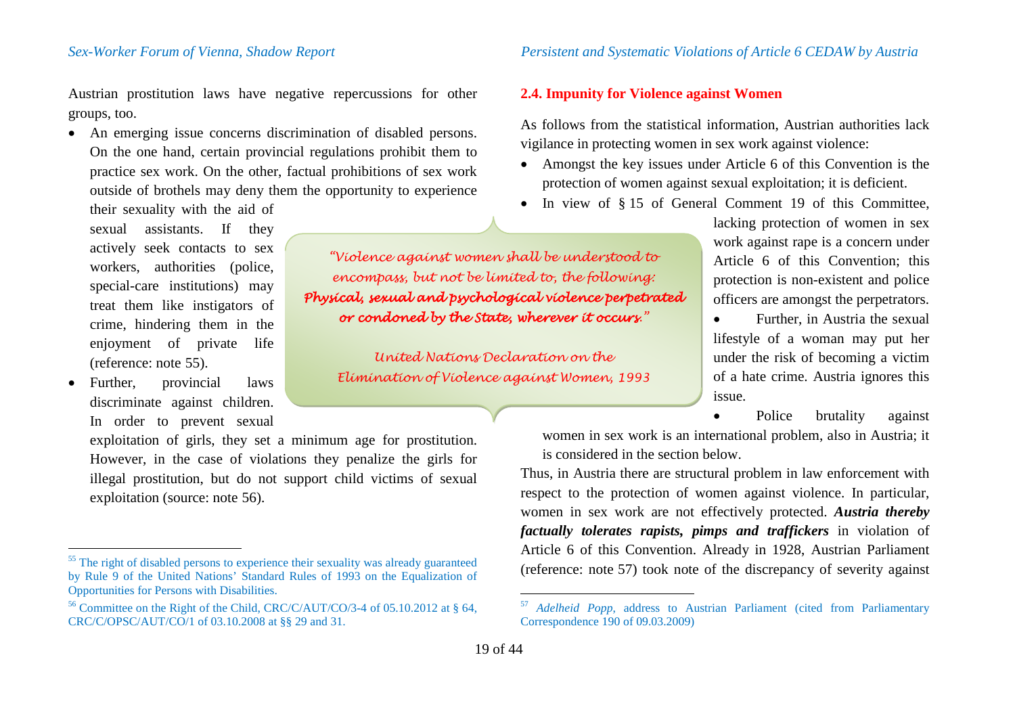Austrian prostitution laws have negative repercussions for other groups, too.

• An emerging issue concerns discrimination of disabled persons. On the one hand, certain provincial regulations prohibit them to practice sex work. On the other, factual prohibitions of sex work outside of brothels may deny them the opportunity to experience

their sexuality with the aid of sexual assistants. If they actively seek contacts to sex workers, authorities (police, special-care institutions) may treat them like instigators of crime, hindering them in the enjoyment of private life (reference: note [55\)](#page-18-0).

• Further, provincial laws discriminate against children. In order to prevent sexual

exploitation of girls, they set a minimum age for prostitution. However, in the case of violations they penalize the girls for illegal prostitution, but do not support child victims of sexual exploitation (source: note [56\)](#page-18-1).

### *Sex-Worker Forum of Vienna, Shadow Report Persistent and Systematic Violations of Article 6 CEDAW by Austria*

### <span id="page-18-1"></span><span id="page-18-0"></span>**2.4. Impunity for Violence against Women**

As follows from the statistical information, Austrian authorities lack vigilance in protecting women in sex work against violence:

- Amongst the key issues under Article 6 of this Convention is the protection of women against sexual exploitation; it is deficient.
- In view of §15 of General Comment 19 of this Committee,

*"Violence against women shall be understood to encompass, but not be limited to, the following: Physical, sexual and psychological violence perpetrated or condoned by the State, wherever it occurs."*

*United Nations Declaration on the Elimination of Violence against Women, 1993* lacking protection of women in sex work against rape is a concern under Article 6 of this Convention; this protection is non-existent and police officers are amongst the perpetrators.

• Further, in Austria the sexual lifestyle of a woman may put her under the risk of becoming a victim of a hate crime. Austria ignores this issue.

Police brutality against

women in sex work is an international problem, also in Austria; it is considered in the section below.

Thus, in Austria there are structural problem in law enforcement with respect to the protection of women against violence. In particular, women in sex work are not effectively protected. *Austria thereby factually tolerates rapists, pimps and traffickers* in violation of Article 6 of this Convention. Already in 1928, Austrian Parliament (reference: note [57\)](#page-18-1) took note of the discrepancy of severity against

<sup>&</sup>lt;sup>55</sup> The right of disabled persons to experience their sexuality was already guaranteed by Rule 9 of the United Nations' Standard Rules of 1993 on the Equalization of

<sup>&</sup>lt;sup>56</sup> Committee on the Right of the Child, CRC/C/AUT/CO/3-4 of 05.10.2012 at § 64, CRC/C/OPSC/AUT/CO/1 of 03.10.2008 at §§ 29 and 31.

 <sup>57</sup> *Adelheid Popp*, address to Austrian Parliament (cited from Parliamentary Correspondence 190 of 09.03.2009)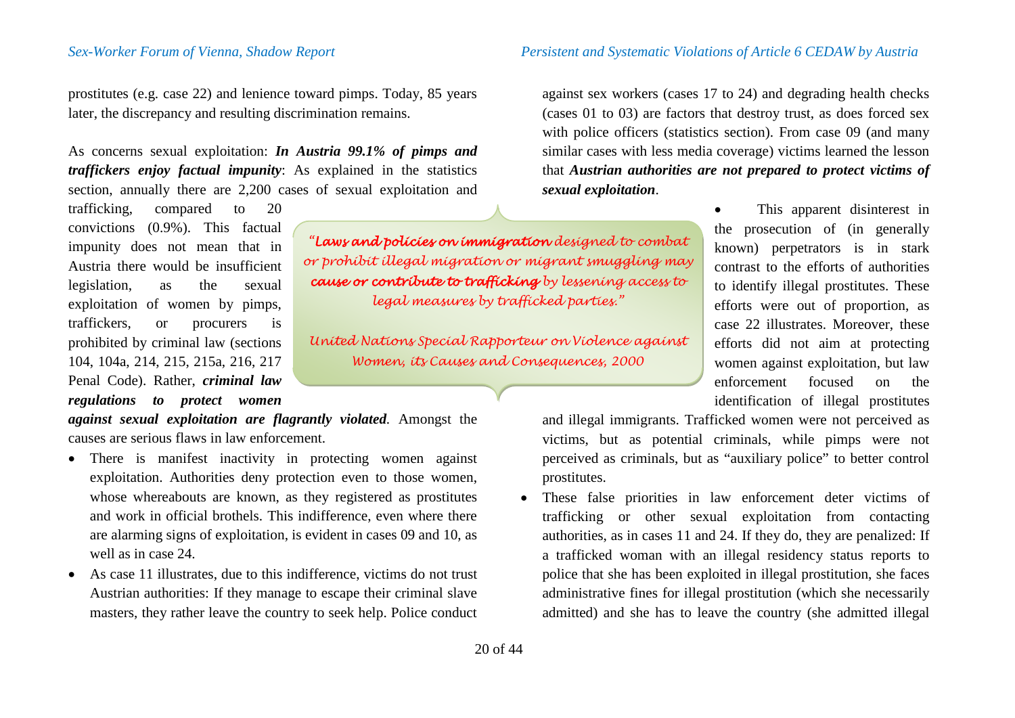prostitutes (e.g. case 22) and lenience toward pimps. Today, 85 years later, the discrepancy and resulting discrimination remains.

As concerns sexual exploitation: *In Austria 99.1% of pimps and traffickers enjoy factual impunity*: As explained in the statistics section, annually there are 2,200 cases of sexual exploitation and

trafficking, compared to 20 convictions (0.9%). This factual impunity does not mean that in Austria there would be insufficient legislation, as the sexual exploitation of women by pimps, traffickers, or procurers is prohibited by criminal law (sections 104, 104a, 214, 215, 215a, 216, 217 Penal Code). Rather, *criminal law regulations to protect women* 

*against sexual exploitation are flagrantly violated.* Amongst the causes are serious flaws in law enforcement.

- There is manifest inactivity in protecting women against exploitation. Authorities deny protection even to those women, whose whereabouts are known, as they registered as prostitutes and work in official brothels. This indifference, even where there are alarming signs of exploitation, is evident in cases 09 and 10, as well as in case 24.
- As case 11 illustrates, due to this indifference, victims do not trust Austrian authorities: If they manage to escape their criminal slave masters, they rather leave the country to seek help. Police conduct

20 of 44

### *Sex-Worker Forum of Vienna, Shadow Report Persistent and Systematic Violations of Article 6 CEDAW by Austria*

against sex workers (cases 17 to 24) and degrading health checks (cases 01 to 03) are factors that destroy trust, as does forced sex with police officers (statistics section). From case 09 (and many similar cases with less media coverage) victims learned the lesson that *Austrian authorities are not prepared to protect victims of sexual exploitation*.

> • This apparent disinterest in the prosecution of (in generally known) perpetrators is in stark contrast to the efforts of authorities to identify illegal prostitutes. These efforts were out of proportion, as case 22 illustrates. Moreover, these efforts did not aim at protecting women against exploitation, but law enforcement focused on the identification of illegal prostitutes

and illegal immigrants. Trafficked women were not perceived as victims, but as potential criminals, while pimps were not perceived as criminals, but as "auxiliary police" to better control prostitutes.

• These false priorities in law enforcement deter victims of trafficking or other sexual exploitation from contacting authorities, as in cases 11 and 24. If they do, they are penalized: If a trafficked woman with an illegal residency status reports to police that she has been exploited in illegal prostitution, she faces administrative fines for illegal prostitution (which she necessarily admitted) and she has to leave the country (she admitted illegal

*or prohibit illegal migration or migrant smuggling may cause or contribute to trafficking by lessening access to legal measures by trafficked parties."*

*United Nations Special Rapporteur on Violence against Women, its Causes and Consequences, 2000*

*"Laws and policies on immigration designed to combat*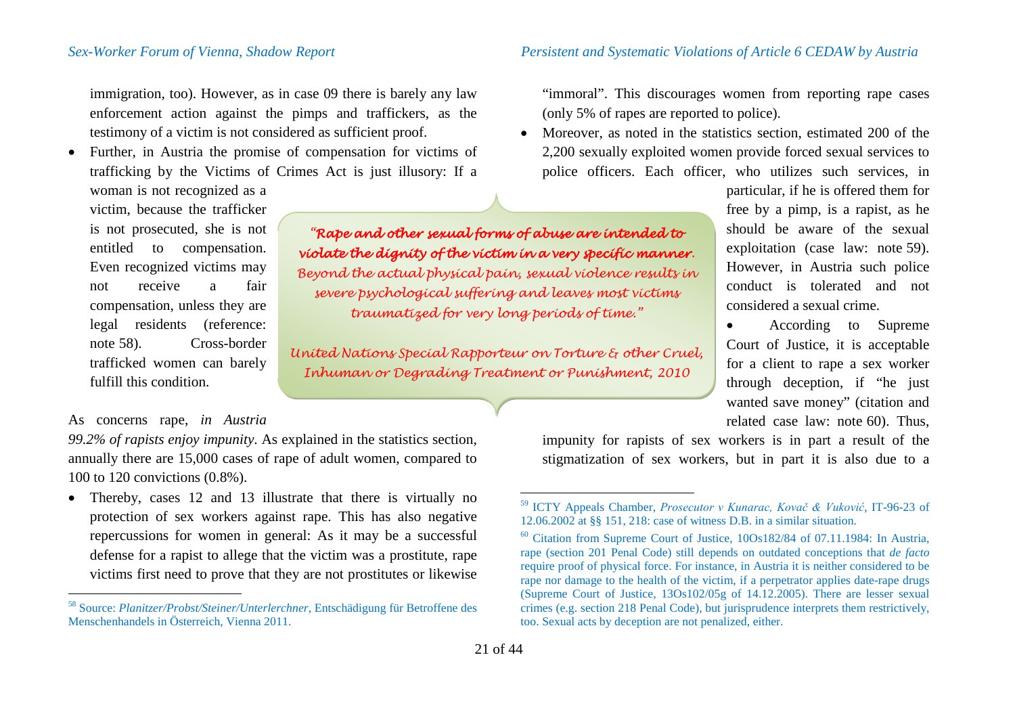immigration, too). However, as in case 09 there is barely any law enforcement action against the pimps and traffickers, as the testimony of a victim is not considered as sufficient proof.

• Further, in Austria the promise of compensation for victims of trafficking by the Victims of Crimes Act is just illusory: If a

woman is not recognized as a victim, because the trafficker is not prosecuted, she is not entitled to compensation. Even recognized victims may not receive a fair compensation, unless they are legal residents (reference: note [58\)](#page-20-0). Cross-border trafficked women can barely fulfill this condition.

## As concerns rape, *in Austria*

*99.2% of rapists enjoy impunity*. As explained in the statistics section, annually there are 15,000 cases of rape of adult women, compared to 100 to 120 convictions (0.8%).

• Thereby, cases 12 and 13 illustrate that there is virtually no protection of sex workers against rape. This has also negative repercussions for women in general: As it may be a successful defense for a rapist to allege that the victim was a prostitute, rape victims first need to prove that they are not prostitutes or likewise

### *Sex-Worker Forum of Vienna, Shadow Report Persistent and Systematic Violations of Article 6 CEDAW by Austria*

<span id="page-20-2"></span><span id="page-20-1"></span><span id="page-20-0"></span>"immoral". This discourages women from reporting rape cases (only 5% of rapes are reported to police).

• Moreover, as noted in the statistics section, estimated 200 of the 2,200 sexually exploited women provide forced sexual services to police officers. Each officer, who utilizes such services, in

> particular, if he is offered them for free by a pimp, is a rapist, as he should be aware of the sexual exploitation (case law: note [59\)](#page-20-1). However, in Austria such police conduct is tolerated and not considered a sexual crime.

• According to Supreme Court of Justice, it is acceptable for a client to rape a sex worker through deception, if "he just wanted save money" (citation and related case law: note [60\)](#page-20-2). Thus,

*"Rape and other sexual forms of abuse are intended to violate the dignity of the victim in a very specific manner. Beyond the actual physical pain, sexual violence results in severe psychological suffering and leaves most victims traumatized for very long periods of time."*

*United Nations Special Rapporteur on Torture & other Cruel, Inhuman or Degrading Treatment or Punishment, 2010*

> impunity for rapists of sex workers is in part a result of the stigmatization of sex workers, but in part it is also due to a

 <sup>58</sup> Source: *Planitzer/Probst/Steiner/Unterlerchner*, Entschädigung für Betroffene des Menschenhandels in Österreich, Vienna 2011.

 <sup>59</sup> ICTY Appeals Chamber, *Prosecutor v Kunarac, Kovač & Vuković*, IT-96-23 of

 $60$  Citation from Supreme Court of Justice,  $100s182/84$  of 07.11.1984: In Austria, rape (section 201 Penal Code) still depends on outdated conceptions that *de facto* require proof of physical force. For instance, in Austria it is neither considered to be rape nor damage to the health of the victim, if a perpetrator applies date-rape drugs (Supreme Court of Justice, 13Os102/05g of 14.12.2005). There are lesser sexual crimes (e.g. section 218 Penal Code), but jurisprudence interprets them restrictively, too. Sexual acts by deception are not penalized, either.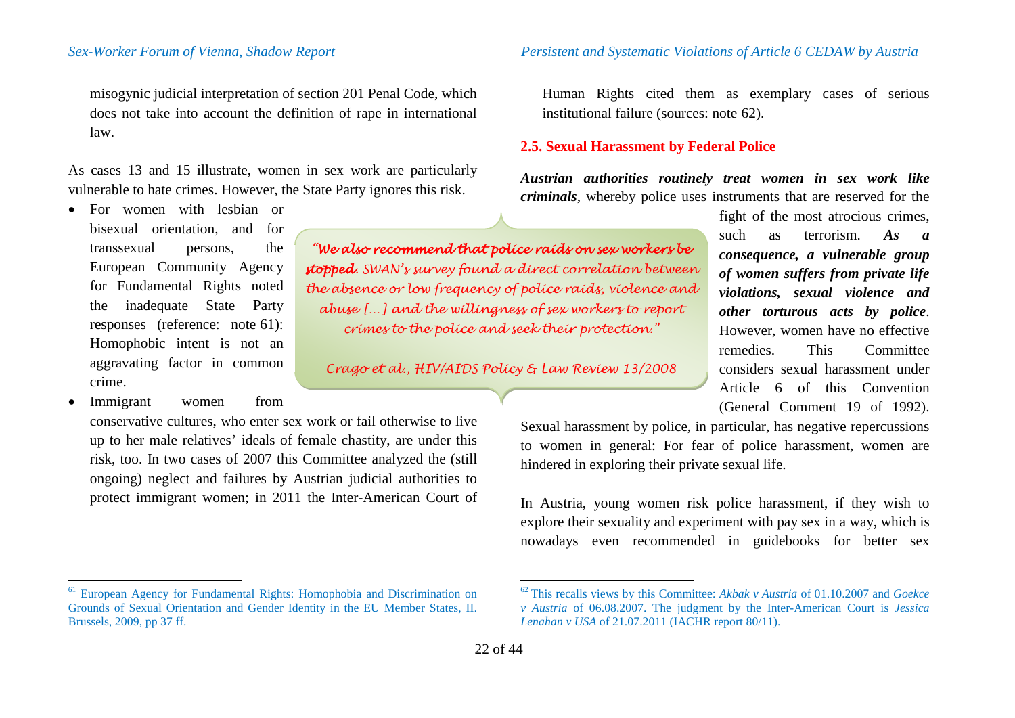misogynic judicial interpretation of section 201 Penal Code, which does not take into account the definition of rape in international law.

As cases 13 and 15 illustrate, women in sex work are particularly vulnerable to hate crimes. However, the State Party ignores this risk.

- For women with lesbian or bisexual orientation, and for transsexual persons, the European Community Agency for Fundamental Rights noted the inadequate State Party responses (reference: note [61\)](#page-21-0): Homophobic intent is not an aggravating factor in common crime.
- Immigrant women from

conservative cultures, who enter sex work or fail otherwise to live up to her male relatives' ideals of female chastity, are under this risk, too. In two cases of 2007 this Committee analyzed the (still ongoing) neglect and failures by Austrian judicial authorities to protect immigrant women; in 2011 the Inter-American Court of

<sup>61</sup> European Agency for Fundamental Rights: Homophobia and Discrimination on Grounds of Sexual Orientation and Gender Identity in the EU Member States, II. Brussels, 2009, pp 37 ff.

<span id="page-21-0"></span>Human Rights cited them as exemplary cases of serious institutional failure (sources: note [62](#page-21-0)).

# **2.5. Sexual Harassment by Federal Police**

*Austrian authorities routinely treat women in sex work like criminals*, whereby police uses instruments that are reserved for the

*"We also recommend that police raids on sex workers be stopped. SWAN's survey found a direct correlation between the absence or low frequency of police raids, violence and abuse […] and the willingness of sex workers to report crimes to the police and seek their protection."*

*Crago et al., HIV/AIDS Policy & Law Review 13/2008*

fight of the most atrocious crimes, such as terrorism. *As a consequence, a vulnerable group of women suffers from private life violations, sexual violence and other torturous acts by police*. However, women have no effective remedies. This Committee considers sexual harassment under Article 6 of this Convention (General Comment 19 of 1992).

Sexual harassment by police, in particular, has negative repercussions to women in general: For fear of police harassment, women are hindered in exploring their private sexual life.

In Austria, young women risk police harassment, if they wish to explore their sexuality and experiment with pay sex in a way, which is nowadays even recommended in guidebooks for better sex

 <sup>62</sup> This recalls views by this Committee: *Akbak v Austria* of 01.10.2007 and *Goekce v Austria* of 06.08.2007. The judgment by the Inter-American Court is *Jessica Lenahan v USA* of 21.07.2011 (IACHR report 80/11).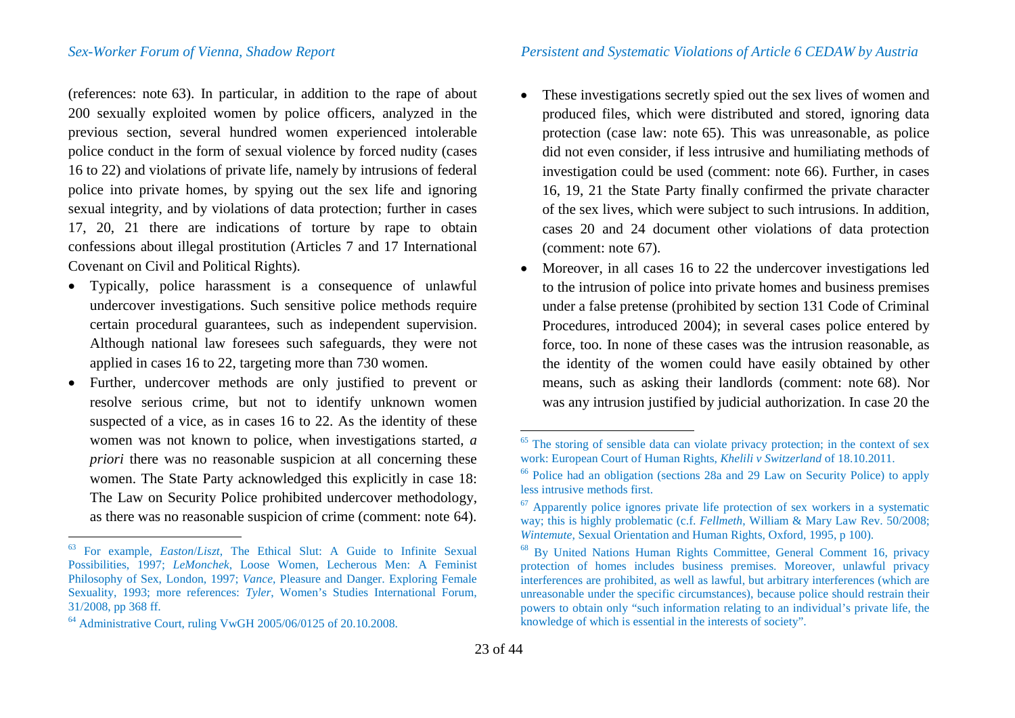(references: note [63](#page-22-0)). In particular, in addition to the rape of about 200 sexually exploited women by police officers, analyzed in the previous section, several hundred women experienced intolerable police conduct in the form of sexual violence by forced nudity (cases 16 to 22) and violations of private life, namely by intrusions of federal police into private homes, by spying out the sex life and ignoring sexual integrity, and by violations of data protection; further in cases 17, 20, 21 there are indications of torture by rape to obtain confessions about illegal prostitution (Articles 7 and 17 International Covenant on Civil and Political Rights).

- Typically, police harassment is a consequence of unlawful undercover investigations. Such sensitive police methods require certain procedural guarantees, such as independent supervision. Although national law foresees such safeguards, they were not applied in cases 16 to 22, targeting more than 730 women.
- Further, undercover methods are only justified to prevent or resolve serious crime, but not to identify unknown women suspected of a vice, as in cases 16 to 22. As the identity of these women was not known to police, when investigations started, *a priori* there was no reasonable suspicion at all concerning these women. The State Party acknowledged this explicitly in case 18: The Law on Security Police prohibited undercover methodology, as there was no reasonable suspicion of crime (comment: note [64](#page-22-1)).
- <span id="page-22-5"></span><span id="page-22-4"></span><span id="page-22-3"></span><span id="page-22-2"></span><span id="page-22-1"></span><span id="page-22-0"></span>• These investigations secretly spied out the sex lives of women and produced files, which were distributed and stored, ignoring data protection (case law: note [65](#page-22-2)). This was unreasonable, as police did not even consider, if less intrusive and humiliating methods of investigation could be used (comment: note [66](#page-22-3)). Further, in cases 16, 19, 21 the State Party finally confirmed the private character of the sex lives, which were subject to such intrusions. In addition, cases 20 and 24 document other violations of data protection (comment: note [67](#page-22-4)).
- Moreover, in all cases 16 to 22 the undercover investigations led to the intrusion of police into private homes and business premises under a false pretense (prohibited by section 131 Code of Criminal Procedures, introduced 2004); in several cases police entered by force, too. In none of these cases was the intrusion reasonable, as the identity of the women could have easily obtained by other means, such as asking their landlords (comment: note [68\)](#page-22-5). Nor was any intrusion justified by judicial authorization. In case 20 the

 <sup>63</sup> For example, *Easton*/*Liszt*, The Ethical Slut: A Guide to Infinite Sexual Possibilities, 1997; *LeMonchek*, Loose Women, Lecherous Men: A Feminist Philosophy of Sex, London, 1997; *Vance*, Pleasure and Danger. Exploring Female Sexuality, 1993; more references: *Tyler*, Women's Studies International Forum, 31/2008, pp 368 ff.

<sup>64</sup> Administrative Court, ruling VwGH 2005/06/0125 of 20.10.2008.

<sup>&</sup>lt;sup>65</sup> The storing of sensible data can violate privacy protection; in the context of sex work: European Court of Human Rights, *Khelili v Switzerland* of  $18.10.2011$ .

<sup>&</sup>lt;sup>66</sup> Police had an obligation (sections 28a and 29 Law on Security Police) to apply less intrusive methods first.

 $67$  Apparently police ignores private life protection of sex workers in a systematic way; this is highly problematic (c.f. *Fellmeth*, William & Mary Law Rev. 50/2008; Wintemute, Sexual Orientation and Human Rights, Oxford, 1995, p 100).

<sup>&</sup>lt;sup>68</sup> By United Nations Human Rights Committee, General Comment 16, privacy protection of homes includes business premises. Moreover, unlawful privacy interferences are prohibited, as well as lawful, but arbitrary interferences (which are unreasonable under the specific circumstances), because police should restrain their powers to obtain only "such information relating to an individual's private life, the knowledge of which is essential in the interests of society".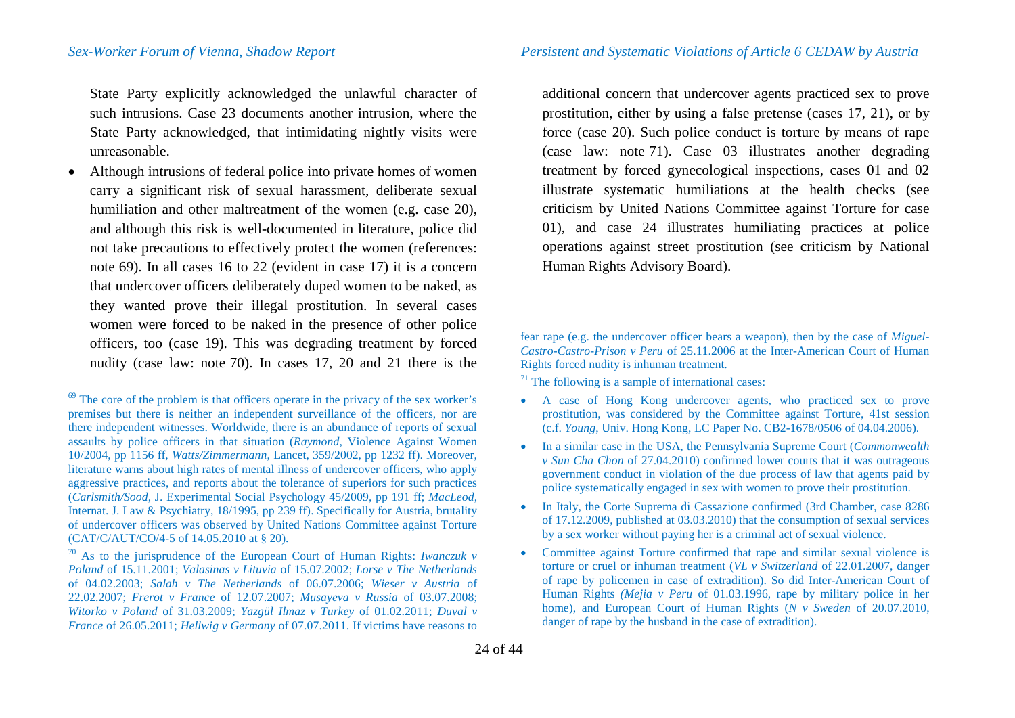State Party explicitly acknowledged the unlawful character of such intrusions. Case 23 documents another intrusion, where the State Party acknowledged, that intimidating nightly visits were unreasonable.

• Although intrusions of federal police into private homes of women carry a significant risk of sexual harassment, deliberate sexual humiliation and other maltreatment of the women (e.g. case 20), and although this risk is well-documented in literature, police did not take precautions to effectively protect the women (references: note [69\)](#page-23-0). In all cases 16 to 22 (evident in case 17) it is a concern that undercover officers deliberately duped women to be naked, as they wanted prove their illegal prostitution. In several cases women were forced to be naked in the presence of other police officers, too (case 19). This was degrading treatment by forced nudity (case law: note [70\)](#page-23-1). In cases 17, 20 and 21 there is the <span id="page-23-2"></span><span id="page-23-1"></span><span id="page-23-0"></span>additional concern that undercover agents practiced sex to prove prostitution, either by using a false pretense (cases 17, 21), or by force (case 20). Such police conduct is torture by means of rape (case law: note [71](#page-23-2)). Case 03 illustrates another degrading treatment by forced gynecological inspections, cases 01 and 02 illustrate systematic humiliations at the health checks (see criticism by United Nations Committee against Torture for case 01), and case 24 illustrates humiliating practices at police operations against street prostitution (see criticism by National Human Rights Advisory Board).

fear rape (e.g. the undercover officer bears a weapon), then by the case of *Miguel-Castro-Castro-Prison v Peru* of 25.11.2006 at the Inter-American Court of Human Rights forced nudity is inhuman treatment.

 $71$  The following is a sample of international cases:

- A case of Hong Kong undercover agents, who practiced sex to prove prostitution, was considered by the Committee against Torture, 41st session (c.f. *Young*, Univ. Hong Kong, LC Paper No. CB2-1678/0506 of 04.04.2006).
- In a similar case in the USA, the Pennsylvania Supreme Court (*Commonwealth v Sun Cha Chon* of 27.04.2010) confirmed lower courts that it was outrageous government conduct in violation of the due process of law that agents paid by police systematically engaged in sex with women to prove their prostitution.
- In Italy, the Corte Suprema di Cassazione confirmed (3rd Chamber, case 8286 of 17.12.2009, published at 03.03.2010) that the consumption of sexual services by a sex worker without paying her is a criminal act of sexual violence.
- Committee against Torture confirmed that rape and similar sexual violence is torture or cruel or inhuman treatment (*VL v Switzerland* of 22.01.2007, danger of rape by policemen in case of extradition). So did Inter-American Court of Human Rights *(Mejia v Peru* of 01.03.1996, rape by military police in her home), and European Court of Human Rights (*N v Sweden* of 20.07.2010, danger of rape by the husband in the case of extradition).

 $\overline{a}$ 

 $69$  The core of the problem is that officers operate in the privacy of the sex worker's premises but there is neither an independent surveillance of the officers, nor are there independent witnesses. Worldwide, there is an abundance of reports of sexual assaults by police officers in that situation (*Raymond*, Violence Against Women 10/2004, pp 1156 ff, *Watts/Zimmermann*, Lancet, 359/2002, pp 1232 ff). Moreover, literature warns about high rates of mental illness of undercover officers, who apply aggressive practices, and reports about the tolerance of superiors for such practices (*Carlsmith/Sood*, J. Experimental Social Psychology 45/2009, pp 191 ff; *MacLeod*, Internat. J. Law & Psychiatry, 18/1995, pp 239 ff). Specifically for Austria, brutality of undercover officers was observed by United Nations Committee against Torture (CAT/C/AUT/CO/4-5 of 14.05.2010 at § 20).

<sup>&</sup>lt;sup>70</sup> As to the jurisprudence of the European Court of Human Rights: *Iwanczuk v Poland* of 15.11.2001; *Valasinas v Lituvia* of 15.07.2002; *Lorse v The Netherlands* of 04.02.2003; *Salah v The Netherlands* of 06.07.2006; *Wieser v Austria* of 22.02.2007; *Frerot v France* of 12.07.2007; *Musayeva v Russia* of 03.07.2008; *Witorko v Poland* of 31.03.2009; *Yazgül Ilmaz v Turkey* of 01.02.2011; *Duval v France* of 26.05.2011; *Hellwig v Germany* of 07.07.2011. If victims have reasons to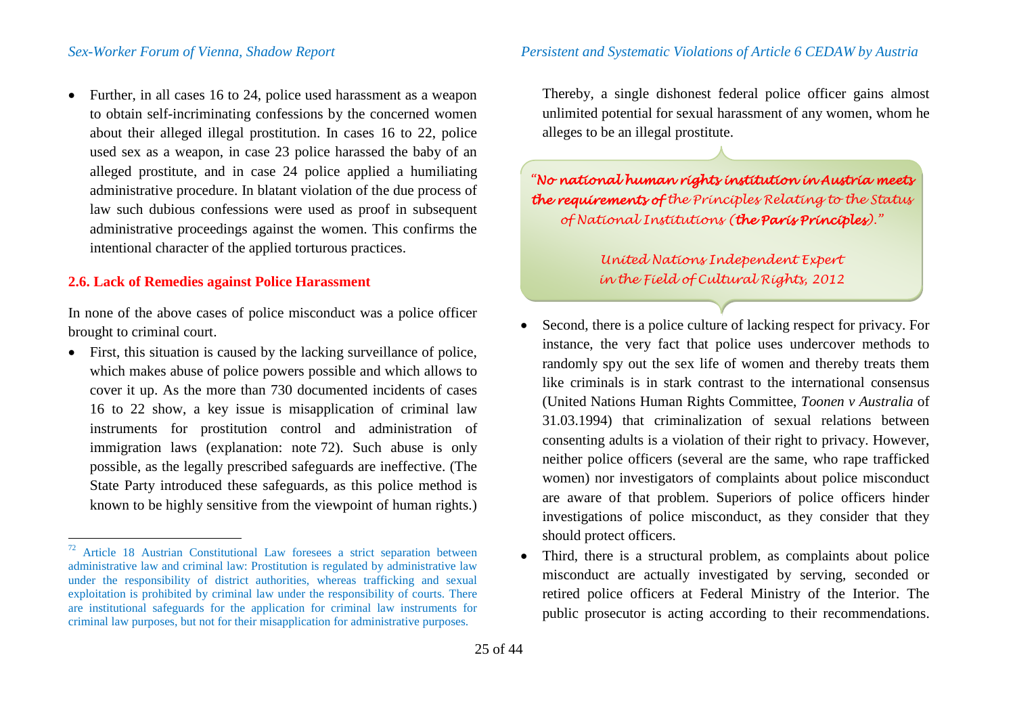• Further, in all cases 16 to 24, police used harassment as a weapon to obtain self-incriminating confessions by the concerned women about their alleged illegal prostitution. In cases 16 to 22, police used sex as a weapon, in case 23 police harassed the baby of an alleged prostitute, and in case 24 police applied a humiliating administrative procedure. In blatant violation of the due process of law such dubious confessions were used as proof in subsequent administrative proceedings against the women. This confirms the intentional character of the applied torturous practices.

## **2.6. Lack of Remedies against Police Harassment**

In none of the above cases of police misconduct was a police officer brought to criminal court.

• First, this situation is caused by the lacking surveillance of police, which makes abuse of police powers possible and which allows to cover it up. As the more than 730 documented incidents of cases 16 to 22 show, a key issue is misapplication of criminal law instruments for prostitution control and administration of immigration laws (explanation: note [72](#page-24-0)). Such abuse is only possible, as the legally prescribed safeguards are ineffective. (The State Party introduced these safeguards, as this police method is known to be highly sensitive from the viewpoint of human rights.) <span id="page-24-0"></span>Thereby, a single dishonest federal police officer gains almost unlimited potential for sexual harassment of any women, whom he alleges to be an illegal prostitute.

*"No national human rights institution in Austria meets the requirements of the Principles Relating to the Status of National Institutions (the Paris Principles)."*

> *United Nations Independent Expert in the Field of Cultural Rights, 2012*

- Second, there is a police culture of lacking respect for privacy. For instance, the very fact that police uses undercover methods to randomly spy out the sex life of women and thereby treats them like criminals is in stark contrast to the international consensus (United Nations Human Rights Committee, *Toonen v Australia* of 31.03.1994) that criminalization of sexual relations between consenting adults is a violation of their right to privacy. However, neither police officers (several are the same, who rape trafficked women) nor investigators of complaints about police misconduct are aware of that problem. Superiors of police officers hinder investigations of police misconduct, as they consider that they should protect officers.
- Third, there is a structural problem, as complaints about police misconduct are actually investigated by serving, seconded or retired police officers at Federal Ministry of the Interior. The public prosecutor is acting according to their recommendations.

 $72$  Article 18 Austrian Constitutional Law foresees a strict separation between administrative law and criminal law: Prostitution is regulated by administrative law under the responsibility of district authorities, whereas trafficking and sexual exploitation is prohibited by criminal law under the responsibility of courts. There are institutional safeguards for the application for criminal law instruments for criminal law purposes, but not for their misapplication for administrative purposes.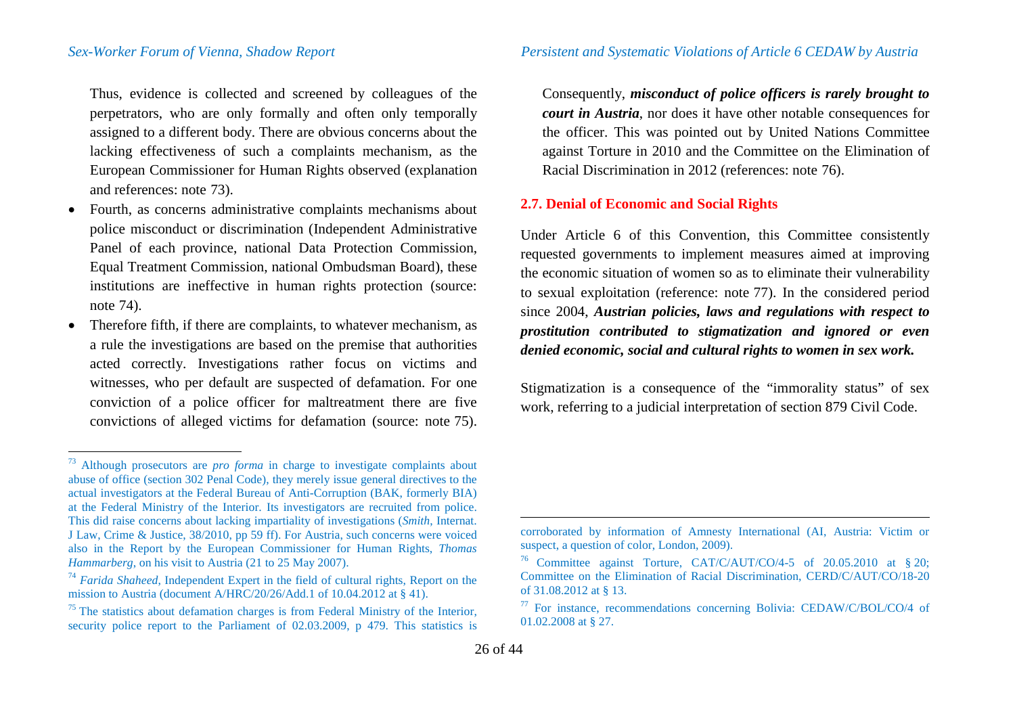Thus, evidence is collected and screened by colleagues of the perpetrators, who are only formally and often only temporally assigned to a different body. There are obvious concerns about the lacking effectiveness of such a complaints mechanism, as the European Commissioner for Human Rights observed (explanation and references: note [73\)](#page-25-0).

- Fourth, as concerns administrative complaints mechanisms about police misconduct or discrimination (Independent Administrative Panel of each province, national Data Protection Commission, Equal Treatment Commission, national Ombudsman Board), these institutions are ineffective in human rights protection (source: note [74\)](#page-25-1).
- Therefore fifth, if there are complaints, to whatever mechanism, as a rule the investigations are based on the premise that authorities acted correctly. Investigations rather focus on victims and witnesses, who per default are suspected of defamation. For one conviction of a police officer for maltreatment there are five convictions of alleged victims for defamation (source: note [75\)](#page-25-2).

<span id="page-25-4"></span><span id="page-25-3"></span><span id="page-25-2"></span><span id="page-25-1"></span><span id="page-25-0"></span>Consequently, *misconduct of police officers is rarely brought to court in Austria*, nor does it have other notable consequences for the officer. This was pointed out by United Nations Committee against Torture in 2010 and the Committee on the Elimination of Racial Discrimination in 2012 (references: note [76\)](#page-25-3).

### **2.7. Denial of Economic and Social Rights**

Under Article 6 of this Convention, this Committee consistently requested governments to implement measures aimed at improving the economic situation of women so as to eliminate their vulnerability to sexual exploitation (reference: note [77](#page-25-4)). In the considered period since 2004, *Austrian policies, laws and regulations with respect to prostitution contributed to stigmatization and ignored or even denied economic, social and cultural rights to women in sex work.*

Stigmatization is a consequence of the "immorality status" of sex work, referring to a judicial interpretation of section 879 Civil Code.

 $\overline{a}$ 

 <sup>73</sup> Although prosecutors are *pro forma* in charge to investigate complaints about abuse of office (section 302 Penal Code), they merely issue general directives to the actual investigators at the Federal Bureau of Anti-Corruption (BAK, formerly BIA) at the Federal Ministry of the Interior. Its investigators are recruited from police. This did raise concerns about lacking impartiality of investigations (*Smith*, Internat. J Law, Crime & Justice, 38/2010, pp 59 ff). For Austria, such concerns were voiced also in the Report by the European Commissioner for Human Rights, *Thomas* 

*Hammarberg*, on his visit to Austria (21 to 25 May 2007).<br><sup>74</sup> *Farida Shaheed*, Independent Expert in the field of cultural rights, Report on the mission to Austria (document A/HRC/20/26/Add.1 of 10.04.2012 at 8.41).

 $<sup>75</sup>$  The statistics about defamation charges is from Federal Ministry of the Interior,</sup> security police report to the Parliament of 02.03.2009, p 479. This statistics is

corroborated by information of Amnesty International (AI, Austria: Victim or suspect, a question of color, London, 2009).

<sup>76</sup> Committee against Torture, CAT/C/AUT/CO/4-5 of 20.05.2010 at § 20; Committee on the Elimination of Racial Discrimination, CERD/C/AUT/CO/18-20 of 31.08.2012 at § 13.<br><sup>77</sup> For instance, recommendations concerning Bolivia: CEDAW/C/BOL/CO/4 of

<sup>01.02.2008</sup> at § 27.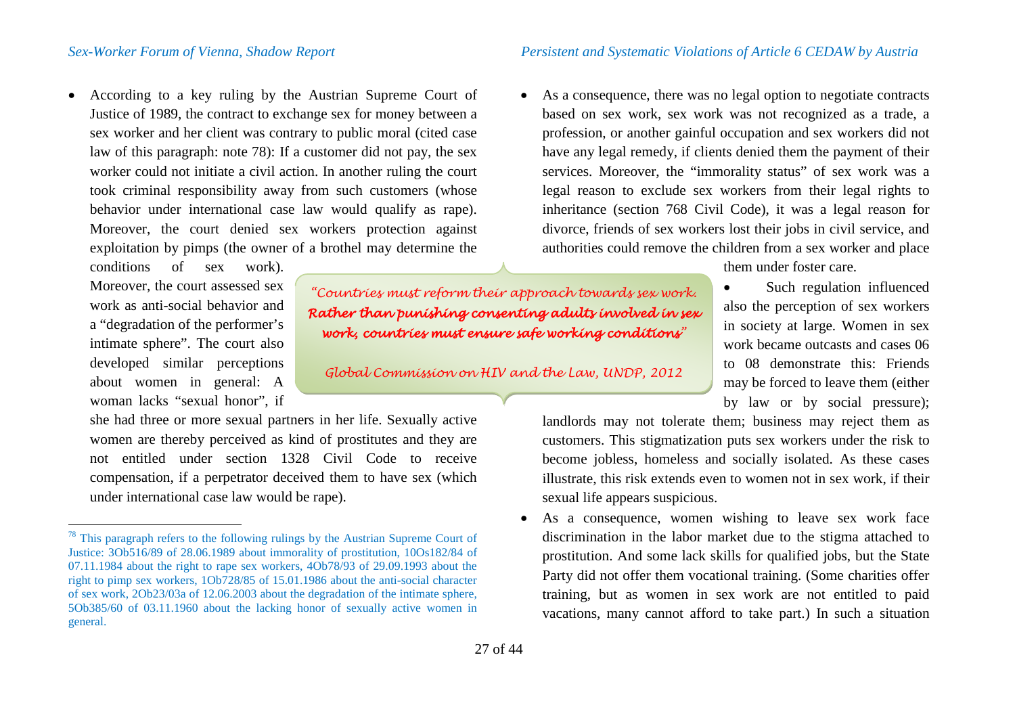• According to a key ruling by the Austrian Supreme Court of Justice of 1989, the contract to exchange sex for money between a sex worker and her client was contrary to public moral (cited case law of this paragraph: note [78\)](#page-26-0): If a customer did not pay, the sex worker could not initiate a civil action. In another ruling the court took criminal responsibility away from such customers (whose behavior under international case law would qualify as rape). Moreover, the court denied sex workers protection against exploitation by pimps (the owner of a brothel may determine the

conditions of sex work). Moreover, the court assessed sex work as anti-social behavior and a "degradation of the performer's intimate sphere". The court also developed similar perceptions about women in general: A woman lacks "sexual honor", if

she had three or more sexual partners in her life. Sexually active women are thereby perceived as kind of prostitutes and they are not entitled under section 1328 Civil Code to receive compensation, if a perpetrator deceived them to have sex (which under international case law would be rape).

*"Countries must reform their approach towards sex work. Rather than punishing consenting adults involved in sex work, countries must ensure safe working conditions"*

*Global Commission on HIV and the Law, UNDP, 2012*

<span id="page-26-0"></span>• As a consequence, there was no legal option to negotiate contracts based on sex work, sex work was not recognized as a trade, a profession, or another gainful occupation and sex workers did not have any legal remedy, if clients denied them the payment of their services. Moreover, the "immorality status" of sex work was a legal reason to exclude sex workers from their legal rights to inheritance (section 768 Civil Code), it was a legal reason for divorce, friends of sex workers lost their jobs in civil service, and authorities could remove the children from a sex worker and place

them under foster care.

• Such regulation influenced also the perception of sex workers in society at large. Women in sex work became outcasts and cases 06 to 08 demonstrate this: Friends may be forced to leave them (either by law or by social pressure);

landlords may not tolerate them; business may reject them as customers. This stigmatization puts sex workers under the risk to become jobless, homeless and socially isolated. As these cases illustrate, this risk extends even to women not in sex work, if their sexual life appears suspicious.

• As a consequence, women wishing to leave sex work face discrimination in the labor market due to the stigma attached to prostitution. And some lack skills for qualified jobs, but the State Party did not offer them vocational training. (Some charities offer training, but as women in sex work are not entitled to paid vacations, many cannot afford to take part.) In such a situation

<sup>&</sup>lt;sup>78</sup> This paragraph refers to the following rulings by the Austrian Supreme Court of Justice: 3Ob516/89 of 28.06.1989 about immorality of prostitution, 10Os182/84 of 07.11.1984 about the right to rape sex workers, 4Ob78/93 of 29.09.1993 about the right to pimp sex workers, 1Ob728/85 of 15.01.1986 about the anti-social character of sex work, 2Ob23/03a of 12.06.2003 about the degradation of the intimate sphere, 5Ob385/60 of 03.11.1960 about the lacking honor of sexually active women in general.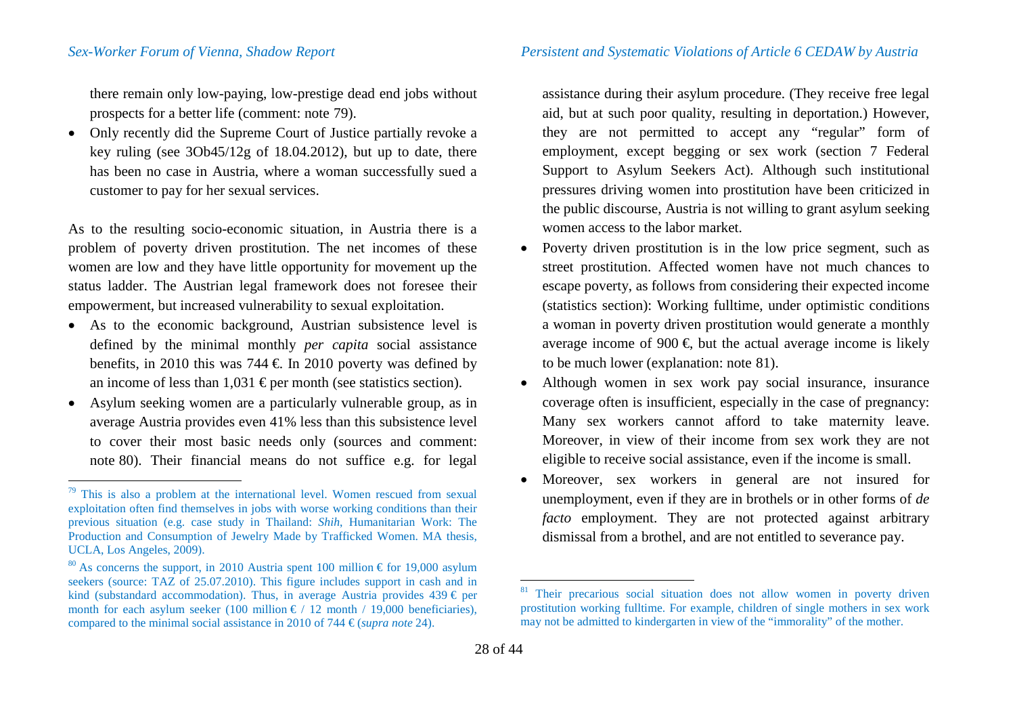there remain only low-paying, low-prestige dead end jobs without prospects for a better life (comment: note [79\)](#page-27-0).

• Only recently did the Supreme Court of Justice partially revoke a key ruling (see 3Ob45/12g of 18.04.2012), but up to date, there has been no case in Austria, where a woman successfully sued a customer to pay for her sexual services.

As to the resulting socio-economic situation, in Austria there is a problem of poverty driven prostitution. The net incomes of these women are low and they have little opportunity for movement up the status ladder. The Austrian legal framework does not foresee their empowerment, but increased vulnerability to sexual exploitation.

- As to the economic background, Austrian subsistence level is defined by the minimal monthly *per capita* social assistance benefits, in 2010 this was 744  $\in$  In 2010 poverty was defined by an income of less than 1,031  $\epsilon$  per month (see statistics section).
- Asylum seeking women are a particularly vulnerable group, as in average Austria provides even 41% less than this subsistence level to cover their most basic needs only (sources and comment: note [80\)](#page-27-1). Their financial means do not suffice e.g. for legal

<span id="page-27-2"></span><span id="page-27-1"></span><span id="page-27-0"></span>assistance during their asylum procedure. (They receive free legal aid, but at such poor quality, resulting in deportation.) However, they are not permitted to accept any "regular" form of employment, except begging or sex work (section 7 Federal Support to Asylum Seekers Act). Although such institutional pressures driving women into prostitution have been criticized in the public discourse, Austria is not willing to grant asylum seeking women access to the labor market.

- Poverty driven prostitution is in the low price segment, such as street prostitution. Affected women have not much chances to escape poverty, as follows from considering their expected income (statistics section): Working fulltime, under optimistic conditions a woman in poverty driven prostitution would generate a monthly average income of 900  $\in$  but the actual average income is likely to be much lower (explanation: note [81](#page-27-2)).
- Although women in sex work pay social insurance, insurance coverage often is insufficient, especially in the case of pregnancy: Many sex workers cannot afford to take maternity leave. Moreover, in view of their income from sex work they are not eligible to receive social assistance, even if the income is small.
- Moreover, sex workers in general are not insured for unemployment, even if they are in brothels or in other forms of *de facto* employment. They are not protected against arbitrary dismissal from a brothel, and are not entitled to severance pay.

 $79$  This is also a problem at the international level. Women rescued from sexual exploitation often find themselves in jobs with worse working conditions than their previous situation (e.g. case study in Thailand: *Shih*, Humanitarian Work: The Production and Consumption of Jewelry Made by Trafficked Women. MA thesis, UCLA, Los Angeles, 2009). <sup>80</sup> As concerns the support, in 2010 Austria spent 100 million  $\epsilon$  for 19,000 asylum

seekers (source: TAZ of 25.07.2010). This figure includes support in cash and in kind (substandard accommodation). Thus, in average Austria provides  $439 \in per$ month for each asylum seeker (100 million  $\epsilon$  / 12 month / 19,000 beneficiaries), compared to the minimal social assistance in 2010 of 744  $\epsilon$  *(supra note* [24\)](#page-10-6).

Their precarious social situation does not allow women in poverty driven prostitution working fulltime. For example, children of single mothers in sex work may not be admitted to kindergarten in view of the "immorality" of the mother.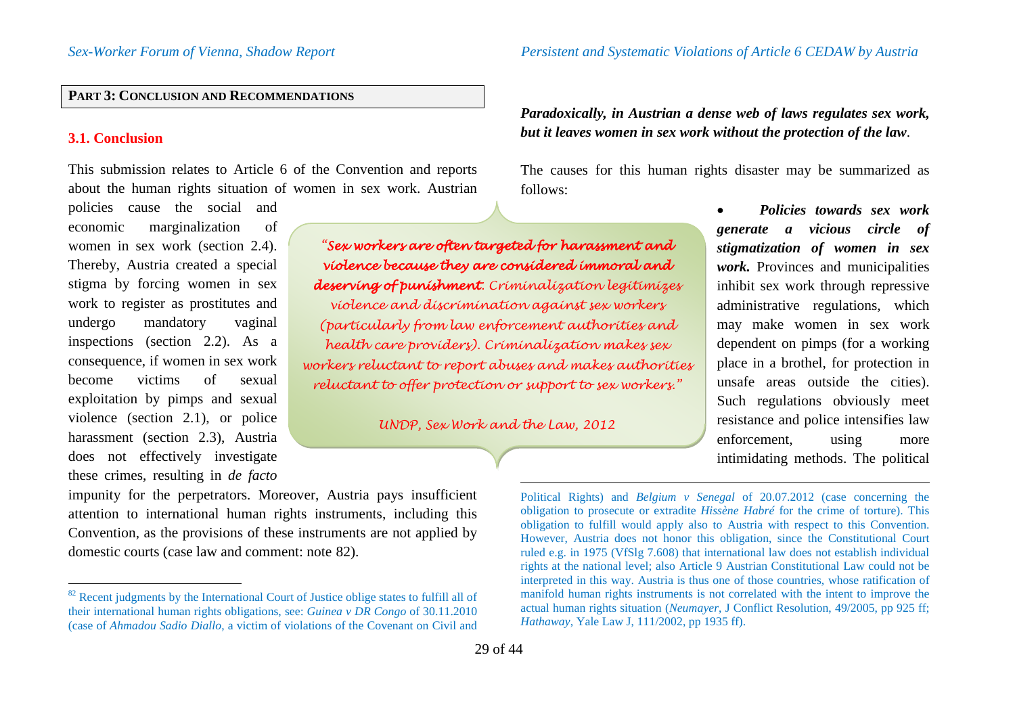# **PART 3: CONCLUSION AND RECOMMENDATIONS**

### **3.1. Conclusion**

This submission relates to Article 6 of the Convention and reports about the human rights situation of women in sex work. Austrian

policies cause the social and economic marginalization of women in sex work (section 2.4). Thereby, Austria created a special stigma by forcing women in sex work to register as prostitutes and undergo mandatory vaginal inspections (section 2.2). As a consequence, if women in sex work become victims of sexual exploitation by pimps and sexual violence (section 2.1), or police harassment (section 2.3), Austria does not effectively investigate these crimes, resulting in *de facto*

*"Sex workers are often targeted for harassment and violence because they are considered immoral and deserving of punishment. Criminalization legitimizes violence and discrimination against sex workers (particularly from law enforcement authorities and health care providers). Criminalization makes sex workers reluctant to report abuses and makes authorities reluctant to offer protection or support to sex workers."*

*UNDP, Sex Work and the Law, 2012*

<span id="page-28-0"></span>*Paradoxically, in Austrian a dense web of laws regulates sex work, but it leaves women in sex work without the protection of the law*.

The causes for this human rights disaster may be summarized as follows:

> • *Policies towards sex work generate a vicious circle of stigmatization of women in sex work.* Provinces and municipalities inhibit sex work through repressive administrative regulations, which may make women in sex work dependent on pimps (for a working place in a brothel, for protection in unsafe areas outside the cities). Such regulations obviously meet resistance and police intensifies law enforcement, using more intimidating methods. The political

impunity for the perpetrators. Moreover, Austria pays insufficient attention to international human rights instruments, including this Convention, as the provisions of these instruments are not applied by domestic courts (case law and comment: note [82\)](#page-28-0).

 $\overline{a}$ Political Rights) and *Belgium v Senegal* of 20.07.2012 (case concerning the obligation to prosecute or extradite *Hissène Habré* for the crime of torture). This obligation to fulfill would apply also to Austria with respect to this Convention. However, Austria does not honor this obligation, since the Constitutional Court ruled e.g. in 1975 (VfSlg 7.608) that international law does not establish individual rights at the national level; also Article 9 Austrian Constitutional Law could not be interpreted in this way. Austria is thus one of those countries, whose ratification of manifold human rights instruments is not correlated with the intent to improve the actual human rights situation (*Neumayer*, J Conflict Resolution, 49/2005, pp 925 ff; *Hathaway*, Yale Law J, 111/2002, pp 1935 ff).

<sup>&</sup>lt;sup>82</sup> Recent judgments by the International Court of Justice oblige states to fulfill all of their international human rights obligations, see: *Guinea v DR Congo* of 30.11.2010 (case of *Ahmadou Sadio Diallo*, a victim of violations of the Covenant on Civil and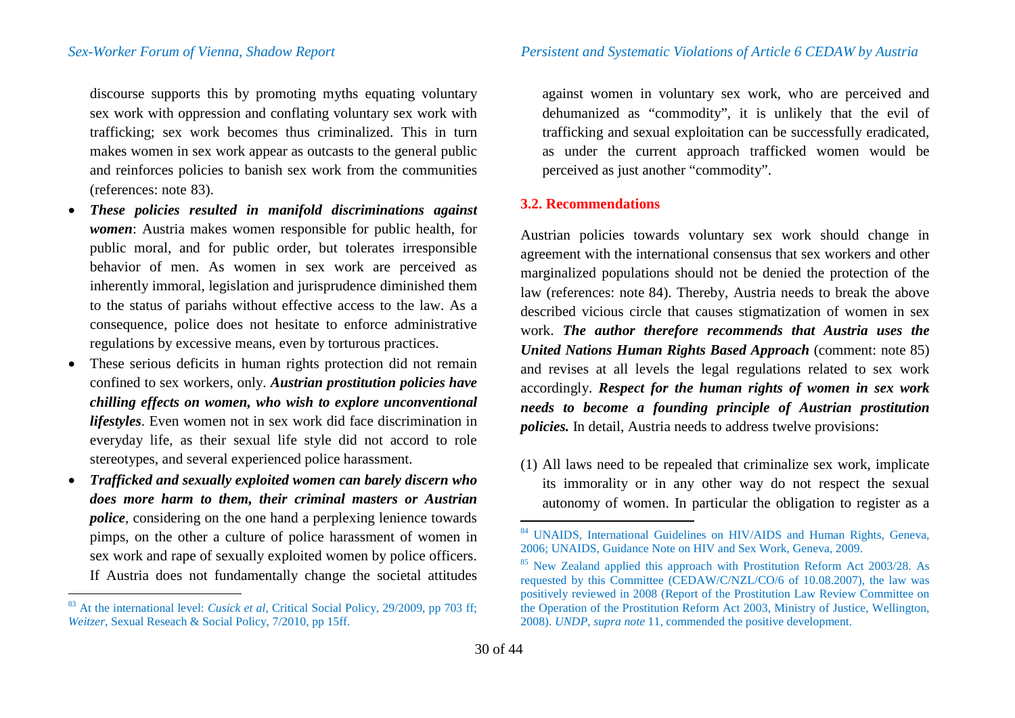discourse supports this by promoting myths equating voluntary sex work with oppression and conflating voluntary sex work with trafficking; sex work becomes thus criminalized. This in turn makes women in sex work appear as outcasts to the general public and reinforces policies to banish sex work from the communities (references: note [83](#page-29-0)).

- *These policies resulted in manifold discriminations against women*: Austria makes women responsible for public health, for public moral, and for public order, but tolerates irresponsible behavior of men. As women in sex work are perceived as inherently immoral, legislation and jurisprudence diminished them to the status of pariahs without effective access to the law. As a consequence, police does not hesitate to enforce administrative regulations by excessive means, even by torturous practices.
- These serious deficits in human rights protection did not remain confined to sex workers, only. *Austrian prostitution policies have chilling effects on women, who wish to explore unconventional lifestyles*. Even women not in sex work did face discrimination in everyday life, as their sexual life style did not accord to role stereotypes, and several experienced police harassment.
- *Trafficked and sexually exploited women can barely discern who does more harm to them, their criminal masters or Austrian police*, considering on the one hand a perplexing lenience towards pimps, on the other a culture of police harassment of women in sex work and rape of sexually exploited women by police officers. If Austria does not fundamentally change the societal attitudes

<span id="page-29-2"></span><span id="page-29-1"></span><span id="page-29-0"></span>against women in voluntary sex work, who are perceived and dehumanized as "commodity", it is unlikely that the evil of trafficking and sexual exploitation can be successfully eradicated, as under the current approach trafficked women would be perceived as just another "commodity".

### **3.2. Recommendations**

Austrian policies towards voluntary sex work should change in agreement with the international consensus that sex workers and other marginalized populations should not be denied the protection of the law (references: note [84](#page-29-1)). Thereby, Austria needs to break the above described vicious circle that causes stigmatization of women in sex work. *The author therefore recommends that Austria uses the United Nations Human Rights Based Approach* (comment: note [85](#page-29-2)) and revises at all levels the legal regulations related to sex work accordingly. *Respect for the human rights of women in sex work needs to become a founding principle of Austrian prostitution policies.* In detail, Austria needs to address twelve provisions:

(1) All laws need to be repealed that criminalize sex work, implicate its immorality or in any other way do not respect the sexual autonomy of women. In particular the obligation to register as a

 <sup>83</sup> At the international level: *Cusick et al*, Critical Social Policy, 29/2009, pp 703 ff; *Weitzer*, Sexual Reseach & Social Policy, 7/2010, pp 15ff.

<sup>&</sup>lt;sup>84</sup> UNAIDS, International Guidelines on HIV/AIDS and Human Rights, Geneva, 2006: UNAIDS, Guidance Note on HIV and Sex Work, Geneva, 2009.

 $85$  New Zealand applied this approach with Prostitution Reform Act 2003/28. As requested by this Committee (CEDAW/C/NZL/CO/6 of 10.08.2007), the law was positively reviewed in 2008 (Report of the Prostitution Law Review Committee on the Operation of the Prostitution Reform Act 2003, Ministry of Justice, Wellington, 2008). *UNDP*, *supra note* [11,](#page-6-2) commended the positive development.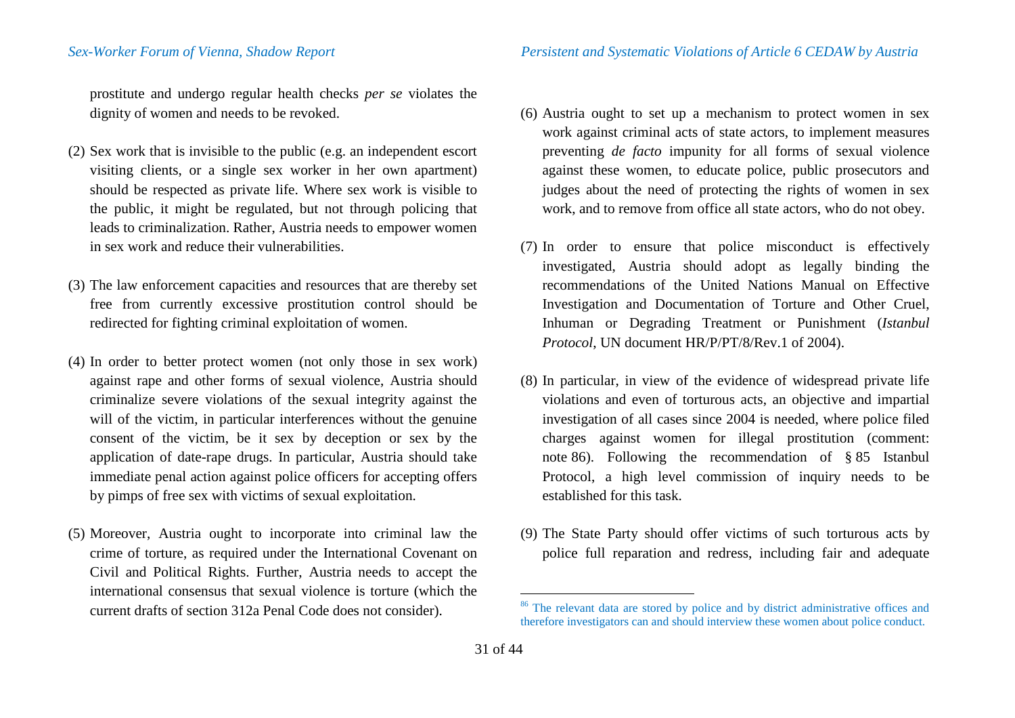prostitute and undergo regular health checks *per se* violates the dignity of women and needs to be revoked.

- (2) Sex work that is invisible to the public (e.g. an independent escort visiting clients, or a single sex worker in her own apartment) should be respected as private life. Where sex work is visible to the public, it might be regulated, but not through policing that leads to criminalization. Rather, Austria needs to empower women in sex work and reduce their vulnerabilities.
- (3) The law enforcement capacities and resources that are thereby set free from currently excessive prostitution control should be redirected for fighting criminal exploitation of women.
- (4) In order to better protect women (not only those in sex work) against rape and other forms of sexual violence, Austria should criminalize severe violations of the sexual integrity against the will of the victim, in particular interferences without the genuine consent of the victim, be it sex by deception or sex by the application of date-rape drugs. In particular, Austria should take immediate penal action against police officers for accepting offers by pimps of free sex with victims of sexual exploitation.
- (5) Moreover, Austria ought to incorporate into criminal law the crime of torture, as required under the International Covenant on Civil and Political Rights. Further, Austria needs to accept the international consensus that sexual violence is torture (which the current drafts of section 312a Penal Code does not consider).
- <span id="page-30-0"></span>(6) Austria ought to set up a mechanism to protect women in sex work against criminal acts of state actors, to implement measures preventing *de facto* impunity for all forms of sexual violence against these women, to educate police, public prosecutors and judges about the need of protecting the rights of women in sex work, and to remove from office all state actors, who do not obey.
- (7) In order to ensure that police misconduct is effectively investigated, Austria should adopt as legally binding the recommendations of the United Nations Manual on Effective Investigation and Documentation of Torture and Other Cruel, Inhuman or Degrading Treatment or Punishment (*Istanbul Protocol*, UN document HR/P/PT/8/Rev.1 of 2004).
- (8) In particular, in view of the evidence of widespread private life violations and even of torturous acts, an objective and impartial investigation of all cases since 2004 is needed, where police filed charges against women for illegal prostitution (comment: note [86](#page-30-0)). Following the recommendation of § 85 Istanbul Protocol, a high level commission of inquiry needs to be established for this task.
- (9) The State Party should offer victims of such torturous acts by police full reparation and redress, including fair and adequate

<sup>&</sup>lt;sup>86</sup> The relevant data are stored by police and by district administrative offices and therefore investigators can and should interview these women about police conduct.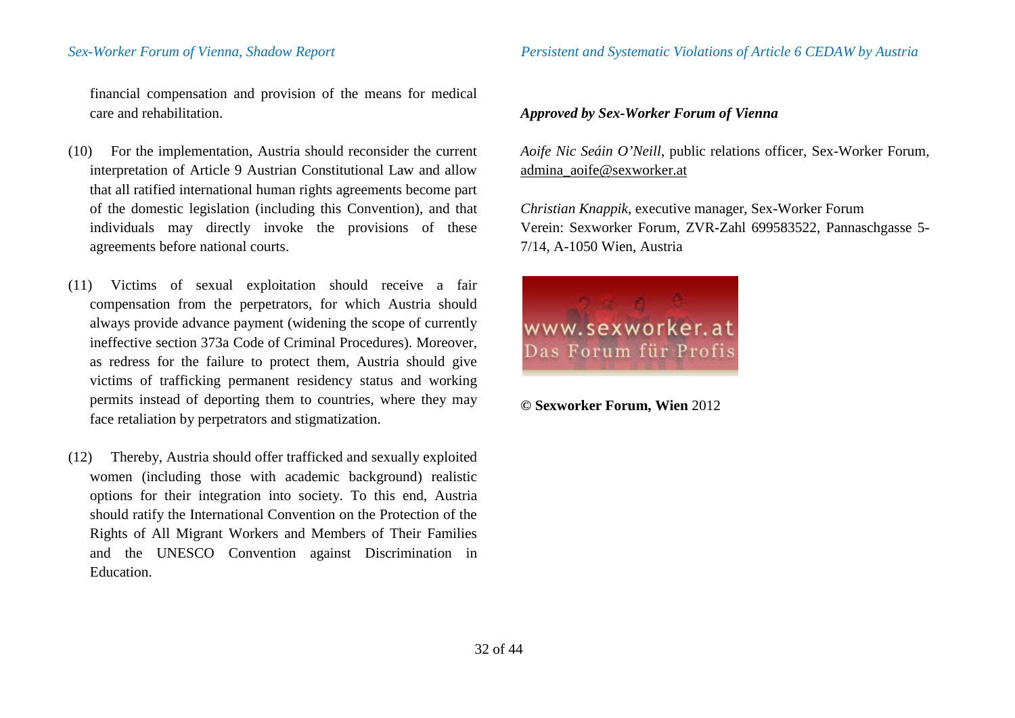financial compensation and provision of the means for medical care and rehabilitation.

- (10) For the implementation, Austria should reconsider the current interpretation of Article 9 Austrian Constitutional Law and allow that all ratified international human rights agreements become part of the domestic legislation (including this Convention), and that individuals may directly invoke the provisions of these agreements before national courts.
- (11) Victims of sexual exploitation should receive a fair compensation from the perpetrators, for which Austria should always provide advance payment (widening the scope of currently ineffective section 373a Code of Criminal Procedures). Moreover, as redress for the failure to protect them, Austria should give victims of trafficking permanent residency status and working permits instead of deporting them to countries, where they may face retaliation by perpetrators and stigmatization.
- (12) Thereby, Austria should offer trafficked and sexually exploited women (including those with academic background) realistic options for their integration into society. To this end, Austria should ratify the International Convention on the Protection of the Rights of All Migrant Workers and Members of Their Families and the UNESCO Convention against Discrimination in Education.

### *Approved by Sex-Worker Forum of Vienna*

*Aoife Nic Seáin O'Neill*, public relations officer, Sex-Worker Forum, admina\_aoife@sexworker.at

*Christian Knappik*, executive manager, Sex-Worker Forum Verein: Sexworker Forum, ZVR-Zahl 699583522, Pannaschgasse 5- 7/14, A-1050 Wien, Austria



**© Sexworker Forum, Wien** 2012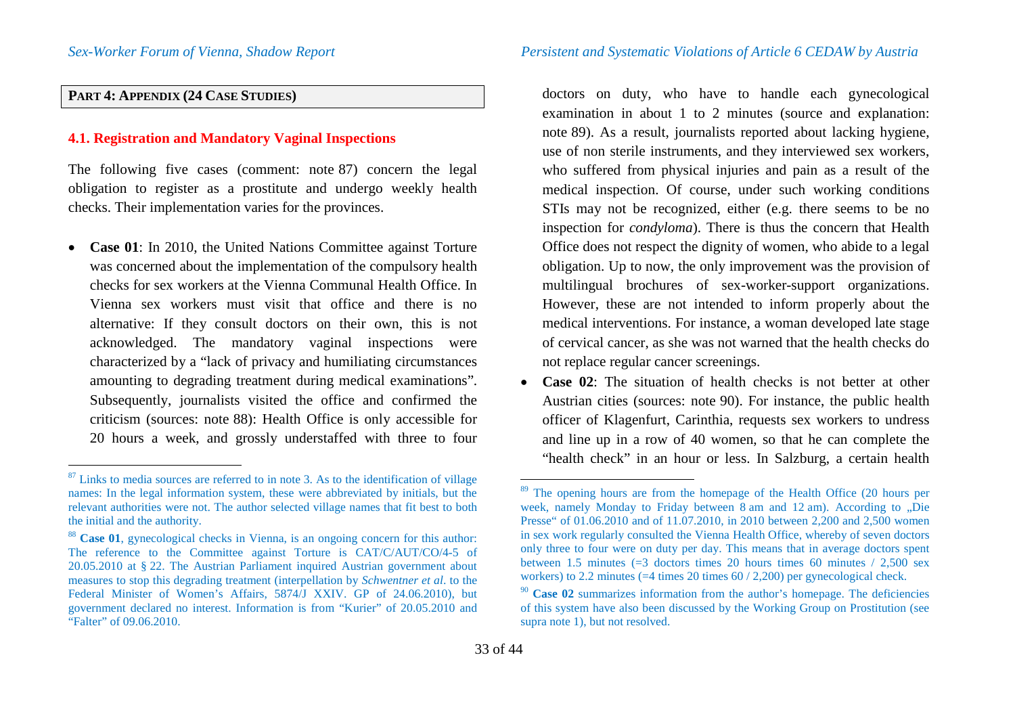# **PART 4: APPENDIX (24 CASE STUDIES)**

# **4.1. Registration and Mandatory Vaginal Inspections**

The following five cases (comment: note [87\)](#page-32-0) concern the legal obligation to register as a prostitute and undergo weekly health checks. Their implementation varies for the provinces.

• **Case 01**: In 2010, the United Nations Committee against Torture was concerned about the implementation of the compulsory health checks for sex workers at the Vienna Communal Health Office. In Vienna sex workers must visit that office and there is no alternative: If they consult doctors on their own, this is not acknowledged. The mandatory vaginal inspections were characterized by a "lack of privacy and humiliating circumstances amounting to degrading treatment during medical examinations". Subsequently, journalists visited the office and confirmed the criticism (sources: note [88\)](#page-32-1): Health Office is only accessible for 20 hours a week, and grossly understaffed with three to four <span id="page-32-3"></span><span id="page-32-2"></span><span id="page-32-1"></span><span id="page-32-0"></span>doctors on duty, who have to handle each gynecological examination in about 1 to 2 minutes (source and explanation: note [89\)](#page-32-2). As a result, journalists reported about lacking hygiene, use of non sterile instruments, and they interviewed sex workers, who suffered from physical injuries and pain as a result of the medical inspection. Of course, under such working conditions STIs may not be recognized, either (e.g. there seems to be no inspection for *condyloma*). There is thus the concern that Health Office does not respect the dignity of women, who abide to a legal obligation. Up to now, the only improvement was the provision of multilingual brochures of sex-worker-support organizations. However, these are not intended to inform properly about the medical interventions. For instance, a woman developed late stage of cervical cancer, as she was not warned that the health checks do not replace regular cancer screenings.

• **Case 02**: The situation of health checks is not better at other Austrian cities (sources: note [90](#page-32-3)). For instance, the public health officer of Klagenfurt, Carinthia, requests sex workers to undress and line up in a row of 40 women, so that he can complete the "health check" in an hour or less. In Salzburg, a certain health

 $87$  Links to media sources are referred to in note [3.](#page-4-3) As to the identification of village names: In the legal information system, these were abbreviated by initials, but the relevant authorities were not. The author selected village names that fit best to both the initial and the authority.

<sup>88</sup> **Case 01**, gynecological checks in Vienna, is an ongoing concern for this author: The reference to the Committee against Torture is CAT/C/AUT/CO/4-5 of 20.05.2010 at § 22. The Austrian Parliament inquired Austrian government about measures to stop this degrading treatment (interpellation by *Schwentner et al*. to the Federal Minister of Women's Affairs, 5874/J XXIV. GP of 24.06.2010), but government declared no interest. Information is from "Kurier" of 20.05.2010 and "Falter" of 09.06.2010.

<sup>&</sup>lt;sup>89</sup> The opening hours are from the homepage of the Health Office (20 hours per week, namely Monday to Friday between  $\overline{8}$  am and  $12$  am). According to  $\overline{R}$  Die Presse" of 01.06.2010 and of 11.07.2010, in 2010 between 2,200 and 2,500 women in sex work regularly consulted the Vienna Health Office, whereby of seven doctors only three to four were on duty per day. This means that in average doctors spent between 1.5 minutes  $(=3$  doctors times 20 hours times 60 minutes / 2,500 sex workers) to 2.2 minutes (=4 times 20 times 60 / 2,200) per gynecological check.

<sup>90</sup> **Case 02** summarizes information from the author's homepage. The deficiencies of this system have also been discussed by the Working Group on Prostitution (see supra note [1\)](#page-4-4), but not resolved.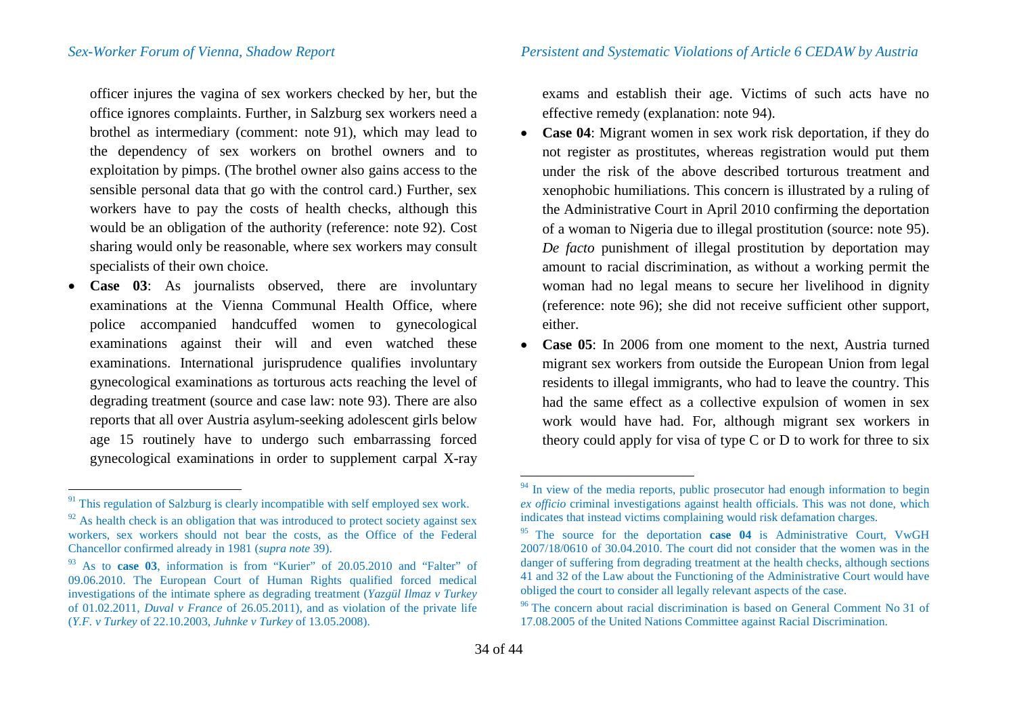officer injures the vagina of sex workers checked by her, but the office ignores complaints. Further, in Salzburg sex workers need a brothel as intermediary (comment: note [91\)](#page-33-0), which may lead to the dependency of sex workers on brothel owners and to exploitation by pimps. (The brothel owner also gains access to the sensible personal data that go with the control card.) Further, sex workers have to pay the costs of health checks, although this would be an obligation of the authority (reference: note [92\)](#page-33-1). Cost sharing would only be reasonable, where sex workers may consult specialists of their own choice.

• **Case 03**: As journalists observed, there are involuntary examinations at the Vienna Communal Health Office, where police accompanied handcuffed women to gynecological examinations against their will and even watched these examinations. International jurisprudence qualifies involuntary gynecological examinations as torturous acts reaching the level of degrading treatment (source and case law: note [93](#page-33-2)). There are also reports that all over Austria asylum-seeking adolescent girls below age 15 routinely have to undergo such embarrassing forced gynecological examinations in order to supplement carpal X-ray <span id="page-33-5"></span><span id="page-33-4"></span><span id="page-33-3"></span><span id="page-33-2"></span><span id="page-33-1"></span><span id="page-33-0"></span>exams and establish their age. Victims of such acts have no effective remedy (explanation: note [94](#page-33-3)).

- **Case 04**: Migrant women in sex work risk deportation, if they do not register as prostitutes, whereas registration would put them under the risk of the above described torturous treatment and xenophobic humiliations. This concern is illustrated by a ruling of the Administrative Court in April 2010 confirming the deportation of a woman to Nigeria due to illegal prostitution (source: note [95](#page-33-4)). *De facto* punishment of illegal prostitution by deportation may amount to racial discrimination, as without a working permit the woman had no legal means to secure her livelihood in dignity (reference: note [96](#page-33-5)); she did not receive sufficient other support, either.
- **Case 05**: In 2006 from one moment to the next, Austria turned migrant sex workers from outside the European Union from legal residents to illegal immigrants, who had to leave the country. This had the same effect as a collective expulsion of women in sex work would have had. For, although migrant sex workers in theory could apply for visa of type C or D to work for three to six

 $91$  This regulation of Salzburg is clearly incompatible with self employed sex work.

 $92$  As health check is an obligation that was introduced to protect society against sex workers, sex workers should not bear the costs, as the Office of the Federal Chancellor confirmed already in 1981 (*supra note* [39\)](#page-12-6).

<sup>93</sup> As to **case 03**, information is from "Kurier" of 20.05.2010 and "Falter" of 09.06.2010. The European Court of Human Rights qualified forced medical investigations of the intimate sphere as degrading treatment (*Yazgül Ilmaz v Turkey* of 01.02.2011, *Duval v France* of 26.05.2011), and as violation of the private life (*Y.F. v Turkey* of 22.10.2003, *Juhnke v Turkey* of 13.05.2008).

 $94$  In view of the media reports, public prosecutor had enough information to begin *ex officio* criminal investigations against health officials. This was not done, which indicates that instead victims complaining would risk defamation charges.

<sup>95</sup> The source for the deportation **case 04** is Administrative Court, VwGH 2007/18/0610 of 30.04.2010. The court did not consider that the women was in the danger of suffering from degrading treatment at the health checks, although sections 41 and 32 of the Law about the Functioning of the Administrative Court would have

 $96$  The concern about racial discrimination is based on General Comment No 31 of 17.08.2005 of the United Nations Committee against Racial Discrimination.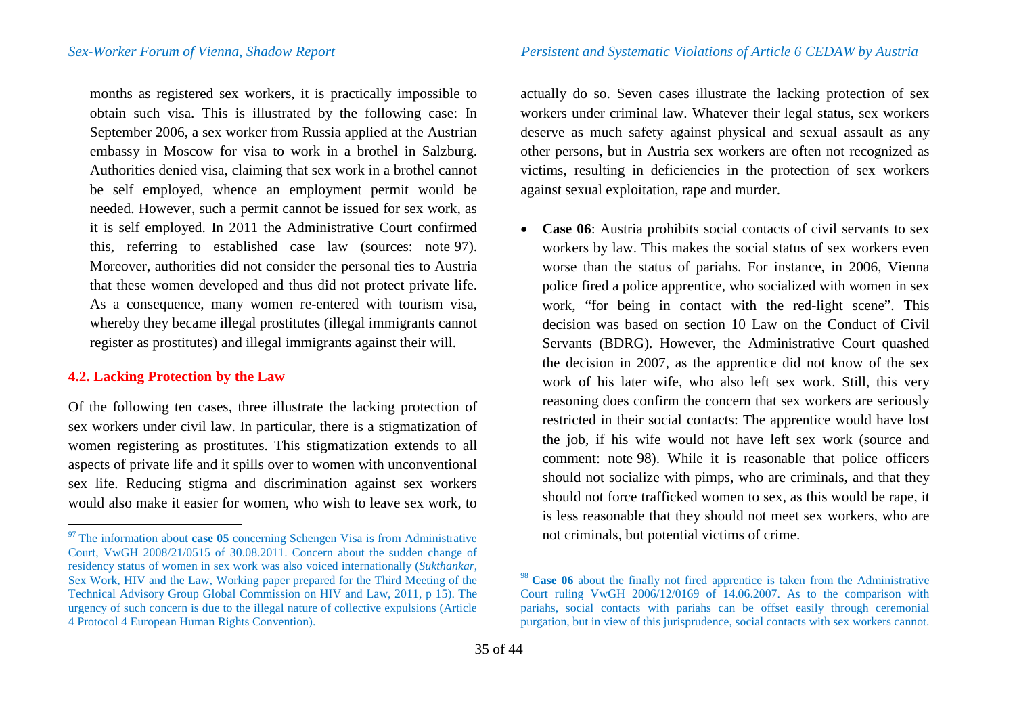months as registered sex workers, it is practically impossible to obtain such visa. This is illustrated by the following case: In September 2006, a sex worker from Russia applied at the Austrian embassy in Moscow for visa to work in a brothel in Salzburg. Authorities denied visa, claiming that sex work in a brothel cannot be self employed, whence an employment permit would be needed. However, such a permit cannot be issued for sex work, as it is self employed. In 2011 the Administrative Court confirmed this, referring to established case law (sources: note [97\)](#page-34-0). Moreover, authorities did not consider the personal ties to Austria that these women developed and thus did not protect private life. As a consequence, many women re-entered with tourism visa, whereby they became illegal prostitutes (illegal immigrants cannot register as prostitutes) and illegal immigrants against their will.

## **4.2. Lacking Protection by the Law**

Of the following ten cases, three illustrate the lacking protection of sex workers under civil law. In particular, there is a stigmatization of women registering as prostitutes. This stigmatization extends to all aspects of private life and it spills over to women with unconventional sex life. Reducing stigma and discrimination against sex workers would also make it easier for women, who wish to leave sex work, to

<span id="page-34-1"></span><span id="page-34-0"></span>actually do so. Seven cases illustrate the lacking protection of sex workers under criminal law. Whatever their legal status, sex workers deserve as much safety against physical and sexual assault as any other persons, but in Austria sex workers are often not recognized as victims, resulting in deficiencies in the protection of sex workers against sexual exploitation, rape and murder.

• **Case 06**: Austria prohibits social contacts of civil servants to sex workers by law. This makes the social status of sex workers even worse than the status of pariahs. For instance, in 2006, Vienna police fired a police apprentice, who socialized with women in sex work, "for being in contact with the red-light scene". This decision was based on section 10 Law on the Conduct of Civil Servants (BDRG). However, the Administrative Court quashed the decision in 2007, as the apprentice did not know of the sex work of his later wife, who also left sex work. Still, this very reasoning does confirm the concern that sex workers are seriously restricted in their social contacts: The apprentice would have lost the job, if his wife would not have left sex work (source and comment: note [98](#page-34-1)). While it is reasonable that police officers should not socialize with pimps, who are criminals, and that they should not force trafficked women to sex, as this would be rape, it is less reasonable that they should not meet sex workers, who are not criminals, but potential victims of crime.

<sup>&</sup>lt;sup>97</sup> The information about **case 05** concerning Schengen Visa is from Administrative Court, VwGH 2008/21/0515 of 30.08.2011. Concern about the sudden change of residency status of women in sex work was also voiced internationally (*Sukthankar*, Sex Work, HIV and the Law, Working paper prepared for the Third Meeting of the Technical Advisory Group Global Commission on HIV and Law, 2011, p 15). The urgency of such concern is due to the illegal nature of collective expulsions (Article 4 Protocol 4 European Human Rights Convention).

 <sup>98</sup> **Case 06** about the finally not fired apprentice is taken from the Administrative Court ruling VwGH  $2006/12/0169$  of  $14.06.2007$ . As to the comparison with pariahs, social contacts with pariahs can be offset easily through ceremonial purgation, but in view of this jurisprudence, social contacts with sex workers cannot.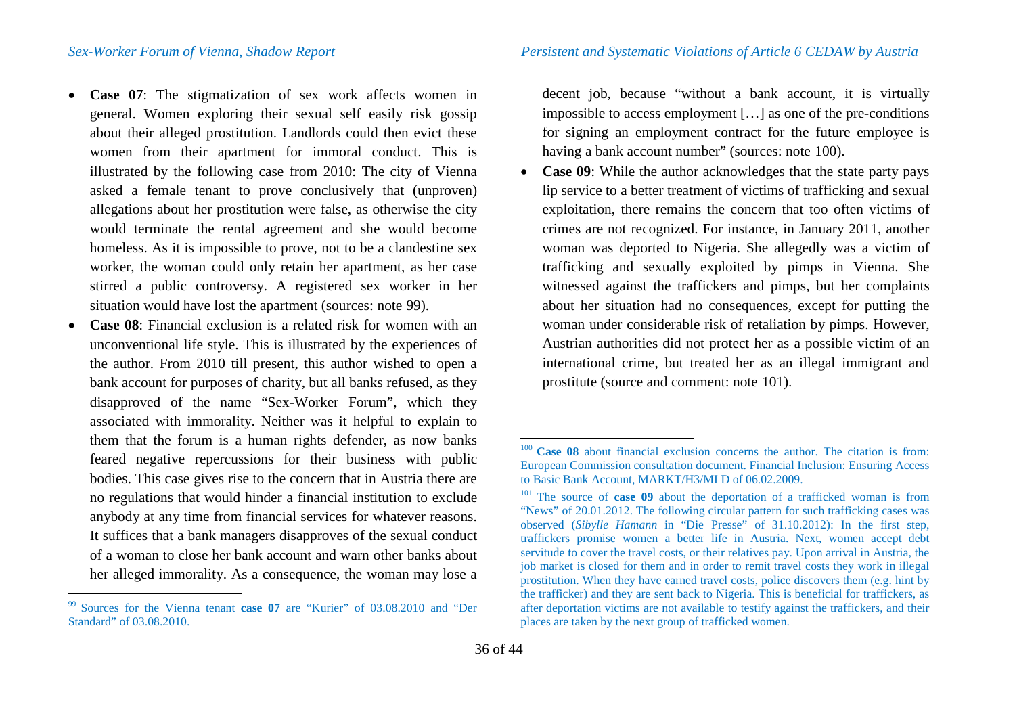- **Case 07**: The stigmatization of sex work affects women in general. Women exploring their sexual self easily risk gossip about their alleged prostitution. Landlords could then evict these women from their apartment for immoral conduct. This is illustrated by the following case from 2010: The city of Vienna asked a female tenant to prove conclusively that (unproven) allegations about her prostitution were false, as otherwise the city would terminate the rental agreement and she would become homeless. As it is impossible to prove, not to be a clandestine sex worker, the woman could only retain her apartment, as her case stirred a public controversy. A registered sex worker in her situation would have lost the apartment (sources: note [99](#page-35-0)).
- **Case 08:** Financial exclusion is a related risk for women with an unconventional life style. This is illustrated by the experiences of the author. From 2010 till present, this author wished to open a bank account for purposes of charity, but all banks refused, as they disapproved of the name "Sex-Worker Forum", which they associated with immorality. Neither was it helpful to explain to them that the forum is a human rights defender, as now banks feared negative repercussions for their business with public bodies. This case gives rise to the concern that in Austria there are no regulations that would hinder a financial institution to exclude anybody at any time from financial services for whatever reasons. It suffices that a bank managers disapproves of the sexual conduct of a woman to close her bank account and warn other banks about her alleged immorality. As a consequence, the woman may lose a

*Sex-Worker Forum of Vienna, Shadow Report Persistent and Systematic Violations of Article 6 CEDAW by Austria*

<span id="page-35-2"></span><span id="page-35-1"></span><span id="page-35-0"></span>decent job, because "without a bank account, it is virtually impossible to access employment […] as one of the pre-conditions for signing an employment contract for the future employee is having a bank account number" (sources: note [100\)](#page-35-1).

• **Case 09**: While the author acknowledges that the state party pays lip service to a better treatment of victims of trafficking and sexual exploitation, there remains the concern that too often victims of crimes are not recognized. For instance, in January 2011, another woman was deported to Nigeria. She allegedly was a victim of trafficking and sexually exploited by pimps in Vienna. She witnessed against the traffickers and pimps, but her complaints about her situation had no consequences, except for putting the woman under considerable risk of retaliation by pimps. However, Austrian authorities did not protect her as a possible victim of an international crime, but treated her as an illegal immigrant and prostitute (source and comment: note [101](#page-35-2)).

 <sup>99</sup> Sources for the Vienna tenant **case 07** are "Kurier" of 03.08.2010 and "Der Standard" of 03.08.2010.

<sup>&</sup>lt;sup>100</sup> **Case 08** about financial exclusion concerns the author. The citation is from: European Commission consultation document. Financial Inclusion: Ensuring Access to Basic Bank Account, MARKT/H3/MI D of 06.02.2009.

<sup>&</sup>lt;sup>101</sup> The source of **case 09** about the deportation of a trafficked woman is from "News" of 20.01.2012. The following circular pattern for such trafficking cases was observed (*Sibylle Hamann* in "Die Presse" of 31.10.2012): In the first step, traffickers promise women a better life in Austria. Next, women accept debt servitude to cover the travel costs, or their relatives pay. Upon arrival in Austria, the job market is closed for them and in order to remit travel costs they work in illegal prostitution. When they have earned travel costs, police discovers them (e.g. hint by the trafficker) and they are sent back to Nigeria. This is beneficial for traffickers, as after deportation victims are not available to testify against the traffickers, and their places are taken by the next group of trafficked women.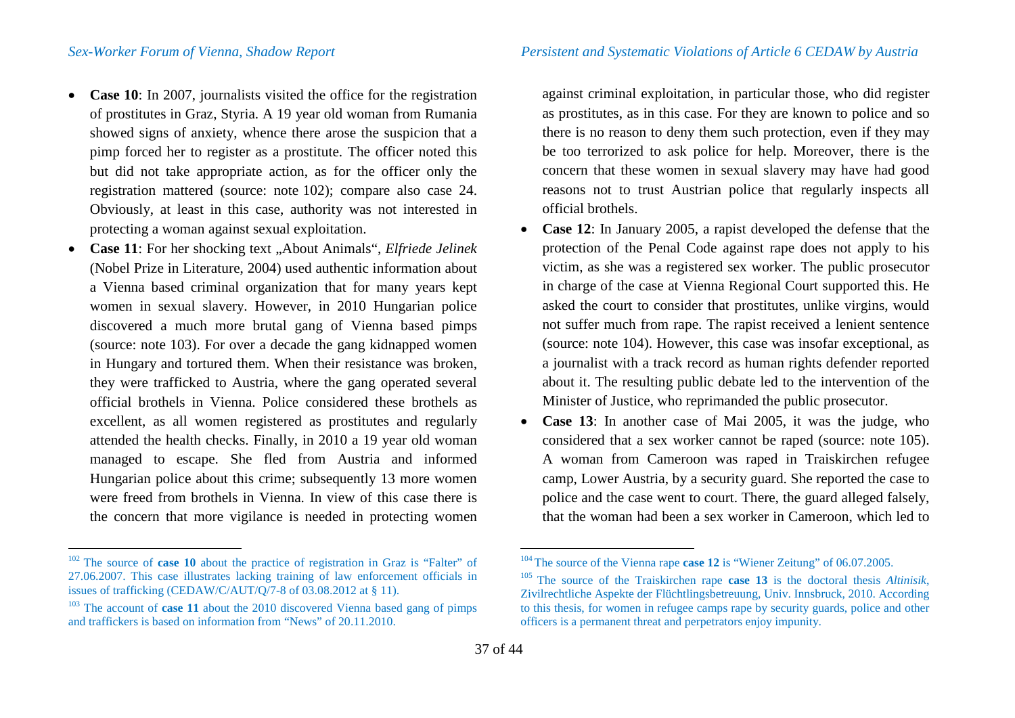- **Case 10**: In 2007, journalists visited the office for the registration of prostitutes in Graz, Styria. A 19 year old woman from Rumania showed signs of anxiety, whence there arose the suspicion that a pimp forced her to register as a prostitute. The officer noted this but did not take appropriate action, as for the officer only the registration mattered (source: note [102](#page-36-0)); compare also case 24. Obviously, at least in this case, authority was not interested in protecting a woman against sexual exploitation.
- **Case 11**: For her shocking text "About Animals", *Elfriede Jelinek* (Nobel Prize in Literature, 2004) used authentic information about a Vienna based criminal organization that for many years kept women in sexual slavery. However, in 2010 Hungarian police discovered a much more brutal gang of Vienna based pimps (source: note [103](#page-36-1)). For over a decade the gang kidnapped women in Hungary and tortured them. When their resistance was broken, they were trafficked to Austria, where the gang operated several official brothels in Vienna. Police considered these brothels as excellent, as all women registered as prostitutes and regularly attended the health checks. Finally, in 2010 a 19 year old woman managed to escape. She fled from Austria and informed Hungarian police about this crime; subsequently 13 more women were freed from brothels in Vienna. In view of this case there is the concern that more vigilance is needed in protecting women

<span id="page-36-2"></span><span id="page-36-1"></span><span id="page-36-0"></span>against criminal exploitation, in particular those, who did register as prostitutes, as in this case. For they are known to police and so there is no reason to deny them such protection, even if they may be too terrorized to ask police for help. Moreover, there is the concern that these women in sexual slavery may have had good reasons not to trust Austrian police that regularly inspects all official brothels.

- **Case 12**: In January 2005, a rapist developed the defense that the protection of the Penal Code against rape does not apply to his victim, as she was a registered sex worker. The public prosecutor in charge of the case at Vienna Regional Court supported this. He asked the court to consider that prostitutes, unlike virgins, would not suffer much from rape. The rapist received a lenient sentence (source: note [104](#page-36-0)). However, this case was insofar exceptional, as a journalist with a track record as human rights defender reported about it. The resulting public debate led to the intervention of the Minister of Justice, who reprimanded the public prosecutor.
- **Case 13**: In another case of Mai 2005, it was the judge, who considered that a sex worker cannot be raped (source: note [105](#page-36-2)). A woman from Cameroon was raped in Traiskirchen refugee camp, Lower Austria, by a security guard. She reported the case to police and the case went to court. There, the guard alleged falsely, that the woman had been a sex worker in Cameroon, which led to

 <sup>102</sup> The source of **case 10** about the practice of registration in Graz is "Falter" of 27.06.2007. This case illustrates lacking training of law enforcement officials in issues of trafficking (CEDAW/C/AUT/Q/7-8 of 03.08.2012 at  $\S$  11).

<sup>&</sup>lt;sup> $103$ </sup> The account of **case 11** about the 2010 discovered Vienna based gang of pimps and traffickers is based on information from "News" of 20.11.2010.

<sup>104</sup> The source of the Vienna rape **case 12** is "Wiener Zeitung" of 06.07.2005. 105 The source of the Traiskirchen rape **case 13** is the doctoral thesis *Altinisik*,

Zivilrechtliche Aspekte der Flüchtlingsbetreuung, Univ. Innsbruck, 2010. According to this thesis, for women in refugee camps rape by security guards, police and other officers is a permanent threat and perpetrators enjoy impunity.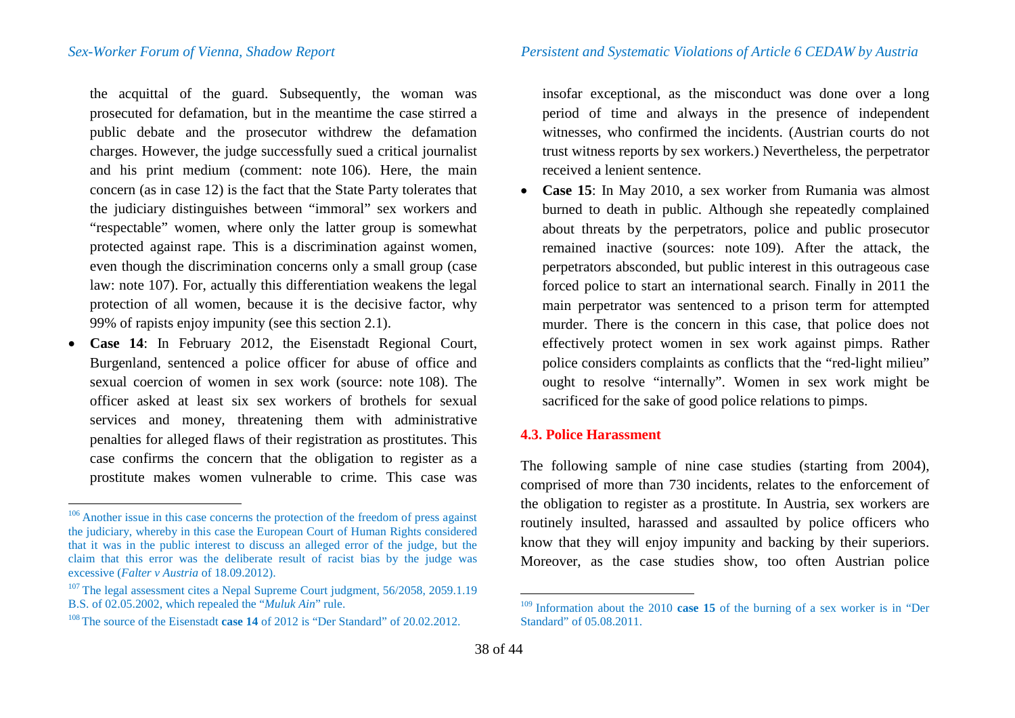*Sex-Worker Forum of Vienna, Shadow Report Persistent and Systematic Violations of Article 6 CEDAW by Austria*

the acquittal of the guard. Subsequently, the woman was prosecuted for defamation, but in the meantime the case stirred a public debate and the prosecutor withdrew the defamation charges. However, the judge successfully sued a critical journalist and his print medium (comment: note [106\)](#page-37-0). Here, the main concern (as in case 12) is the fact that the State Party tolerates that the judiciary distinguishes between "immoral" sex workers and "respectable" women, where only the latter group is somewhat protected against rape. This is a discrimination against women, even though the discrimination concerns only a small group (case law: note [107\)](#page-37-1). For, actually this differentiation weakens the legal protection of all women, because it is the decisive factor, why 99% of rapists enjoy impunity (see this section 2.1).

• **Case 14**: In February 2012, the Eisenstadt Regional Court, Burgenland, sentenced a police officer for abuse of office and sexual coercion of women in sex work (source: note [108\)](#page-37-2). The officer asked at least six sex workers of brothels for sexual services and money, threatening them with administrative penalties for alleged flaws of their registration as prostitutes. This case confirms the concern that the obligation to register as a prostitute makes women vulnerable to crime. This case was <span id="page-37-3"></span><span id="page-37-2"></span><span id="page-37-1"></span><span id="page-37-0"></span>insofar exceptional, as the misconduct was done over a long period of time and always in the presence of independent witnesses, who confirmed the incidents. (Austrian courts do not trust witness reports by sex workers.) Nevertheless, the perpetrator received a lenient sentence.

• **Case 15**: In May 2010, a sex worker from Rumania was almost burned to death in public. Although she repeatedly complained about threats by the perpetrators, police and public prosecutor remained inactive (sources: note [109\)](#page-37-3). After the attack, the perpetrators absconded, but public interest in this outrageous case forced police to start an international search. Finally in 2011 the main perpetrator was sentenced to a prison term for attempted murder. There is the concern in this case, that police does not effectively protect women in sex work against pimps. Rather police considers complaints as conflicts that the "red-light milieu" ought to resolve "internally". Women in sex work might be sacrificed for the sake of good police relations to pimps.

## **4.3. Police Harassment**

The following sample of nine case studies (starting from 2004), comprised of more than 730 incidents, relates to the enforcement of the obligation to register as a prostitute. In Austria, sex workers are routinely insulted, harassed and assaulted by police officers who know that they will enjoy impunity and backing by their superiors. Moreover, as the case studies show, too often Austrian police

<sup>&</sup>lt;sup>106</sup> Another issue in this case concerns the protection of the freedom of press against the judiciary, whereby in this case the European Court of Human Rights considered that it was in the public interest to discuss an alleged error of the judge, but the claim that this error was the deliberate result of racist bias by the judge was excessive (*Falter v Austria* of 18.09.2012).

<sup>&</sup>lt;sup>107</sup> The legal assessment cites a Nepal Supreme Court judgment, 56/2058, 2059.1.19 **B.S.** of 02.05.2002, which repealed the "*Muluk Ain*" rule.

<sup>&</sup>lt;sup>108</sup> The source of the Eisenstadt **case 14** of 2012 is "Der Standard" of 20.02.2012.

 <sup>109</sup> Information about the 2010 **case 15** of the burning of a sex worker is in "Der Standard" of 05.08.2011.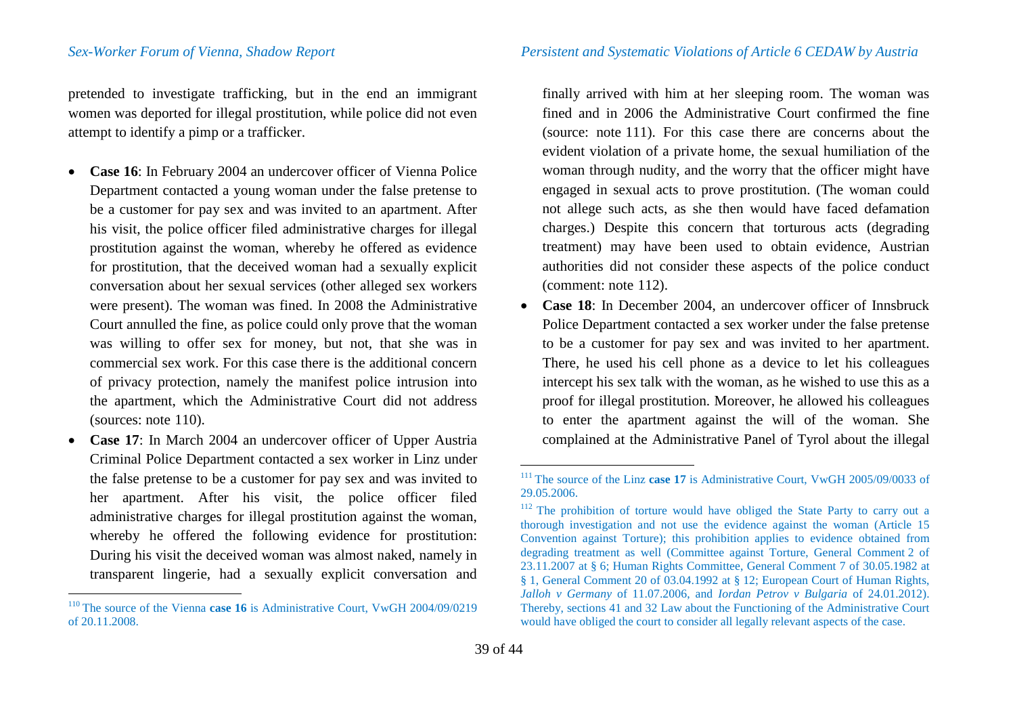pretended to investigate trafficking, but in the end an immigrant women was deported for illegal prostitution, while police did not even attempt to identify a pimp or a trafficker.

- **Case 16**: In February 2004 an undercover officer of Vienna Police Department contacted a young woman under the false pretense to be a customer for pay sex and was invited to an apartment. After his visit, the police officer filed administrative charges for illegal prostitution against the woman, whereby he offered as evidence for prostitution, that the deceived woman had a sexually explicit conversation about her sexual services (other alleged sex workers were present). The woman was fined. In 2008 the Administrative Court annulled the fine, as police could only prove that the woman was willing to offer sex for money, but not, that she was in commercial sex work. For this case there is the additional concern of privacy protection, namely the manifest police intrusion into the apartment, which the Administrative Court did not address (sources: note [110](#page-38-0)).
- **Case 17**: In March 2004 an undercover officer of Upper Austria Criminal Police Department contacted a sex worker in Linz under the false pretense to be a customer for pay sex and was invited to her apartment. After his visit, the police officer filed administrative charges for illegal prostitution against the woman, whereby he offered the following evidence for prostitution: During his visit the deceived woman was almost naked, namely in transparent lingerie, had a sexually explicit conversation and

<span id="page-38-2"></span><span id="page-38-1"></span><span id="page-38-0"></span>finally arrived with him at her sleeping room. The woman was fined and in 2006 the Administrative Court confirmed the fine (source: note [111\)](#page-38-1). For this case there are concerns about the evident violation of a private home, the sexual humiliation of the woman through nudity, and the worry that the officer might have engaged in sexual acts to prove prostitution. (The woman could not allege such acts, as she then would have faced defamation charges.) Despite this concern that torturous acts (degrading treatment) may have been used to obtain evidence, Austrian authorities did not consider these aspects of the police conduct (comment: note [112](#page-38-2)).

• **Case 18**: In December 2004, an undercover officer of Innsbruck Police Department contacted a sex worker under the false pretense to be a customer for pay sex and was invited to her apartment. There, he used his cell phone as a device to let his colleagues intercept his sex talk with the woman, as he wished to use this as a proof for illegal prostitution. Moreover, he allowed his colleagues to enter the apartment against the will of the woman. She complained at the Administrative Panel of Tyrol about the illegal

<sup>&</sup>lt;sup>110</sup> The source of the Vienna **case 16** is Administrative Court, VwGH 2004/09/0219 of 20.11.2008.

<sup>&</sup>lt;sup>111</sup> The source of the Linz **case 17** is Administrative Court, VwGH 2005/09/0033 of 29.05.2006.

<sup>&</sup>lt;sup>112</sup> The prohibition of torture would have obliged the State Party to carry out a thorough investigation and not use the evidence against the woman (Article 15 Convention against Torture); this prohibition applies to evidence obtained from degrading treatment as well (Committee against Torture, General Comment 2 of 23.11.2007 at § 6; Human Rights Committee, General Comment 7 of 30.05.1982 at § 1, General Comment 20 of 03.04.1992 at § 12; European Court of Human Rights, *Jalloh v Germany* of 11.07.2006, and *Iordan Petrov v Bulgaria* of 24.01.2012). Thereby, sections 41 and 32 Law about the Functioning of the Administrative Court would have obliged the court to consider all legally relevant aspects of the case.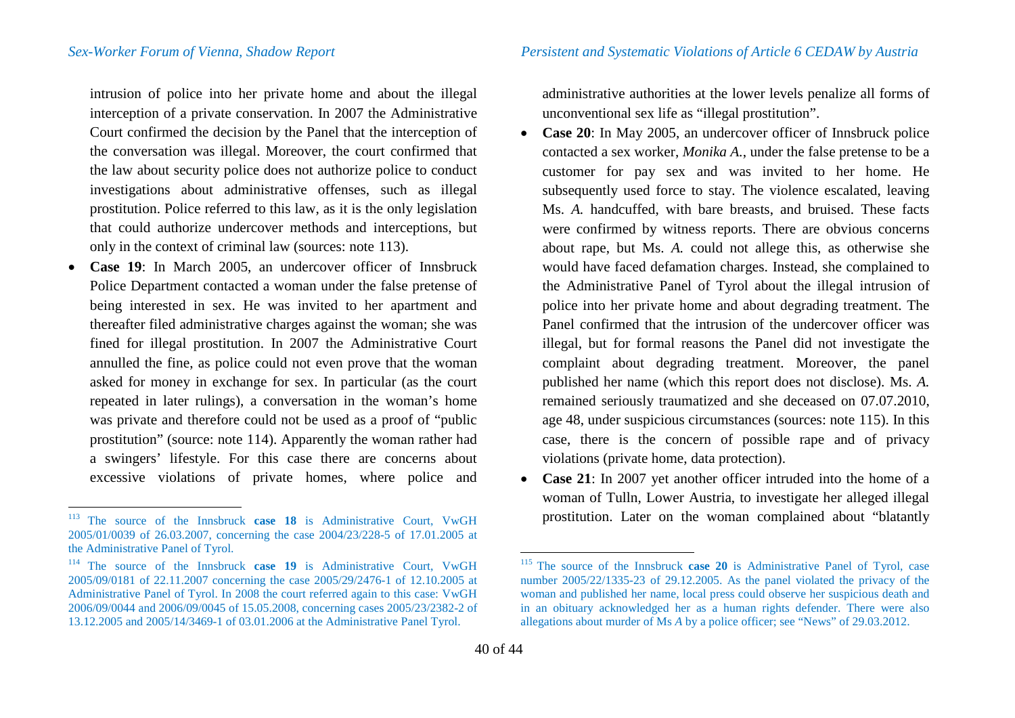intrusion of police into her private home and about the illegal interception of a private conservation. In 2007 the Administrative Court confirmed the decision by the Panel that the interception of the conversation was illegal. Moreover, the court confirmed that the law about security police does not authorize police to conduct investigations about administrative offenses, such as illegal prostitution. Police referred to this law, as it is the only legislation that could authorize undercover methods and interceptions, but only in the context of criminal law (sources: note [113](#page-39-0)).

• **Case 19**: In March 2005, an undercover officer of Innsbruck Police Department contacted a woman under the false pretense of being interested in sex. He was invited to her apartment and thereafter filed administrative charges against the woman; she was fined for illegal prostitution. In 2007 the Administrative Court annulled the fine, as police could not even prove that the woman asked for money in exchange for sex. In particular (as the court repeated in later rulings), a conversation in the woman's home was private and therefore could not be used as a proof of "public prostitution" (source: note [114\)](#page-39-1). Apparently the woman rather had a swingers' lifestyle. For this case there are concerns about excessive violations of private homes, where police and <span id="page-39-1"></span><span id="page-39-0"></span>administrative authorities at the lower levels penalize all forms of unconventional sex life as "illegal prostitution".

- **Case 20**: In May 2005, an undercover officer of Innsbruck police contacted a sex worker, *Monika A.*, under the false pretense to be a customer for pay sex and was invited to her home. He subsequently used force to stay. The violence escalated, leaving Ms. *A.* handcuffed, with bare breasts, and bruised. These facts were confirmed by witness reports. There are obvious concerns about rape, but Ms. *A.* could not allege this, as otherwise she would have faced defamation charges. Instead, she complained to the Administrative Panel of Tyrol about the illegal intrusion of police into her private home and about degrading treatment. The Panel confirmed that the intrusion of the undercover officer was illegal, but for formal reasons the Panel did not investigate the complaint about degrading treatment. Moreover, the panel published her name (which this report does not disclose). Ms. *A.* remained seriously traumatized and she deceased on 07.07.2010, age 48, under suspicious circumstances (sources: note [115\)](#page-39-1). In this case, there is the concern of possible rape and of privacy violations (private home, data protection).
- **Case 21**: In 2007 yet another officer intruded into the home of a woman of Tulln, Lower Austria, to investigate her alleged illegal prostitution. Later on the woman complained about "blatantly

 <sup>113</sup> The source of the Innsbruck **case 18** is Administrative Court, VwGH 2005/01/0039 of 26.03.2007, concerning the case 2004/23/228-5 of 17.01.2005 at the Administrative Panel of Tyrol.

<sup>114</sup> The source of the Innsbruck **case 19** is Administrative Court, VwGH 2005/09/0181 of 22.11.2007 concerning the case 2005/29/2476-1 of 12.10.2005 at Administrative Panel of Tyrol. In 2008 the court referred again to this case: VwGH 2006/09/0044 and 2006/09/0045 of 15.05.2008, concerning cases 2005/23/2382-2 of 13.12.2005 and 2005/14/3469-1 of 03.01.2006 at the Administrative Panel Tyrol.

 <sup>115</sup> The source of the Innsbruck **case 20** is Administrative Panel of Tyrol, case number 2005/22/1335-23 of 29.12.2005. As the panel violated the privacy of the woman and published her name, local press could observe her suspicious death and in an obituary acknowledged her as a human rights defender. There were also allegations about murder of Ms *A* by a police officer; see "News" of 29.03.2012.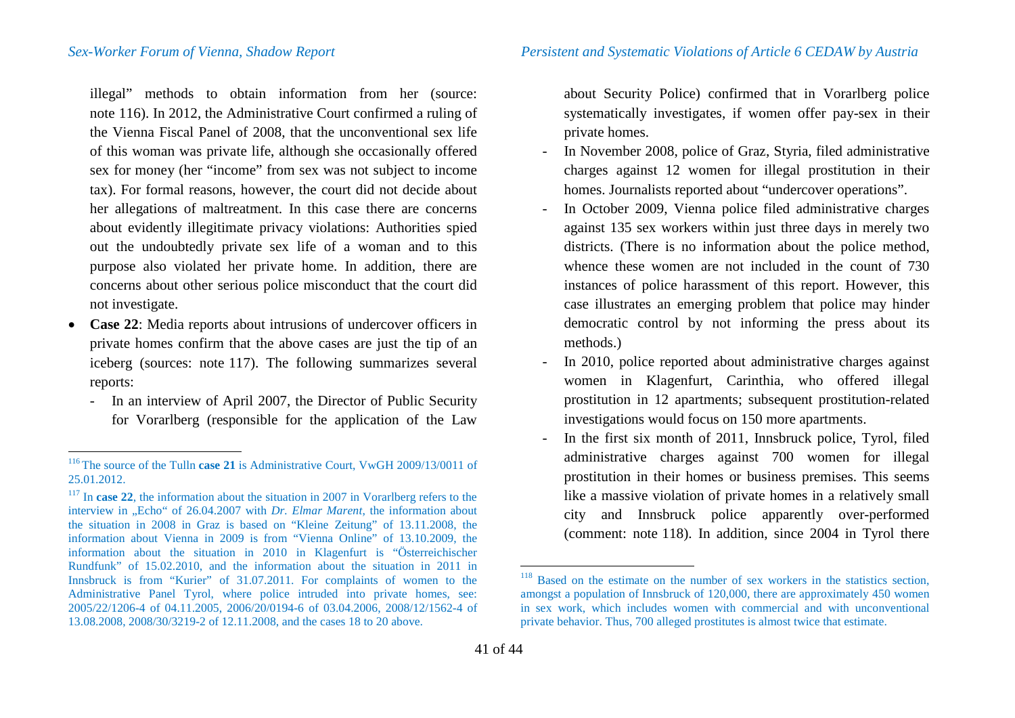*Sex-Worker Forum of Vienna, Shadow Report Persistent and Systematic Violations of Article 6 CEDAW by Austria*

illegal" methods to obtain information from her (source: note [116\)](#page-40-0). In 2012, the Administrative Court confirmed a ruling of the Vienna Fiscal Panel of 2008, that the unconventional sex life of this woman was private life, although she occasionally offered sex for money (her "income" from sex was not subject to income tax). For formal reasons, however, the court did not decide about her allegations of maltreatment. In this case there are concerns about evidently illegitimate privacy violations: Authorities spied out the undoubtedly private sex life of a woman and to this purpose also violated her private home. In addition, there are concerns about other serious police misconduct that the court did not investigate.

- **Case 22**: Media reports about intrusions of undercover officers in private homes confirm that the above cases are just the tip of an iceberg (sources: note [117\)](#page-40-1). The following summarizes several reports:
	- In an interview of April 2007, the Director of Public Security for Vorarlberg (responsible for the application of the Law

<span id="page-40-2"></span><span id="page-40-1"></span><span id="page-40-0"></span>about Security Police) confirmed that in Vorarlberg police systematically investigates, if women offer pay-sex in their private homes.

- In November 2008, police of Graz, Styria, filed administrative charges against 12 women for illegal prostitution in their homes. Journalists reported about "undercover operations".
- In October 2009, Vienna police filed administrative charges against 135 sex workers within just three days in merely two districts. (There is no information about the police method, whence these women are not included in the count of 730 instances of police harassment of this report. However, this case illustrates an emerging problem that police may hinder democratic control by not informing the press about its methods.)
- In 2010, police reported about administrative charges against women in Klagenfurt, Carinthia, who offered illegal prostitution in 12 apartments; subsequent prostitution-related investigations would focus on 150 more apartments.
- In the first six month of 2011, Innsbruck police, Tyrol, filed administrative charges against 700 women for illegal prostitution in their homes or business premises. This seems like a massive violation of private homes in a relatively small city and Innsbruck police apparently over-performed (comment: note [118](#page-40-2)). In addition, since 2004 in Tyrol there

 <sup>116</sup> The source of the Tulln **case 21** is Administrative Court, VwGH 2009/13/0011 of 25.01.2012.

<sup>&</sup>lt;sup>117</sup> In **case 22**, the information about the situation in 2007 in Vorarlberg refers to the interview in "Echo" of 26.04.2007 with *Dr. Elmar Marent*, the information about the situation in 2008 in Graz is based on "Kleine Zeitung" of 13.11.2008, the information about Vienna in 2009 is from "Vienna Online" of 13.10.2009, the information about the situation in 2010 in Klagenfurt is "Österreichischer Rundfunk" of 15.02.2010, and the information about the situation in 2011 in Innsbruck is from "Kurier" of 31.07.2011. For complaints of women to the Administrative Panel Tyrol, where police intruded into private homes, see: 2005/22/1206-4 of 04.11.2005, 2006/20/0194-6 of 03.04.2006, 2008/12/1562-4 of 13.08.2008, 2008/30/3219-2 of 12.11.2008, and the cases 18 to 20 above.

<sup>&</sup>lt;sup>118</sup> Based on the estimate on the number of sex workers in the statistics section, amongst a population of Innsbruck of 120,000, there are approximately 450 women in sex work, which includes women with commercial and with unconventional private behavior. Thus, 700 alleged prostitutes is almost twice that estimate.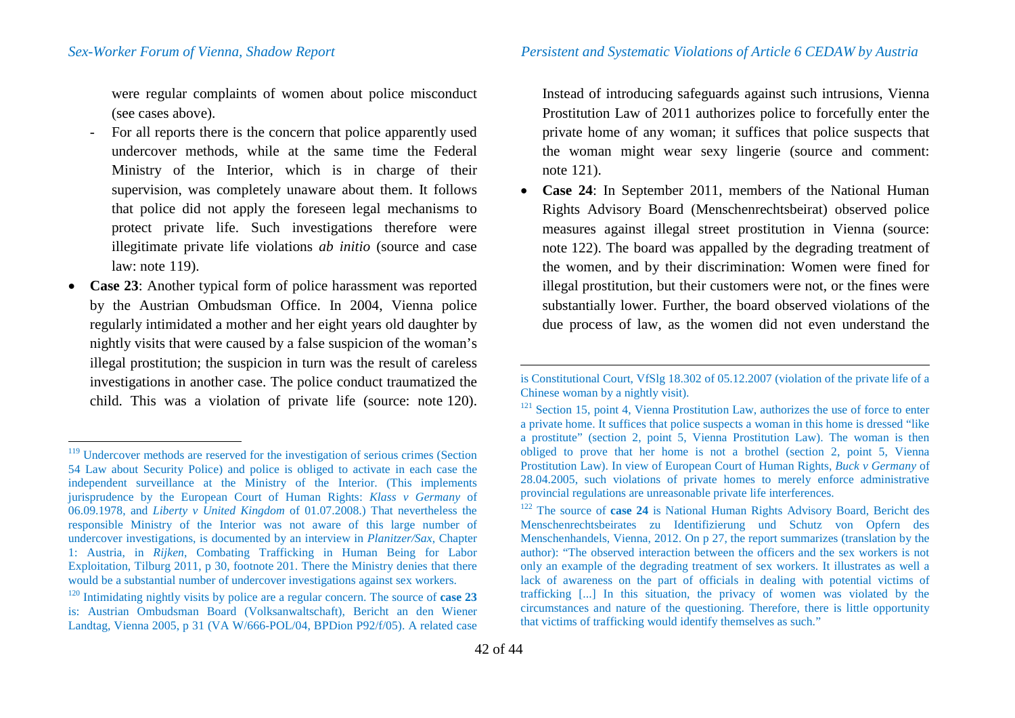were regular complaints of women about police misconduct (see cases above).

- For all reports there is the concern that police apparently used undercover methods, while at the same time the Federal Ministry of the Interior, which is in charge of their supervision, was completely unaware about them. It follows that police did not apply the foreseen legal mechanisms to protect private life. Such investigations therefore were illegitimate private life violations *ab initio* (source and case law: note [119\)](#page-41-0).
- **Case 23**: Another typical form of police harassment was reported by the Austrian Ombudsman Office. In 2004, Vienna police regularly intimidated a mother and her eight years old daughter by nightly visits that were caused by a false suspicion of the woman's illegal prostitution; the suspicion in turn was the result of careless investigations in another case. The police conduct traumatized the child. This was a violation of private life (source: note [120\)](#page-41-1).

<span id="page-41-3"></span><span id="page-41-2"></span><span id="page-41-1"></span><span id="page-41-0"></span>Instead of introducing safeguards against such intrusions, Vienna Prostitution Law of 2011 authorizes police to forcefully enter the private home of any woman; it suffices that police suspects that the woman might wear sexy lingerie (source and comment: note [121\)](#page-41-2).

• **Case 24**: In September 2011, members of the National Human Rights Advisory Board (Menschenrechtsbeirat) observed police measures against illegal street prostitution in Vienna (source: note [122\)](#page-41-3). The board was appalled by the degrading treatment of the women, and by their discrimination: Women were fined for illegal prostitution, but their customers were not, or the fines were substantially lower. Further, the board observed violations of the due process of law, as the women did not even understand the

 $\overline{a}$ 

<sup>&</sup>lt;sup>119</sup> Undercover methods are reserved for the investigation of serious crimes (Section 54 Law about Security Police) and police is obliged to activate in each case the independent surveillance at the Ministry of the Interior. (This implements jurisprudence by the European Court of Human Rights: *Klass v Germany* of 06.09.1978, and *Liberty v United Kingdom* of 01.07.2008.) That nevertheless the responsible Ministry of the Interior was not aware of this large number of undercover investigations, is documented by an interview in *Planitzer/Sax*, Chapter 1: Austria, in *Rijken*, Combating Trafficking in Human Being for Labor Exploitation, Tilburg 2011, p 30, footnote 201. There the Ministry denies that there would be a substantial number of undercover investigations against sex workers.

 $^{120}$  Intimidating nightly visits by police are a regular concern. The source of **case 23** is: Austrian Ombudsman Board (Volksanwaltschaft), Bericht an den Wiener Landtag, Vienna 2005, p 31 (VA W/666-POL/04, BPDion P92/f/05). A related case

is Constitutional Court, VfSlg 18.302 of 05.12.2007 (violation of the private life of a Chinese woman by a nightly visit).

<sup>&</sup>lt;sup>121</sup> Section 15, point 4, Vienna Prostitution Law, authorizes the use of force to enter a private home. It suffices that police suspects a woman in this home is dressed "like a prostitute" (section 2, point 5, Vienna Prostitution Law). The woman is then obliged to prove that her home is not a brothel (section 2, point 5, Vienna Prostitution Law). In view of European Court of Human Rights, *Buck v Germany* of 28.04.2005, such violations of private homes to merely enforce administrative provincial regulations are unreasonable private life interferences.

<sup>122</sup> The source of **case 24** is National Human Rights Advisory Board, Bericht des Menschenrechtsbeirates zu Identifizierung und Schutz von Opfern des Menschenhandels, Vienna, 2012. On p 27, the report summarizes (translation by the author): "The observed interaction between the officers and the sex workers is not only an example of the degrading treatment of sex workers. It illustrates as well a lack of awareness on the part of officials in dealing with potential victims of trafficking [...] In this situation, the privacy of women was violated by the circumstances and nature of the questioning. Therefore, there is little opportunity that victims of trafficking would identify themselves as such."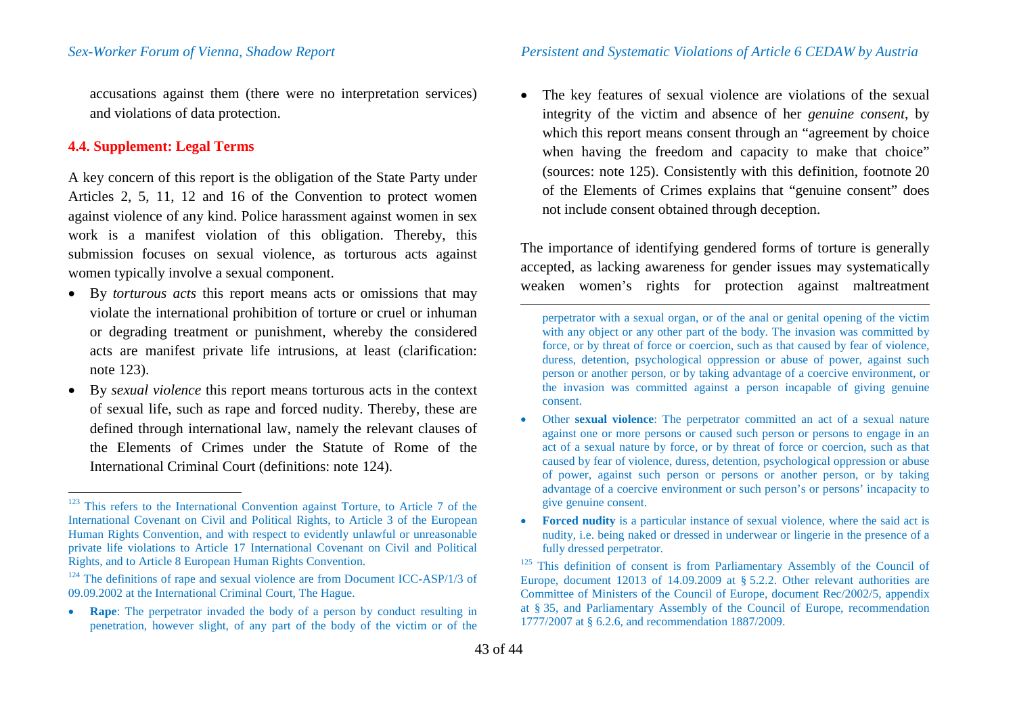accusations against them (there were no interpretation services) and violations of data protection.

## **4.4. Supplement: Legal Terms**

A key concern of this report is the obligation of the State Party under Articles 2, 5, 11, 12 and 16 of the Convention to protect women against violence of any kind. Police harassment against women in sex work is a manifest violation of this obligation. Thereby, this submission focuses on sexual violence, as torturous acts against women typically involve a sexual component.

- By *torturous acts* this report means acts or omissions that may violate the international prohibition of torture or cruel or inhuman or degrading treatment or punishment, whereby the considered acts are manifest private life intrusions, at least (clarification: note [123\)](#page-42-0).
- By *sexual violence* this report means torturous acts in the context of sexual life, such as rape and forced nudity. Thereby, these are defined through international law, namely the relevant clauses of the Elements of Crimes under the Statute of Rome of the International Criminal Court (definitions: note [124\)](#page-42-1).

<span id="page-42-2"></span><span id="page-42-1"></span><span id="page-42-0"></span>• The key features of sexual violence are violations of the sexual integrity of the victim and absence of her *genuine consent*, by which this report means consent through an "agreement by choice" when having the freedom and capacity to make that choice" (sources: note [125\)](#page-42-2). Consistently with this definition, footnote 20 of the Elements of Crimes explains that "genuine consent" does not include consent obtained through deception.

The importance of identifying gendered forms of torture is generally accepted, as lacking awareness for gender issues may systematically weaken women's rights for protection against maltreatment

perpetrator with a sexual organ, or of the anal or genital opening of the victim with any object or any other part of the body. The invasion was committed by force, or by threat of force or coercion, such as that caused by fear of violence, duress, detention, psychological oppression or abuse of power, against such person or another person, or by taking advantage of a coercive environment, or the invasion was committed against a person incapable of giving genuine consent.

- Other **sexual violence**: The perpetrator committed an act of a sexual nature against one or more persons or caused such person or persons to engage in an act of a sexual nature by force, or by threat of force or coercion, such as that caused by fear of violence, duress, detention, psychological oppression or abuse of power, against such person or persons or another person, or by taking advantage of a coercive environment or such person's or persons' incapacity to give genuine consent.
- **Forced nudity** is a particular instance of sexual violence, where the said act is nudity, i.e. being naked or dressed in underwear or lingerie in the presence of a

 $\frac{125}{125}$  This definition of consent is from Parliamentary Assembly of the Council of Europe, document 12013 of 14.09.2009 at § 5.2.2. Other relevant authorities are Committee of Ministers of the Council of Europe, document Rec/2002/5, appendix at § 35, and Parliamentary Assembly of the Council of Europe, recommendation 1777/2007 at § 6.2.6, and recommendation 1887/2009.

 $\overline{a}$ 

<sup>&</sup>lt;sup>123</sup> This refers to the International Convention against Torture, to Article 7 of the International Covenant on Civil and Political Rights, to Article 3 of the European Human Rights Convention, and with respect to evidently unlawful or unreasonable private life violations to Article 17 International Covenant on Civil and Political Rights, and to Article 8 European Human Rights Convention.

 $124$  The definitions of rape and sexual violence are from Document ICC-ASP/1/3 of 09.09.2002 at the International Criminal Court, The Hague.

<sup>•</sup> **Rape**: The perpetrator invaded the body of a person by conduct resulting in penetration, however slight, of any part of the body of the victim or of the